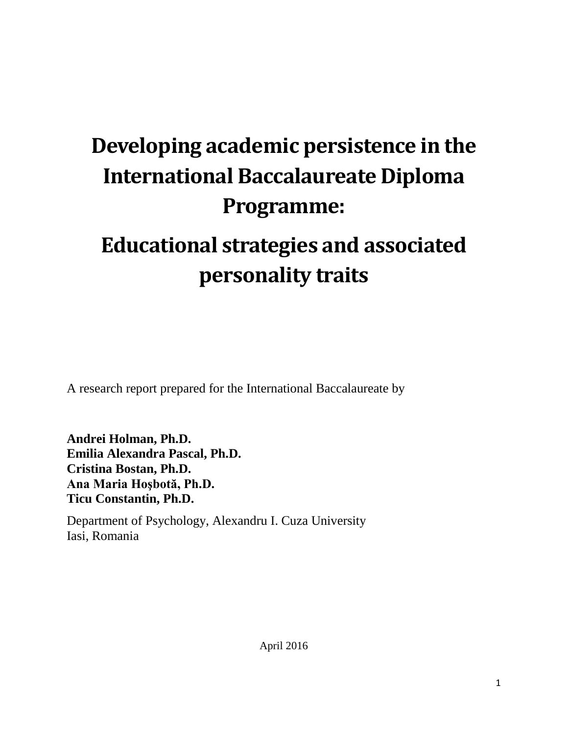# **Developing academic persistence in the International Baccalaureate Diploma Programme:**

# **Educational strategies and associated personality traits**

A research report prepared for the International Baccalaureate by

**Andrei Holman, Ph.D. Emilia Alexandra Pascal, Ph.D. Cristina Bostan, Ph.D. Ana Maria Hoşbotă, Ph.D. Ticu Constantin, Ph.D.**

Department of Psychology, Alexandru I. Cuza University Iasi, Romania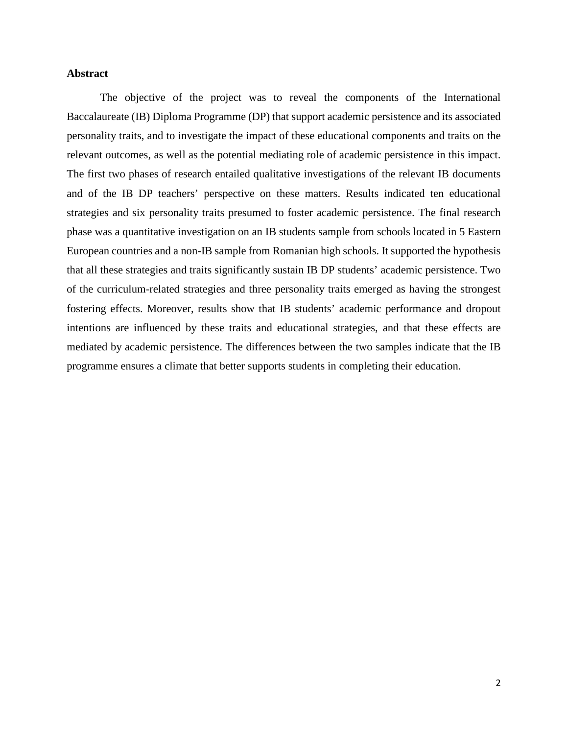# **Abstract**

The objective of the project was to reveal the components of the International Baccalaureate (IB) Diploma Programme (DP) that support academic persistence and its associated personality traits, and to investigate the impact of these educational components and traits on the relevant outcomes, as well as the potential mediating role of academic persistence in this impact. The first two phases of research entailed qualitative investigations of the relevant IB documents and of the IB DP teachers' perspective on these matters. Results indicated ten educational strategies and six personality traits presumed to foster academic persistence. The final research phase was a quantitative investigation on an IB students sample from schools located in 5 Eastern European countries and a non-IB sample from Romanian high schools. It supported the hypothesis that all these strategies and traits significantly sustain IB DP students' academic persistence. Two of the curriculum-related strategies and three personality traits emerged as having the strongest fostering effects. Moreover, results show that IB students' academic performance and dropout intentions are influenced by these traits and educational strategies, and that these effects are mediated by academic persistence. The differences between the two samples indicate that the IB programme ensures a climate that better supports students in completing their education.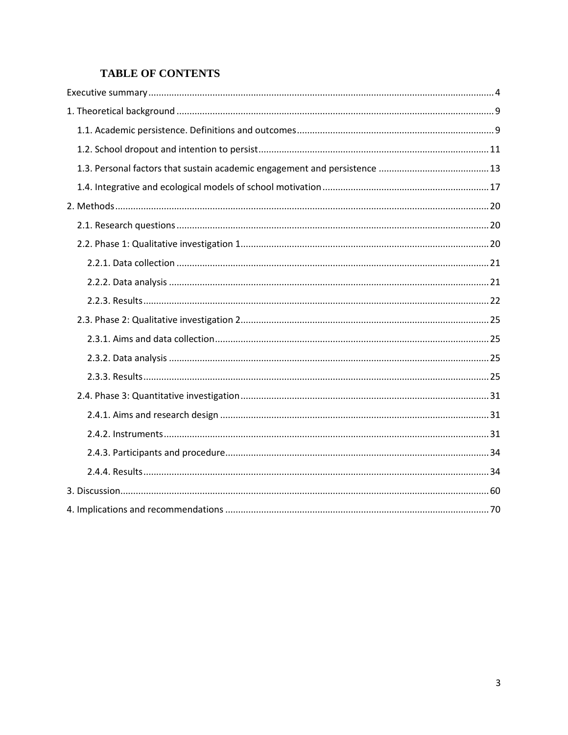# **TABLE OF CONTENTS**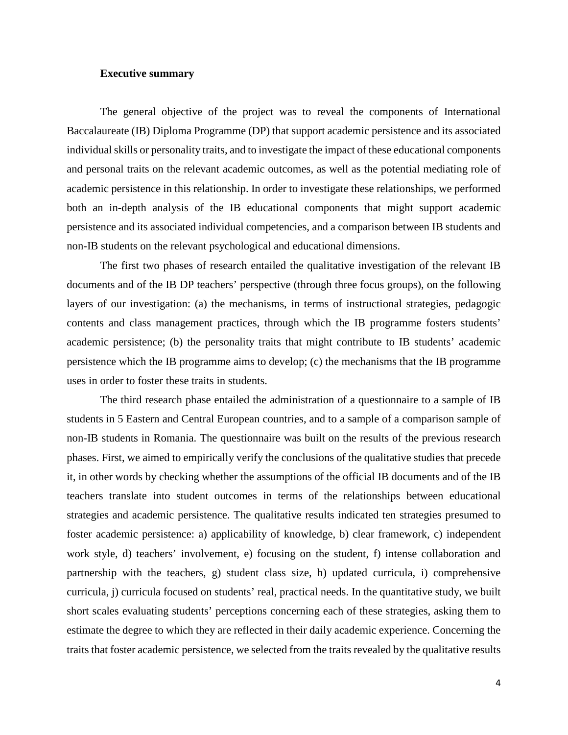# <span id="page-3-0"></span>**Executive summary**

The general objective of the project was to reveal the components of International Baccalaureate (IB) Diploma Programme (DP) that support academic persistence and its associated individual skills or personality traits, and to investigate the impact of these educational components and personal traits on the relevant academic outcomes, as well as the potential mediating role of academic persistence in this relationship. In order to investigate these relationships, we performed both an in-depth analysis of the IB educational components that might support academic persistence and its associated individual competencies, and a comparison between IB students and non-IB students on the relevant psychological and educational dimensions.

The first two phases of research entailed the qualitative investigation of the relevant IB documents and of the IB DP teachers' perspective (through three focus groups), on the following layers of our investigation: (a) the mechanisms, in terms of instructional strategies, pedagogic contents and class management practices, through which the IB programme fosters students' academic persistence; (b) the personality traits that might contribute to IB students' academic persistence which the IB programme aims to develop; (c) the mechanisms that the IB programme uses in order to foster these traits in students.

The third research phase entailed the administration of a questionnaire to a sample of IB students in 5 Eastern and Central European countries, and to a sample of a comparison sample of non-IB students in Romania. The questionnaire was built on the results of the previous research phases. First, we aimed to empirically verify the conclusions of the qualitative studies that precede it, in other words by checking whether the assumptions of the official IB documents and of the IB teachers translate into student outcomes in terms of the relationships between educational strategies and academic persistence. The qualitative results indicated ten strategies presumed to foster academic persistence: a) applicability of knowledge, b) clear framework, c) independent work style, d) teachers' involvement, e) focusing on the student, f) intense collaboration and partnership with the teachers, g) student class size, h) updated curricula, i) comprehensive curricula, j) curricula focused on students' real, practical needs. In the quantitative study, we built short scales evaluating students' perceptions concerning each of these strategies, asking them to estimate the degree to which they are reflected in their daily academic experience. Concerning the traits that foster academic persistence, we selected from the traits revealed by the qualitative results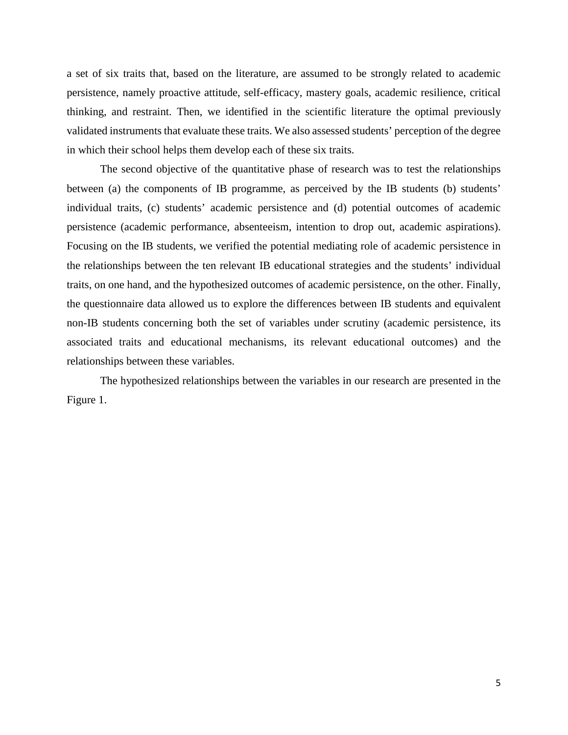a set of six traits that, based on the literature, are assumed to be strongly related to academic persistence, namely proactive attitude, self-efficacy, mastery goals, academic resilience, critical thinking, and restraint. Then, we identified in the scientific literature the optimal previously validated instruments that evaluate these traits. We also assessed students' perception of the degree in which their school helps them develop each of these six traits.

The second objective of the quantitative phase of research was to test the relationships between (a) the components of IB programme, as perceived by the IB students (b) students' individual traits, (c) students' academic persistence and (d) potential outcomes of academic persistence (academic performance, absenteeism, intention to drop out, academic aspirations). Focusing on the IB students, we verified the potential mediating role of academic persistence in the relationships between the ten relevant IB educational strategies and the students' individual traits, on one hand, and the hypothesized outcomes of academic persistence, on the other. Finally, the questionnaire data allowed us to explore the differences between IB students and equivalent non-IB students concerning both the set of variables under scrutiny (academic persistence, its associated traits and educational mechanisms, its relevant educational outcomes) and the relationships between these variables.

The hypothesized relationships between the variables in our research are presented in the Figure 1.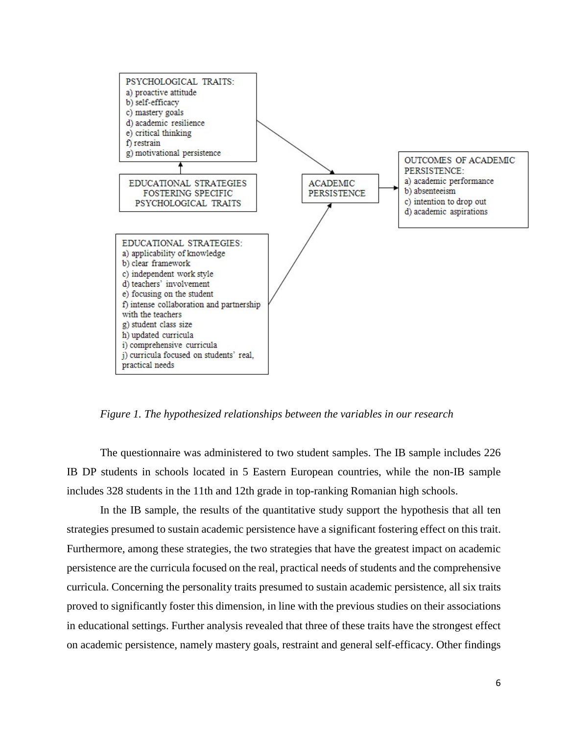

*Figure 1. The hypothesized relationships between the variables in our research*

The questionnaire was administered to two student samples. The IB sample includes 226 IB DP students in schools located in 5 Eastern European countries, while the non-IB sample includes 328 students in the 11th and 12th grade in top-ranking Romanian high schools.

In the IB sample, the results of the quantitative study support the hypothesis that all ten strategies presumed to sustain academic persistence have a significant fostering effect on this trait. Furthermore, among these strategies, the two strategies that have the greatest impact on academic persistence are the curricula focused on the real, practical needs of students and the comprehensive curricula. Concerning the personality traits presumed to sustain academic persistence, all six traits proved to significantly foster this dimension, in line with the previous studies on their associations in educational settings. Further analysis revealed that three of these traits have the strongest effect on academic persistence, namely mastery goals, restraint and general self-efficacy. Other findings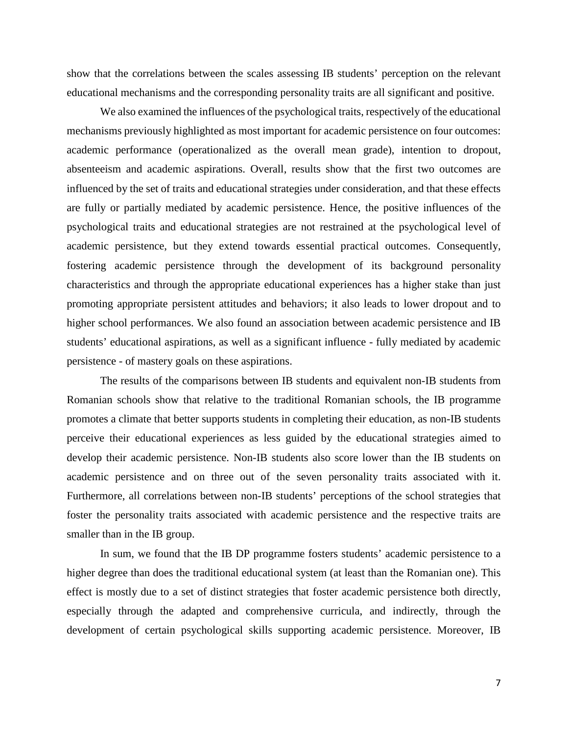show that the correlations between the scales assessing IB students' perception on the relevant educational mechanisms and the corresponding personality traits are all significant and positive.

We also examined the influences of the psychological traits, respectively of the educational mechanisms previously highlighted as most important for academic persistence on four outcomes: academic performance (operationalized as the overall mean grade), intention to dropout, absenteeism and academic aspirations. Overall, results show that the first two outcomes are influenced by the set of traits and educational strategies under consideration, and that these effects are fully or partially mediated by academic persistence. Hence, the positive influences of the psychological traits and educational strategies are not restrained at the psychological level of academic persistence, but they extend towards essential practical outcomes. Consequently, fostering academic persistence through the development of its background personality characteristics and through the appropriate educational experiences has a higher stake than just promoting appropriate persistent attitudes and behaviors; it also leads to lower dropout and to higher school performances. We also found an association between academic persistence and IB students' educational aspirations, as well as a significant influence - fully mediated by academic persistence - of mastery goals on these aspirations.

The results of the comparisons between IB students and equivalent non-IB students from Romanian schools show that relative to the traditional Romanian schools, the IB programme promotes a climate that better supports students in completing their education, as non-IB students perceive their educational experiences as less guided by the educational strategies aimed to develop their academic persistence. Non-IB students also score lower than the IB students on academic persistence and on three out of the seven personality traits associated with it. Furthermore, all correlations between non-IB students' perceptions of the school strategies that foster the personality traits associated with academic persistence and the respective traits are smaller than in the IB group.

In sum, we found that the IB DP programme fosters students' academic persistence to a higher degree than does the traditional educational system (at least than the Romanian one). This effect is mostly due to a set of distinct strategies that foster academic persistence both directly, especially through the adapted and comprehensive curricula, and indirectly, through the development of certain psychological skills supporting academic persistence. Moreover, IB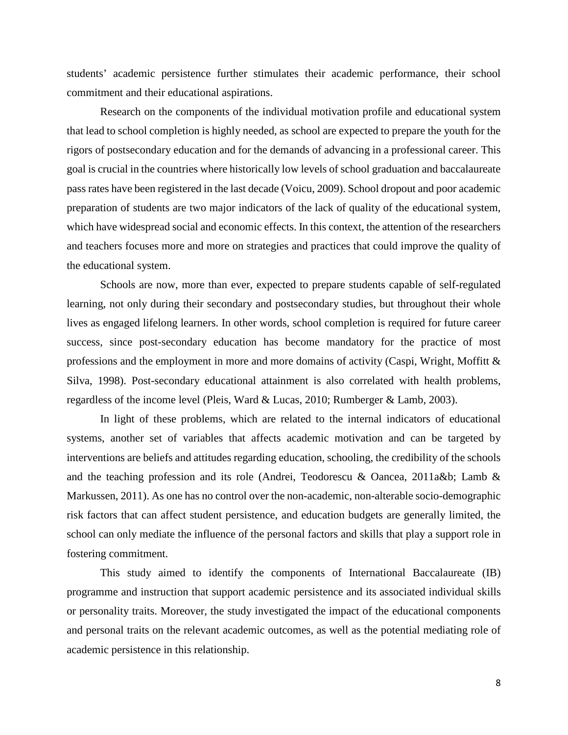students' academic persistence further stimulates their academic performance, their school commitment and their educational aspirations.

Research on the components of the individual motivation profile and educational system that lead to school completion is highly needed, as school are expected to prepare the youth for the rigors of postsecondary education and for the demands of advancing in a professional career. This goal is crucial in the countries where historically low levels of school graduation and baccalaureate pass rates have been registered in the last decade (Voicu, 2009). School dropout and poor academic preparation of students are two major indicators of the lack of quality of the educational system, which have widespread social and economic effects. In this context, the attention of the researchers and teachers focuses more and more on strategies and practices that could improve the quality of the educational system.

Schools are now, more than ever, expected to prepare students capable of self-regulated learning, not only during their secondary and postsecondary studies, but throughout their whole lives as engaged lifelong learners. In other words, school completion is required for future career success, since post-secondary education has become mandatory for the practice of most professions and the employment in more and more domains of activity (Caspi, Wright, Moffitt  $\&$ Silva, 1998). Post-secondary educational attainment is also correlated with health problems, regardless of the income level (Pleis, Ward & Lucas, 2010; Rumberger & Lamb, 2003).

In light of these problems, which are related to the internal indicators of educational systems, another set of variables that affects academic motivation and can be targeted by interventions are beliefs and attitudes regarding education, schooling, the credibility of the schools and the teaching profession and its role (Andrei, Teodorescu & Oancea, 2011a&b; Lamb & Markussen, 2011). As one has no control over the non-academic, non-alterable socio-demographic risk factors that can affect student persistence, and education budgets are generally limited, the school can only mediate the influence of the personal factors and skills that play a support role in fostering commitment.

This study aimed to identify the components of International Baccalaureate (IB) programme and instruction that support academic persistence and its associated individual skills or personality traits. Moreover, the study investigated the impact of the educational components and personal traits on the relevant academic outcomes, as well as the potential mediating role of academic persistence in this relationship.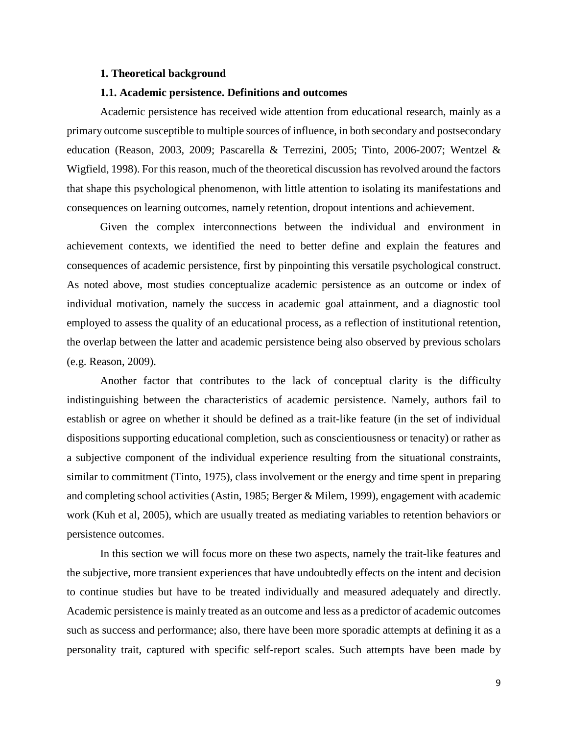#### <span id="page-8-0"></span>**1. Theoretical background**

#### **1.1. Academic persistence. Definitions and outcomes**

<span id="page-8-1"></span>Academic persistence has received wide attention from educational research, mainly as a primary outcome susceptible to multiple sources of influence, in both secondary and postsecondary education (Reason, 2003, 2009; Pascarella & Terrezini, 2005; Tinto, 2006-2007; Wentzel & Wigfield, 1998). For this reason, much of the theoretical discussion has revolved around the factors that shape this psychological phenomenon, with little attention to isolating its manifestations and consequences on learning outcomes, namely retention, dropout intentions and achievement.

Given the complex interconnections between the individual and environment in achievement contexts, we identified the need to better define and explain the features and consequences of academic persistence, first by pinpointing this versatile psychological construct. As noted above, most studies conceptualize academic persistence as an outcome or index of individual motivation, namely the success in academic goal attainment, and a diagnostic tool employed to assess the quality of an educational process, as a reflection of institutional retention, the overlap between the latter and academic persistence being also observed by previous scholars (e.g. Reason, 2009).

Another factor that contributes to the lack of conceptual clarity is the difficulty indistinguishing between the characteristics of academic persistence. Namely, authors fail to establish or agree on whether it should be defined as a trait-like feature (in the set of individual dispositions supporting educational completion, such as conscientiousness or tenacity) or rather as a subjective component of the individual experience resulting from the situational constraints, similar to commitment (Tinto, 1975), class involvement or the energy and time spent in preparing and completing school activities (Astin, 1985; Berger & Milem, 1999), engagement with academic work (Kuh et al, 2005), which are usually treated as mediating variables to retention behaviors or persistence outcomes.

In this section we will focus more on these two aspects, namely the trait-like features and the subjective, more transient experiences that have undoubtedly effects on the intent and decision to continue studies but have to be treated individually and measured adequately and directly. Academic persistence is mainly treated as an outcome and less as a predictor of academic outcomes such as success and performance; also, there have been more sporadic attempts at defining it as a personality trait, captured with specific self-report scales. Such attempts have been made by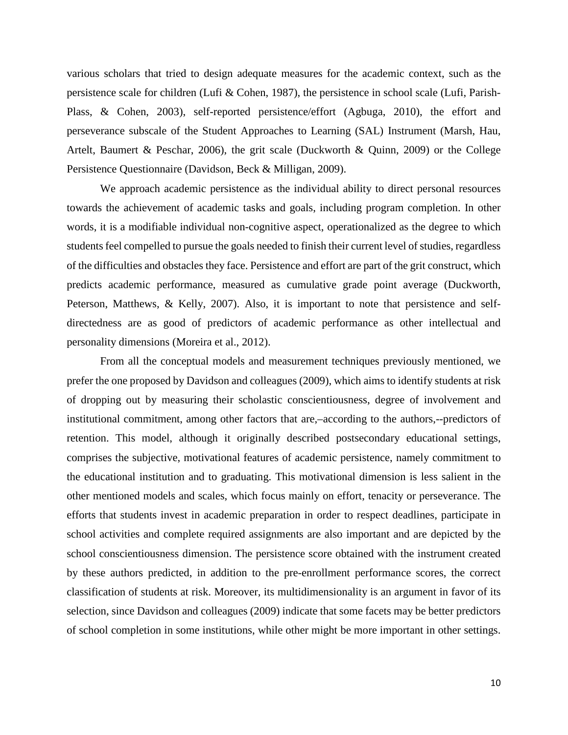various scholars that tried to design adequate measures for the academic context, such as the persistence scale for children (Lufi & Cohen, 1987), the persistence in school scale (Lufi, Parish-Plass, & Cohen, 2003), self-reported persistence/effort (Agbuga, 2010), the effort and perseverance subscale of the Student Approaches to Learning (SAL) Instrument (Marsh, Hau, Artelt, Baumert & Peschar, 2006), the grit scale (Duckworth & Quinn, 2009) or the College Persistence Questionnaire (Davidson, Beck & Milligan, 2009).

We approach academic persistence as the individual ability to direct personal resources towards the achievement of academic tasks and goals, including program completion. In other words, it is a modifiable individual non-cognitive aspect, operationalized as the degree to which students feel compelled to pursue the goals needed to finish their current level of studies, regardless of the difficulties and obstacles they face. Persistence and effort are part of the grit construct, which predicts academic performance, measured as cumulative grade point average (Duckworth, Peterson, Matthews, & Kelly, 2007). Also, it is important to note that persistence and selfdirectedness are as good of predictors of academic performance as other intellectual and personality dimensions (Moreira et al., 2012).

From all the conceptual models and measurement techniques previously mentioned, we prefer the one proposed by Davidson and colleagues (2009), which aims to identify students at risk of dropping out by measuring their scholastic conscientiousness, degree of involvement and institutional commitment, among other factors that are,–according to the authors,--predictors of retention. This model, although it originally described postsecondary educational settings, comprises the subjective, motivational features of academic persistence, namely commitment to the educational institution and to graduating. This motivational dimension is less salient in the other mentioned models and scales, which focus mainly on effort, tenacity or perseverance. The efforts that students invest in academic preparation in order to respect deadlines, participate in school activities and complete required assignments are also important and are depicted by the school conscientiousness dimension. The persistence score obtained with the instrument created by these authors predicted, in addition to the pre-enrollment performance scores, the correct classification of students at risk. Moreover, its multidimensionality is an argument in favor of its selection, since Davidson and colleagues (2009) indicate that some facets may be better predictors of school completion in some institutions, while other might be more important in other settings.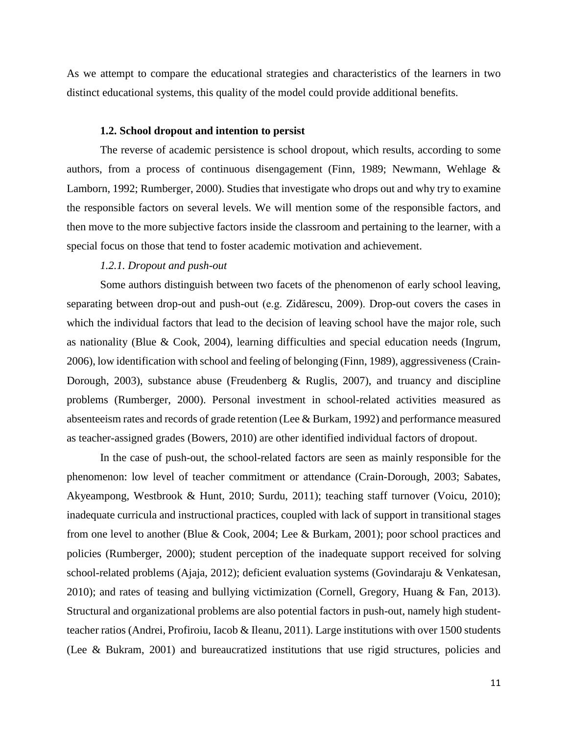As we attempt to compare the educational strategies and characteristics of the learners in two distinct educational systems, this quality of the model could provide additional benefits.

#### **1.2. School dropout and intention to persist**

<span id="page-10-0"></span>The reverse of academic persistence is school dropout, which results, according to some authors, from a process of continuous disengagement (Finn, 1989; Newmann, Wehlage & Lamborn, 1992; Rumberger, 2000). Studies that investigate who drops out and why try to examine the responsible factors on several levels. We will mention some of the responsible factors, and then move to the more subjective factors inside the classroom and pertaining to the learner, with a special focus on those that tend to foster academic motivation and achievement.

# *1.2.1. Dropout and push-out*

Some authors distinguish between two facets of the phenomenon of early school leaving, separating between drop-out and push-out (e.g. Zidărescu, 2009). Drop-out covers the cases in which the individual factors that lead to the decision of leaving school have the major role, such as nationality (Blue & Cook, 2004), learning difficulties and special education needs (Ingrum, 2006), low identification with school and feeling of belonging (Finn, 1989), aggressiveness (Crain-Dorough, 2003), substance abuse (Freudenberg & Ruglis, 2007), and truancy and discipline problems (Rumberger, 2000). Personal investment in school-related activities measured as absenteeism rates and records of grade retention (Lee & Burkam, 1992) and performance measured as teacher-assigned grades (Bowers, 2010) are other identified individual factors of dropout.

In the case of push-out, the school-related factors are seen as mainly responsible for the phenomenon: low level of teacher commitment or attendance (Crain-Dorough, 2003; Sabates, Akyeampong, Westbrook & Hunt, 2010; Surdu, 2011); teaching staff turnover (Voicu, 2010); inadequate curricula and instructional practices, coupled with lack of support in transitional stages from one level to another (Blue & Cook, 2004; Lee & Burkam, 2001); poor school practices and policies (Rumberger, 2000); student perception of the inadequate support received for solving school-related problems (Ajaja, 2012); deficient evaluation systems (Govindaraju & Venkatesan, 2010); and rates of teasing and bullying victimization (Cornell, Gregory, Huang & Fan, 2013). Structural and organizational problems are also potential factors in push-out, namely high studentteacher ratios (Andrei, Profiroiu, Iacob & Ileanu, 2011). Large institutions with over 1500 students (Lee & Bukram, 2001) and bureaucratized institutions that use rigid structures, policies and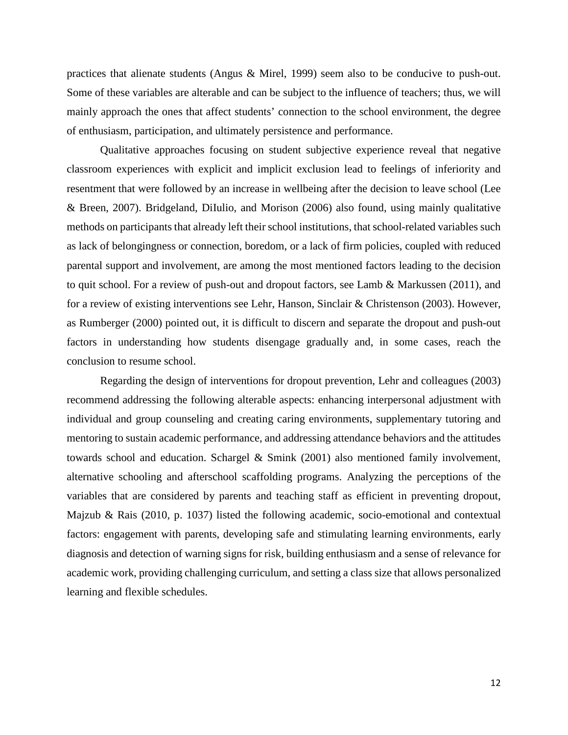practices that alienate students (Angus & Mirel, 1999) seem also to be conducive to push-out. Some of these variables are alterable and can be subject to the influence of teachers; thus, we will mainly approach the ones that affect students' connection to the school environment, the degree of enthusiasm, participation, and ultimately persistence and performance.

Qualitative approaches focusing on student subjective experience reveal that negative classroom experiences with explicit and implicit exclusion lead to feelings of inferiority and resentment that were followed by an increase in wellbeing after the decision to leave school (Lee & Breen, 2007). Bridgeland, DiIulio, and Morison (2006) also found, using mainly qualitative methods on participants that already left their school institutions, that school-related variables such as lack of belongingness or connection, boredom, or a lack of firm policies, coupled with reduced parental support and involvement, are among the most mentioned factors leading to the decision to quit school. For a review of push-out and dropout factors, see Lamb & Markussen (2011), and for a review of existing interventions see Lehr, Hanson, Sinclair & Christenson (2003). However, as Rumberger (2000) pointed out, it is difficult to discern and separate the dropout and push-out factors in understanding how students disengage gradually and, in some cases, reach the conclusion to resume school.

Regarding the design of interventions for dropout prevention, Lehr and colleagues (2003) recommend addressing the following alterable aspects: enhancing interpersonal adjustment with individual and group counseling and creating caring environments, supplementary tutoring and mentoring to sustain academic performance, and addressing attendance behaviors and the attitudes towards school and education. Schargel & Smink (2001) also mentioned family involvement, alternative schooling and afterschool scaffolding programs. Analyzing the perceptions of the variables that are considered by parents and teaching staff as efficient in preventing dropout, Majzub & Rais (2010, p. 1037) listed the following academic, socio-emotional and contextual factors: engagement with parents, developing safe and stimulating learning environments, early diagnosis and detection of warning signs for risk, building enthusiasm and a sense of relevance for academic work, providing challenging curriculum, and setting a class size that allows personalized learning and flexible schedules.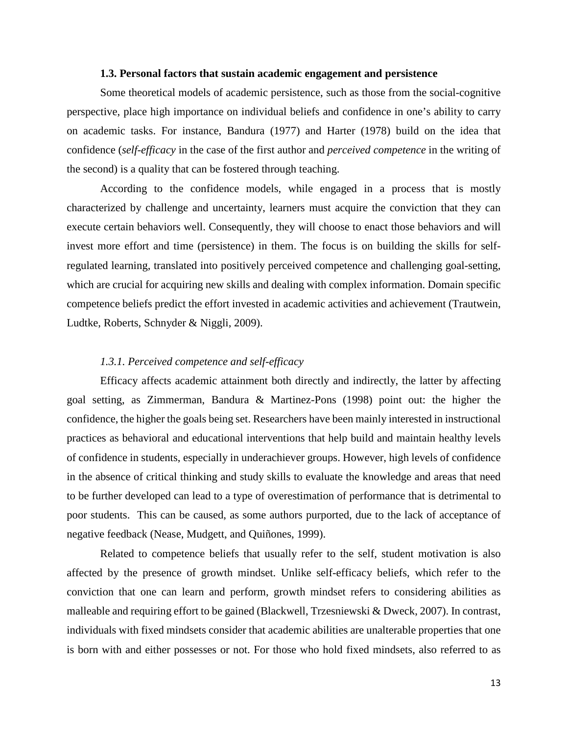# **1.3. Personal factors that sustain academic engagement and persistence**

<span id="page-12-0"></span>Some theoretical models of academic persistence, such as those from the social-cognitive perspective, place high importance on individual beliefs and confidence in one's ability to carry on academic tasks. For instance, Bandura (1977) and Harter (1978) build on the idea that confidence (*self-efficacy* in the case of the first author and *perceived competence* in the writing of the second) is a quality that can be fostered through teaching.

According to the confidence models, while engaged in a process that is mostly characterized by challenge and uncertainty, learners must acquire the conviction that they can execute certain behaviors well. Consequently, they will choose to enact those behaviors and will invest more effort and time (persistence) in them. The focus is on building the skills for selfregulated learning, translated into positively perceived competence and challenging goal-setting, which are crucial for acquiring new skills and dealing with complex information. Domain specific competence beliefs predict the effort invested in academic activities and achievement (Trautwein, Ludtke, Roberts, Schnyder & Niggli, 2009).

# *1.3.1. Perceived competence and self-efficacy*

Efficacy affects academic attainment both directly and indirectly, the latter by affecting goal setting, as Zimmerman, Bandura & Martinez-Pons (1998) point out: the higher the confidence, the higher the goals being set. Researchers have been mainly interested in instructional practices as behavioral and educational interventions that help build and maintain healthy levels of confidence in students, especially in underachiever groups. However, high levels of confidence in the absence of critical thinking and study skills to evaluate the knowledge and areas that need to be further developed can lead to a type of overestimation of performance that is detrimental to poor students. This can be caused, as some authors purported, due to the lack of acceptance of negative feedback (Nease, Mudgett, and Quiñones, 1999).

Related to competence beliefs that usually refer to the self, student motivation is also affected by the presence of growth mindset. Unlike self-efficacy beliefs, which refer to the conviction that one can learn and perform, growth mindset refers to considering abilities as malleable and requiring effort to be gained (Blackwell, Trzesniewski & Dweck, 2007). In contrast, individuals with fixed mindsets consider that academic abilities are unalterable properties that one is born with and either possesses or not. For those who hold fixed mindsets, also referred to as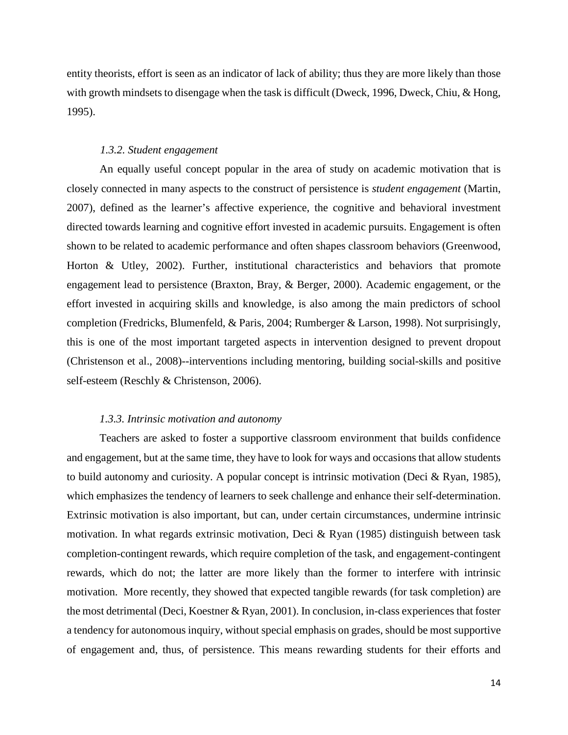entity theorists, effort is seen as an indicator of lack of ability; thus they are more likely than those with growth mindsets to disengage when the task is difficult (Dweck, 1996, Dweck, Chiu, & Hong, 1995).

# *1.3.2. Student engagement*

An equally useful concept popular in the area of study on academic motivation that is closely connected in many aspects to the construct of persistence is *student engagement* (Martin, 2007), defined as the learner's affective experience, the cognitive and behavioral investment directed towards learning and cognitive effort invested in academic pursuits. Engagement is often shown to be related to academic performance and often shapes classroom behaviors (Greenwood, Horton & Utley, 2002). Further, institutional characteristics and behaviors that promote engagement lead to persistence (Braxton, Bray, & Berger, 2000). Academic engagement, or the effort invested in acquiring skills and knowledge, is also among the main predictors of school completion (Fredricks, Blumenfeld, & Paris, 2004; Rumberger & Larson, 1998). Not surprisingly, this is one of the most important targeted aspects in intervention designed to prevent dropout (Christenson et al., 2008)--interventions including mentoring, building social-skills and positive self-esteem (Reschly & Christenson, 2006).

# *1.3.3. Intrinsic motivation and autonomy*

Teachers are asked to foster a supportive classroom environment that builds confidence and engagement, but at the same time, they have to look for ways and occasions that allow students to build autonomy and curiosity. A popular concept is intrinsic motivation (Deci & Ryan, 1985), which emphasizes the tendency of learners to seek challenge and enhance their self-determination. Extrinsic motivation is also important, but can, under certain circumstances, undermine intrinsic motivation. In what regards extrinsic motivation, Deci & Ryan (1985) distinguish between task completion-contingent rewards, which require completion of the task, and engagement-contingent rewards, which do not; the latter are more likely than the former to interfere with intrinsic motivation. More recently, they showed that expected tangible rewards (for task completion) are the most detrimental (Deci, Koestner & Ryan, 2001). In conclusion, in-class experiences that foster a tendency for autonomous inquiry, without special emphasis on grades, should be most supportive of engagement and, thus, of persistence. This means rewarding students for their efforts and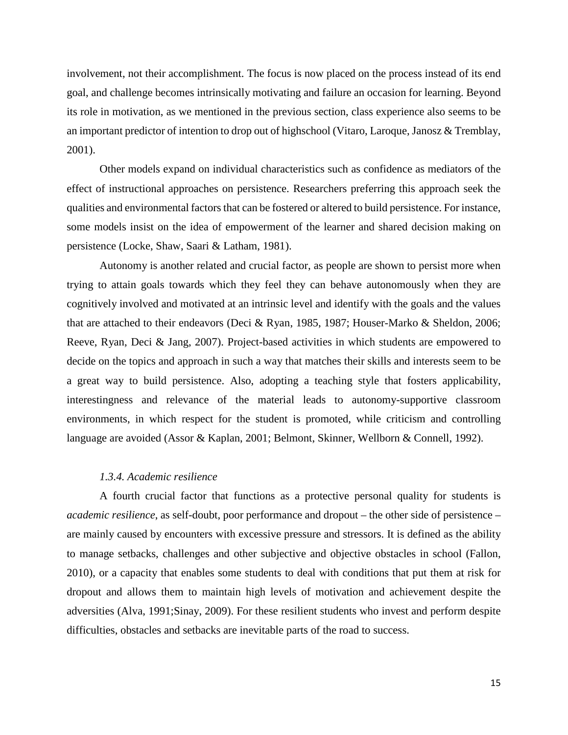involvement, not their accomplishment. The focus is now placed on the process instead of its end goal, and challenge becomes intrinsically motivating and failure an occasion for learning. Beyond its role in motivation, as we mentioned in the previous section, class experience also seems to be an important predictor of intention to drop out of highschool (Vitaro, Laroque, Janosz & Tremblay, 2001).

Other models expand on individual characteristics such as confidence as mediators of the effect of instructional approaches on persistence. Researchers preferring this approach seek the qualities and environmental factors that can be fostered or altered to build persistence. For instance, some models insist on the idea of empowerment of the learner and shared decision making on persistence (Locke, Shaw, Saari & Latham, 1981).

Autonomy is another related and crucial factor, as people are shown to persist more when trying to attain goals towards which they feel they can behave autonomously when they are cognitively involved and motivated at an intrinsic level and identify with the goals and the values that are attached to their endeavors (Deci & Ryan, 1985, 1987; Houser-Marko & Sheldon, 2006; Reeve, Ryan, Deci & Jang, 2007). Project-based activities in which students are empowered to decide on the topics and approach in such a way that matches their skills and interests seem to be a great way to build persistence. Also, adopting a teaching style that fosters applicability, interestingness and relevance of the material leads to autonomy-supportive classroom environments, in which respect for the student is promoted, while criticism and controlling language are avoided (Assor & Kaplan, 2001; Belmont, Skinner, Wellborn & Connell, 1992).

# *1.3.4. Academic resilience*

A fourth crucial factor that functions as a protective personal quality for students is *academic resilience*, as self-doubt, poor performance and dropout – the other side of persistence – are mainly caused by encounters with excessive pressure and stressors. It is defined as the ability to manage setbacks, challenges and other subjective and objective obstacles in school (Fallon, 2010), or a capacity that enables some students to deal with conditions that put them at risk for dropout and allows them to maintain high levels of motivation and achievement despite the adversities (Alva, 1991;Sinay, 2009). For these resilient students who invest and perform despite difficulties, obstacles and setbacks are inevitable parts of the road to success.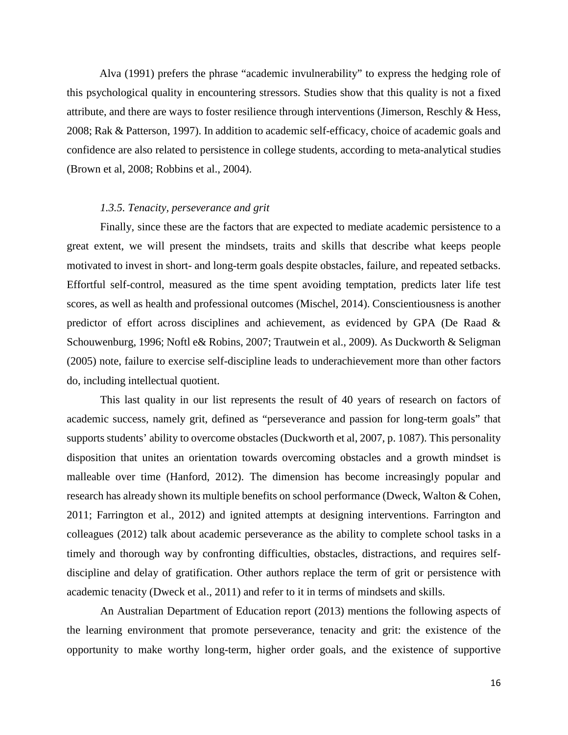Alva (1991) prefers the phrase "academic invulnerability" to express the hedging role of this psychological quality in encountering stressors. Studies show that this quality is not a fixed attribute, and there are ways to foster resilience through interventions (Jimerson, Reschly & Hess, 2008; Rak & Patterson, 1997). In addition to academic self-efficacy, choice of academic goals and confidence are also related to persistence in college students, according to meta-analytical studies (Brown et al, 2008; Robbins et al., 2004).

#### *1.3.5. Tenacity, perseverance and grit*

Finally, since these are the factors that are expected to mediate academic persistence to a great extent, we will present the mindsets, traits and skills that describe what keeps people motivated to invest in short- and long-term goals despite obstacles, failure, and repeated setbacks. Effortful self-control, measured as the time spent avoiding temptation, predicts later life test scores, as well as health and professional outcomes (Mischel, 2014). Conscientiousness is another predictor of effort across disciplines and achievement, as evidenced by GPA (De Raad & Schouwenburg, 1996; Noftl e& Robins, 2007; Trautwein et al., 2009). As Duckworth & Seligman (2005) note, failure to exercise self-discipline leads to underachievement more than other factors do, including intellectual quotient.

This last quality in our list represents the result of 40 years of research on factors of academic success, namely grit, defined as "perseverance and passion for long-term goals" that supports students' ability to overcome obstacles (Duckworth et al, 2007, p. 1087). This personality disposition that unites an orientation towards overcoming obstacles and a growth mindset is malleable over time (Hanford, 2012). The dimension has become increasingly popular and research has already shown its multiple benefits on school performance (Dweck, Walton & Cohen, 2011; Farrington et al., 2012) and ignited attempts at designing interventions. Farrington and colleagues (2012) talk about academic perseverance as the ability to complete school tasks in a timely and thorough way by confronting difficulties, obstacles, distractions, and requires selfdiscipline and delay of gratification. Other authors replace the term of grit or persistence with academic tenacity (Dweck et al., 2011) and refer to it in terms of mindsets and skills.

An Australian Department of Education report (2013) mentions the following aspects of the learning environment that promote perseverance, tenacity and grit: the existence of the opportunity to make worthy long-term, higher order goals, and the existence of supportive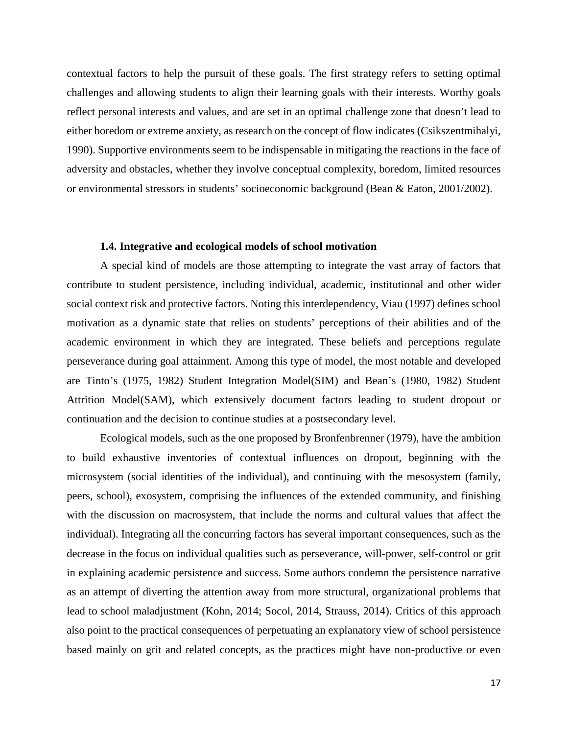contextual factors to help the pursuit of these goals. The first strategy refers to setting optimal challenges and allowing students to align their learning goals with their interests. Worthy goals reflect personal interests and values, and are set in an optimal challenge zone that doesn't lead to either boredom or extreme anxiety, as research on the concept of flow indicates (Csikszentmihalyi, 1990). Supportive environments seem to be indispensable in mitigating the reactions in the face of adversity and obstacles, whether they involve conceptual complexity, boredom, limited resources or environmental stressors in students' socioeconomic background (Bean & Eaton, 2001/2002).

#### **1.4. Integrative and ecological models of school motivation**

<span id="page-16-0"></span>A special kind of models are those attempting to integrate the vast array of factors that contribute to student persistence, including individual, academic, institutional and other wider social context risk and protective factors. Noting this interdependency, Viau (1997) defines school motivation as a dynamic state that relies on students' perceptions of their abilities and of the academic environment in which they are integrated. These beliefs and perceptions regulate perseverance during goal attainment. Among this type of model, the most notable and developed are Tinto's (1975, 1982) Student Integration Model(SIM) and Bean's (1980, 1982) Student Attrition Model(SAM), which extensively document factors leading to student dropout or continuation and the decision to continue studies at a postsecondary level.

Ecological models, such as the one proposed by Bronfenbrenner (1979), have the ambition to build exhaustive inventories of contextual influences on dropout, beginning with the microsystem (social identities of the individual), and continuing with the mesosystem (family, peers, school), exosystem, comprising the influences of the extended community, and finishing with the discussion on macrosystem, that include the norms and cultural values that affect the individual). Integrating all the concurring factors has several important consequences, such as the decrease in the focus on individual qualities such as perseverance, will-power, self-control or grit in explaining academic persistence and success. Some authors condemn the persistence narrative as an attempt of diverting the attention away from more structural, organizational problems that lead to school maladjustment (Kohn, 2014; Socol, 2014, Strauss, 2014). Critics of this approach also point to the practical consequences of perpetuating an explanatory view of school persistence based mainly on grit and related concepts, as the practices might have non-productive or even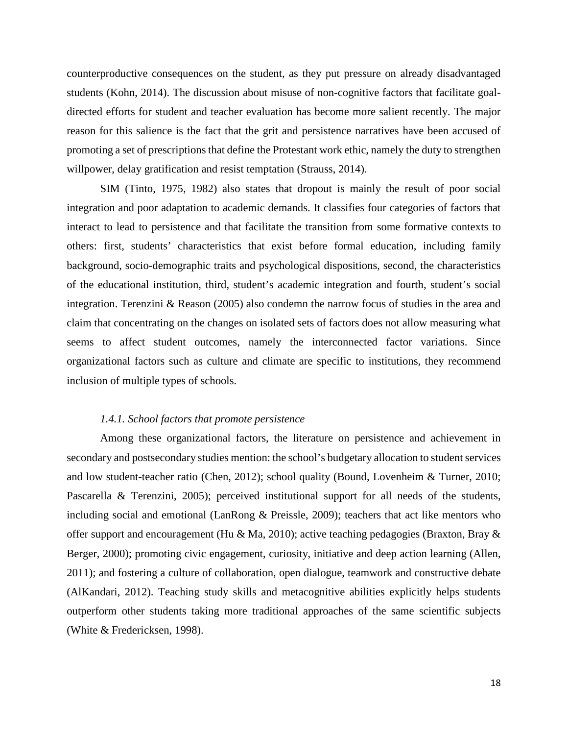counterproductive consequences on the student, as they put pressure on already disadvantaged students (Kohn, 2014). The discussion about misuse of non-cognitive factors that facilitate goaldirected efforts for student and teacher evaluation has become more salient recently. The major reason for this salience is the fact that the grit and persistence narratives have been accused of promoting a set of prescriptions that define the Protestant work ethic, namely the duty to strengthen willpower, delay gratification and resist temptation (Strauss, 2014).

SIM (Tinto, 1975, 1982) also states that dropout is mainly the result of poor social integration and poor adaptation to academic demands. It classifies four categories of factors that interact to lead to persistence and that facilitate the transition from some formative contexts to others: first, students' characteristics that exist before formal education, including family background, socio-demographic traits and psychological dispositions, second, the characteristics of the educational institution, third, student's academic integration and fourth, student's social integration. Terenzini & Reason (2005) also condemn the narrow focus of studies in the area and claim that concentrating on the changes on isolated sets of factors does not allow measuring what seems to affect student outcomes, namely the interconnected factor variations. Since organizational factors such as culture and climate are specific to institutions, they recommend inclusion of multiple types of schools.

# *1.4.1. School factors that promote persistence*

Among these organizational factors, the literature on persistence and achievement in secondary and postsecondary studies mention: the school's budgetary allocation to student services and low student-teacher ratio (Chen, 2012); school quality (Bound, Lovenheim & Turner, 2010; Pascarella & Terenzini, 2005); perceived institutional support for all needs of the students, including social and emotional (LanRong & Preissle, 2009); teachers that act like mentors who offer support and encouragement (Hu & Ma, 2010); active teaching pedagogies (Braxton, Bray & Berger, 2000); promoting civic engagement, curiosity, initiative and deep action learning (Allen, 2011); and fostering a culture of collaboration, open dialogue, teamwork and constructive debate (AlKandari, 2012). Teaching study skills and metacognitive abilities explicitly helps students outperform other students taking more traditional approaches of the same scientific subjects (White & Fredericksen, 1998).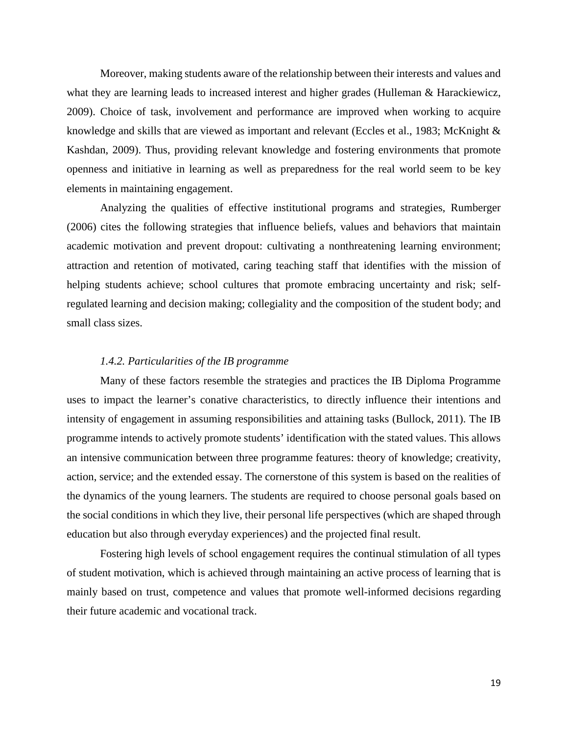Moreover, making students aware of the relationship between their interests and values and what they are learning leads to increased interest and higher grades (Hulleman & Harackiewicz, 2009). Choice of task, involvement and performance are improved when working to acquire knowledge and skills that are viewed as important and relevant (Eccles et al., 1983; McKnight & Kashdan, 2009). Thus, providing relevant knowledge and fostering environments that promote openness and initiative in learning as well as preparedness for the real world seem to be key elements in maintaining engagement.

Analyzing the qualities of effective institutional programs and strategies, Rumberger (2006) cites the following strategies that influence beliefs, values and behaviors that maintain academic motivation and prevent dropout: cultivating a nonthreatening learning environment; attraction and retention of motivated, caring teaching staff that identifies with the mission of helping students achieve; school cultures that promote embracing uncertainty and risk; selfregulated learning and decision making; collegiality and the composition of the student body; and small class sizes.

#### *1.4.2. Particularities of the IB programme*

Many of these factors resemble the strategies and practices the IB Diploma Programme uses to impact the learner's conative characteristics, to directly influence their intentions and intensity of engagement in assuming responsibilities and attaining tasks (Bullock, 2011). The IB programme intends to actively promote students' identification with the stated values. This allows an intensive communication between three programme features: theory of knowledge; creativity, action, service; and the extended essay. The cornerstone of this system is based on the realities of the dynamics of the young learners. The students are required to choose personal goals based on the social conditions in which they live, their personal life perspectives (which are shaped through education but also through everyday experiences) and the projected final result.

Fostering high levels of school engagement requires the continual stimulation of all types of student motivation, which is achieved through maintaining an active process of learning that is mainly based on trust, competence and values that promote well-informed decisions regarding their future academic and vocational track.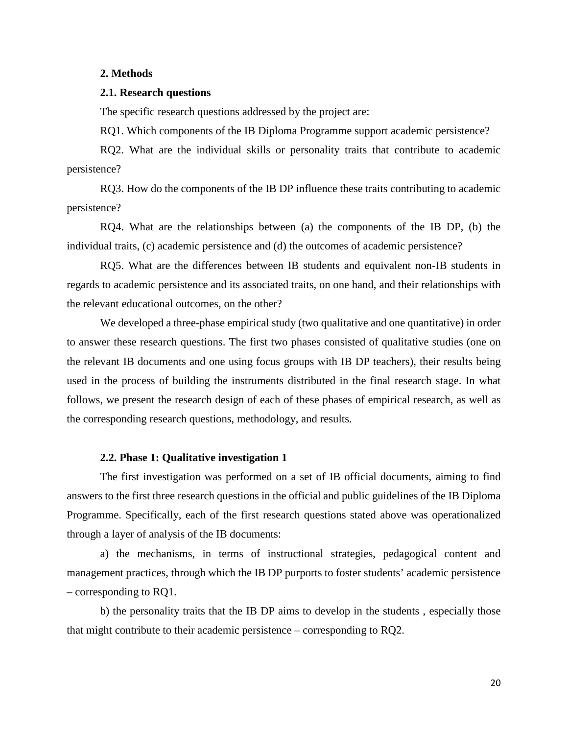# <span id="page-19-0"></span>**2. Methods**

# <span id="page-19-1"></span>**2.1. Research questions**

The specific research questions addressed by the project are:

RQ1. Which components of the IB Diploma Programme support academic persistence?

RQ2. What are the individual skills or personality traits that contribute to academic persistence?

RQ3. How do the components of the IB DP influence these traits contributing to academic persistence?

RQ4. What are the relationships between (a) the components of the IB DP, (b) the individual traits, (c) academic persistence and (d) the outcomes of academic persistence?

RQ5. What are the differences between IB students and equivalent non-IB students in regards to academic persistence and its associated traits, on one hand, and their relationships with the relevant educational outcomes, on the other?

We developed a three-phase empirical study (two qualitative and one quantitative) in order to answer these research questions. The first two phases consisted of qualitative studies (one on the relevant IB documents and one using focus groups with IB DP teachers), their results being used in the process of building the instruments distributed in the final research stage. In what follows, we present the research design of each of these phases of empirical research, as well as the corresponding research questions, methodology, and results.

#### **2.2. Phase 1: Qualitative investigation 1**

<span id="page-19-2"></span>The first investigation was performed on a set of IB official documents, aiming to find answers to the first three research questions in the official and public guidelines of the IB Diploma Programme. Specifically, each of the first research questions stated above was operationalized through a layer of analysis of the IB documents:

a) the mechanisms, in terms of instructional strategies, pedagogical content and management practices, through which the IB DP purports to foster students' academic persistence – corresponding to RQ1.

b) the personality traits that the IB DP aims to develop in the students , especially those that might contribute to their academic persistence – corresponding to RQ2.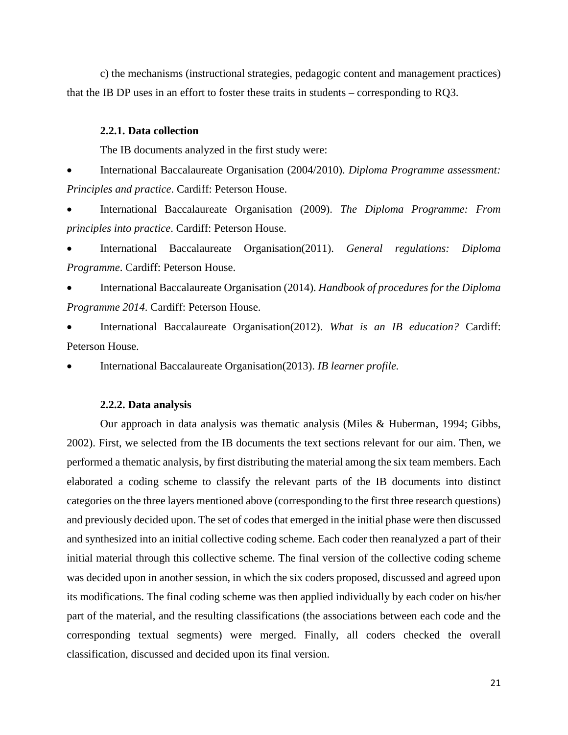c) the mechanisms (instructional strategies, pedagogic content and management practices) that the IB DP uses in an effort to foster these traits in students – corresponding to RQ3.

#### <span id="page-20-0"></span>**2.2.1. Data collection**

The IB documents analyzed in the first study were:

• International Baccalaureate Organisation (2004/2010). *Diploma Programme assessment: Principles and practice*. Cardiff: Peterson House.

• International Baccalaureate Organisation (2009). *The Diploma Programme: From principles into practice*. Cardiff: Peterson House.

• International Baccalaureate Organisation(2011). *General regulations: Diploma Programme*. Cardiff: Peterson House.

• International Baccalaureate Organisation (2014). *Handbook of procedures for the Diploma Programme 2014*. Cardiff: Peterson House.

• International Baccalaureate Organisation(2012). *What is an IB education?* Cardiff: Peterson House.

• International Baccalaureate Organisation(2013). *IB learner profile.*

#### **2.2.2. Data analysis**

<span id="page-20-1"></span>Our approach in data analysis was thematic analysis (Miles & Huberman, 1994; Gibbs, 2002). First, we selected from the IB documents the text sections relevant for our aim. Then, we performed a thematic analysis, by first distributing the material among the six team members. Each elaborated a coding scheme to classify the relevant parts of the IB documents into distinct categories on the three layers mentioned above (corresponding to the first three research questions) and previously decided upon. The set of codes that emerged in the initial phase were then discussed and synthesized into an initial collective coding scheme. Each coder then reanalyzed a part of their initial material through this collective scheme. The final version of the collective coding scheme was decided upon in another session, in which the six coders proposed, discussed and agreed upon its modifications. The final coding scheme was then applied individually by each coder on his/her part of the material, and the resulting classifications (the associations between each code and the corresponding textual segments) were merged. Finally, all coders checked the overall classification, discussed and decided upon its final version.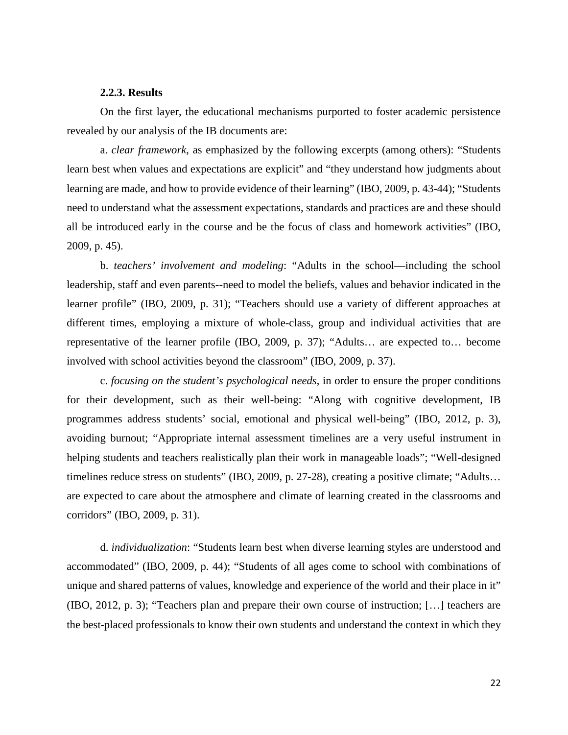### **2.2.3. Results**

<span id="page-21-0"></span>On the first layer, the educational mechanisms purported to foster academic persistence revealed by our analysis of the IB documents are:

a. *clear framework*, as emphasized by the following excerpts (among others): "Students learn best when values and expectations are explicit" and "they understand how judgments about learning are made, and how to provide evidence of their learning" (IBO, 2009, p. 43-44); "Students need to understand what the assessment expectations, standards and practices are and these should all be introduced early in the course and be the focus of class and homework activities" (IBO, 2009, p. 45).

b. *teachers' involvement and modeling*: "Adults in the school—including the school leadership, staff and even parents--need to model the beliefs, values and behavior indicated in the learner profile" (IBO, 2009, p. 31); "Teachers should use a variety of different approaches at different times, employing a mixture of whole-class, group and individual activities that are representative of the learner profile (IBO, 2009, p. 37); "Adults… are expected to… become involved with school activities beyond the classroom" (IBO, 2009, p. 37).

c. *focusing on the student's psychological needs*, in order to ensure the proper conditions for their development, such as their well-being: "Along with cognitive development, IB programmes address students' social, emotional and physical well-being" (IBO, 2012, p. 3), avoiding burnout; "Appropriate internal assessment timelines are a very useful instrument in helping students and teachers realistically plan their work in manageable loads"; "Well-designed timelines reduce stress on students" (IBO, 2009, p. 27-28), creating a positive climate; "Adults… are expected to care about the atmosphere and climate of learning created in the classrooms and corridors" (IBO, 2009, p. 31).

d. *individualization*: "Students learn best when diverse learning styles are understood and accommodated" (IBO, 2009, p. 44); "Students of all ages come to school with combinations of unique and shared patterns of values, knowledge and experience of the world and their place in it" (IBO, 2012, p. 3); "Teachers plan and prepare their own course of instruction; […] teachers are the best-placed professionals to know their own students and understand the context in which they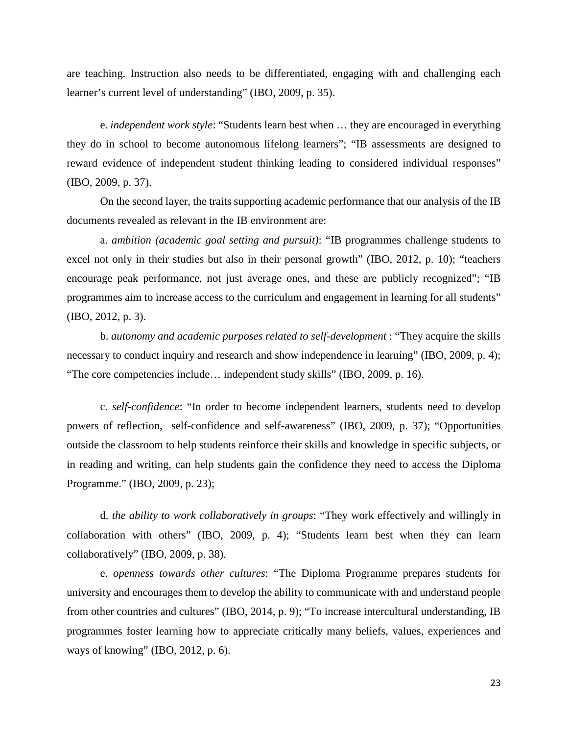are teaching. Instruction also needs to be differentiated, engaging with and challenging each learner's current level of understanding" (IBO, 2009, p. 35).

e. *independent work style*: "Students learn best when … they are encouraged in everything they do in school to become autonomous lifelong learners"; "IB assessments are designed to reward evidence of independent student thinking leading to considered individual responses" (IBO, 2009, p. 37).

On the second layer, the traits supporting academic performance that our analysis of the IB documents revealed as relevant in the IB environment are:

a. *ambition (academic goal setting and pursuit)*: "IB programmes challenge students to excel not only in their studies but also in their personal growth" (IBO, 2012, p. 10); "teachers encourage peak performance, not just average ones, and these are publicly recognized"; "IB programmes aim to increase access to the curriculum and engagement in learning for all students" (IBO, 2012, p. 3).

b. *autonomy and academic purposes related to self-development* : "They acquire the skills necessary to conduct inquiry and research and show independence in learning" (IBO, 2009, p. 4); "The core competencies include… independent study skills" (IBO, 2009, p. 16).

c. *self-confidence*: "In order to become independent learners, students need to develop powers of reflection, self-confidence and self-awareness" (IBO, 2009, p. 37); "Opportunities outside the classroom to help students reinforce their skills and knowledge in specific subjects, or in reading and writing, can help students gain the confidence they need to access the Diploma Programme." (IBO, 2009, p. 23);

d. *the ability to work collaboratively in groups*: "They work effectively and willingly in collaboration with others" (IBO, 2009, p. 4); "Students learn best when they can learn collaboratively" (IBO, 2009, p. 38).

e. *openness towards other cultures*: "The Diploma Programme prepares students for university and encourages them to develop the ability to communicate with and understand people from other countries and cultures" (IBO, 2014, p. 9); "To increase intercultural understanding, IB programmes foster learning how to appreciate critically many beliefs, values, experiences and ways of knowing" (IBO, 2012, p. 6).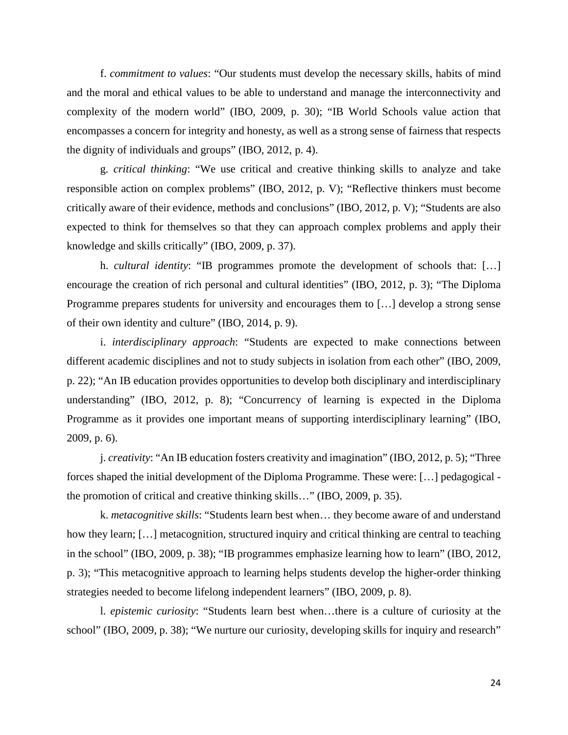f. *commitment to values*: "Our students must develop the necessary skills, habits of mind and the moral and ethical values to be able to understand and manage the interconnectivity and complexity of the modern world" (IBO, 2009, p. 30); "IB World Schools value action that encompasses a concern for integrity and honesty, as well as a strong sense of fairness that respects the dignity of individuals and groups" (IBO, 2012, p. 4).

g. *critical thinking*: "We use critical and creative thinking skills to analyze and take responsible action on complex problems" (IBO, 2012, p. V); "Reflective thinkers must become critically aware of their evidence, methods and conclusions" (IBO, 2012, p. V); "Students are also expected to think for themselves so that they can approach complex problems and apply their knowledge and skills critically" (IBO, 2009, p. 37).

h. *cultural identity*: "IB programmes promote the development of schools that: […] encourage the creation of rich personal and cultural identities" (IBO, 2012, p. 3); "The Diploma Programme prepares students for university and encourages them to […] develop a strong sense of their own identity and culture" (IBO, 2014, p. 9).

i. *interdisciplinary approach*: "Students are expected to make connections between different academic disciplines and not to study subjects in isolation from each other" (IBO, 2009, p. 22); "An IB education provides opportunities to develop both disciplinary and interdisciplinary understanding" (IBO, 2012, p. 8); "Concurrency of learning is expected in the Diploma Programme as it provides one important means of supporting interdisciplinary learning" (IBO, 2009, p. 6).

j. *creativity*: "An IB education fosters creativity and imagination" (IBO, 2012, p. 5); "Three forces shaped the initial development of the Diploma Programme. These were: […] pedagogical the promotion of critical and creative thinking skills…" (IBO, 2009, p. 35).

k. *metacognitive skills*: "Students learn best when… they become aware of and understand how they learn; [...] metacognition, structured inquiry and critical thinking are central to teaching in the school" (IBO, 2009, p. 38); "IB programmes emphasize learning how to learn" (IBO, 2012, p. 3); "This metacognitive approach to learning helps students develop the higher-order thinking strategies needed to become lifelong independent learners" (IBO, 2009, p. 8).

l. *epistemic curiosity*: "Students learn best when…there is a culture of curiosity at the school" (IBO, 2009, p. 38); "We nurture our curiosity, developing skills for inquiry and research"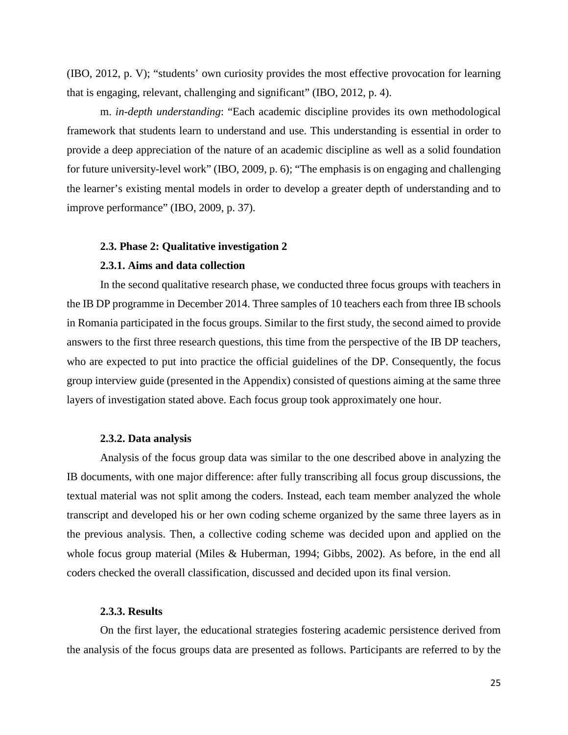(IBO, 2012, p. V); "students' own curiosity provides the most effective provocation for learning that is engaging, relevant, challenging and significant" (IBO, 2012, p. 4).

m. *in-depth understanding*: "Each academic discipline provides its own methodological framework that students learn to understand and use. This understanding is essential in order to provide a deep appreciation of the nature of an academic discipline as well as a solid foundation for future university-level work" (IBO, 2009, p. 6); "The emphasis is on engaging and challenging the learner's existing mental models in order to develop a greater depth of understanding and to improve performance" (IBO, 2009, p. 37).

#### <span id="page-24-0"></span>**2.3. Phase 2: Qualitative investigation 2**

# **2.3.1. Aims and data collection**

<span id="page-24-1"></span>In the second qualitative research phase, we conducted three focus groups with teachers in the IB DP programme in December 2014. Three samples of 10 teachers each from three IB schools in Romania participated in the focus groups. Similar to the first study, the second aimed to provide answers to the first three research questions, this time from the perspective of the IB DP teachers, who are expected to put into practice the official guidelines of the DP. Consequently, the focus group interview guide (presented in the Appendix) consisted of questions aiming at the same three layers of investigation stated above. Each focus group took approximately one hour.

#### **2.3.2. Data analysis**

<span id="page-24-2"></span>Analysis of the focus group data was similar to the one described above in analyzing the IB documents, with one major difference: after fully transcribing all focus group discussions, the textual material was not split among the coders. Instead, each team member analyzed the whole transcript and developed his or her own coding scheme organized by the same three layers as in the previous analysis. Then, a collective coding scheme was decided upon and applied on the whole focus group material (Miles & Huberman, 1994; Gibbs, 2002). As before, in the end all coders checked the overall classification, discussed and decided upon its final version.

#### **2.3.3. Results**

<span id="page-24-3"></span>On the first layer, the educational strategies fostering academic persistence derived from the analysis of the focus groups data are presented as follows. Participants are referred to by the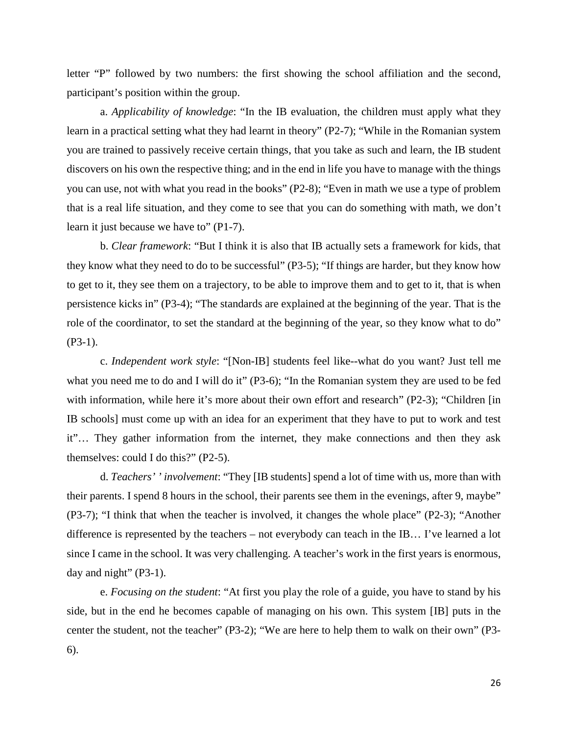letter "P" followed by two numbers: the first showing the school affiliation and the second, participant's position within the group.

a. *Applicability of knowledge*: "In the IB evaluation, the children must apply what they learn in a practical setting what they had learnt in theory" (P2-7); "While in the Romanian system you are trained to passively receive certain things, that you take as such and learn, the IB student discovers on his own the respective thing; and in the end in life you have to manage with the things you can use, not with what you read in the books" (P2-8); "Even in math we use a type of problem that is a real life situation, and they come to see that you can do something with math, we don't learn it just because we have to" (P1-7).

b. *Clear framework*: "But I think it is also that IB actually sets a framework for kids, that they know what they need to do to be successful" (P3-5); "If things are harder, but they know how to get to it, they see them on a trajectory, to be able to improve them and to get to it, that is when persistence kicks in" (P3-4); "The standards are explained at the beginning of the year. That is the role of the coordinator, to set the standard at the beginning of the year, so they know what to do" (P3-1).

c. *Independent work style*: "[Non-IB] students feel like--what do you want? Just tell me what you need me to do and I will do it" (P3-6); "In the Romanian system they are used to be fed with information, while here it's more about their own effort and research" (P2-3); "Children [in IB schools] must come up with an idea for an experiment that they have to put to work and test it"… They gather information from the internet, they make connections and then they ask themselves: could I do this?" (P2-5).

d. *Teachers' ' involvement*: "They [IB students] spend a lot of time with us, more than with their parents. I spend 8 hours in the school, their parents see them in the evenings, after 9, maybe" (P3-7); "I think that when the teacher is involved, it changes the whole place" (P2-3); "Another difference is represented by the teachers – not everybody can teach in the IB… I've learned a lot since I came in the school. It was very challenging. A teacher's work in the first years is enormous, day and night"  $(P3-1)$ .

e. *Focusing on the student*: "At first you play the role of a guide, you have to stand by his side, but in the end he becomes capable of managing on his own. This system [IB] puts in the center the student, not the teacher" (P3-2); "We are here to help them to walk on their own" (P3- 6).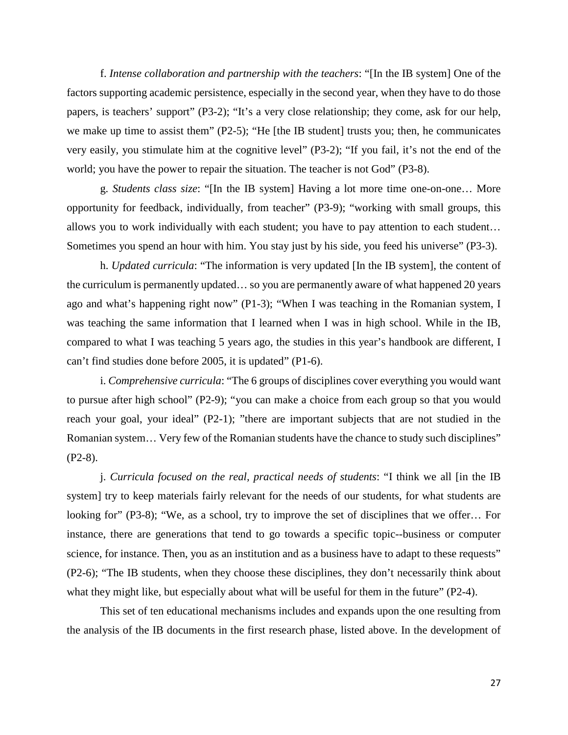f. *Intense collaboration and partnership with the teachers*: "[In the IB system] One of the factors supporting academic persistence, especially in the second year, when they have to do those papers, is teachers' support" (P3-2); "It's a very close relationship; they come, ask for our help, we make up time to assist them" (P2-5); "He [the IB student] trusts you; then, he communicates very easily, you stimulate him at the cognitive level" (P3-2); "If you fail, it's not the end of the world; you have the power to repair the situation. The teacher is not God" (P3-8).

g. *Students class size*: "[In the IB system] Having a lot more time one-on-one… More opportunity for feedback, individually, from teacher" (P3-9); "working with small groups, this allows you to work individually with each student; you have to pay attention to each student… Sometimes you spend an hour with him. You stay just by his side, you feed his universe" (P3-3).

h. *Updated curricula*: "The information is very updated [In the IB system], the content of the curriculum is permanently updated… so you are permanently aware of what happened 20 years ago and what's happening right now" (P1-3); "When I was teaching in the Romanian system, I was teaching the same information that I learned when I was in high school. While in the IB, compared to what I was teaching 5 years ago, the studies in this year's handbook are different, I can't find studies done before 2005, it is updated" (P1-6).

i. *Comprehensive curricula*: "The 6 groups of disciplines cover everything you would want to pursue after high school" (P2-9); "you can make a choice from each group so that you would reach your goal, your ideal" (P2-1); "there are important subjects that are not studied in the Romanian system… Very few of the Romanian students have the chance to study such disciplines" (P2-8).

j. *Curricula focused on the real, practical needs of students*: "I think we all [in the IB system] try to keep materials fairly relevant for the needs of our students, for what students are looking for" (P3-8); "We, as a school, try to improve the set of disciplines that we offer… For instance, there are generations that tend to go towards a specific topic--business or computer science, for instance. Then, you as an institution and as a business have to adapt to these requests" (P2-6); "The IB students, when they choose these disciplines, they don't necessarily think about what they might like, but especially about what will be useful for them in the future" (P2-4).

This set of ten educational mechanisms includes and expands upon the one resulting from the analysis of the IB documents in the first research phase, listed above. In the development of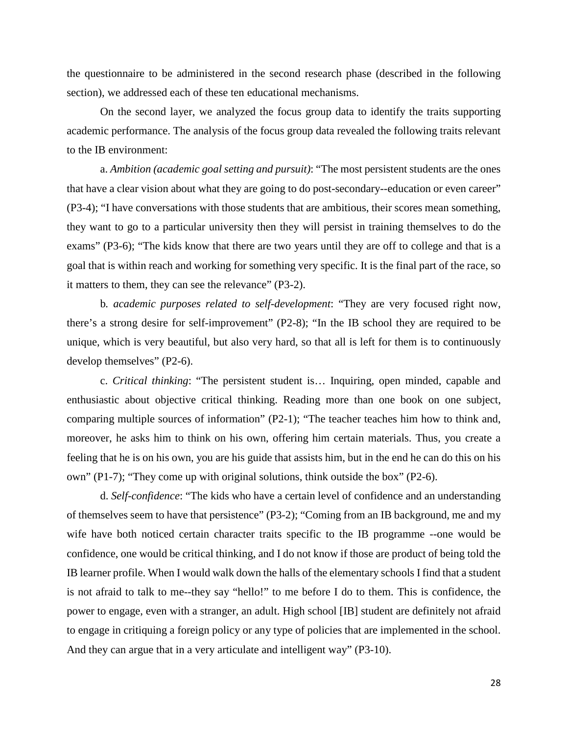the questionnaire to be administered in the second research phase (described in the following section), we addressed each of these ten educational mechanisms.

On the second layer, we analyzed the focus group data to identify the traits supporting academic performance. The analysis of the focus group data revealed the following traits relevant to the IB environment:

a. *Ambition (academic goal setting and pursuit)*: "The most persistent students are the ones that have a clear vision about what they are going to do post-secondary--education or even career" (P3-4); "I have conversations with those students that are ambitious, their scores mean something, they want to go to a particular university then they will persist in training themselves to do the exams" (P3-6); "The kids know that there are two years until they are off to college and that is a goal that is within reach and working for something very specific. It is the final part of the race, so it matters to them, they can see the relevance" (P3-2).

b*. academic purposes related to self-development*: "They are very focused right now, there's a strong desire for self-improvement" (P2-8); "In the IB school they are required to be unique, which is very beautiful, but also very hard, so that all is left for them is to continuously develop themselves" (P2-6).

c. *Critical thinking*: "The persistent student is… Inquiring, open minded, capable and enthusiastic about objective critical thinking. Reading more than one book on one subject, comparing multiple sources of information" (P2-1); "The teacher teaches him how to think and, moreover, he asks him to think on his own, offering him certain materials. Thus, you create a feeling that he is on his own, you are his guide that assists him, but in the end he can do this on his own" (P1-7); "They come up with original solutions, think outside the box" (P2-6).

d. *Self-confidence*: "The kids who have a certain level of confidence and an understanding of themselves seem to have that persistence" (P3-2); "Coming from an IB background, me and my wife have both noticed certain character traits specific to the IB programme --one would be confidence, one would be critical thinking, and I do not know if those are product of being told the IB learner profile. When I would walk down the halls of the elementary schools I find that a student is not afraid to talk to me--they say "hello!" to me before I do to them. This is confidence, the power to engage, even with a stranger, an adult. High school [IB] student are definitely not afraid to engage in critiquing a foreign policy or any type of policies that are implemented in the school. And they can argue that in a very articulate and intelligent way" (P3-10).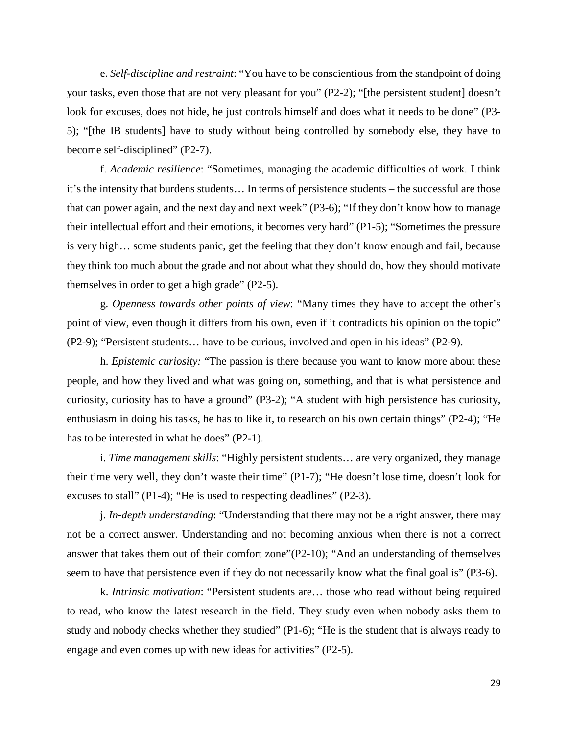e. *Self-discipline and restraint*: "You have to be conscientious from the standpoint of doing your tasks, even those that are not very pleasant for you" (P2-2); "[the persistent student] doesn't look for excuses, does not hide, he just controls himself and does what it needs to be done" (P3- 5); "[the IB students] have to study without being controlled by somebody else, they have to become self-disciplined" (P2-7).

f. *Academic resilience*: "Sometimes, managing the academic difficulties of work. I think it's the intensity that burdens students… In terms of persistence students – the successful are those that can power again, and the next day and next week" (P3-6); "If they don't know how to manage their intellectual effort and their emotions, it becomes very hard" (P1-5); "Sometimes the pressure is very high… some students panic, get the feeling that they don't know enough and fail, because they think too much about the grade and not about what they should do, how they should motivate themselves in order to get a high grade" (P2-5).

g. *Openness towards other points of view*: "Many times they have to accept the other's point of view, even though it differs from his own, even if it contradicts his opinion on the topic" (P2-9); "Persistent students… have to be curious, involved and open in his ideas" (P2-9).

h. *Epistemic curiosity:* "The passion is there because you want to know more about these people, and how they lived and what was going on, something, and that is what persistence and curiosity, curiosity has to have a ground" (P3-2); "A student with high persistence has curiosity, enthusiasm in doing his tasks, he has to like it, to research on his own certain things" (P2-4); "He has to be interested in what he does" (P2-1).

i. *Time management skills*: "Highly persistent students… are very organized, they manage their time very well, they don't waste their time" (P1-7); "He doesn't lose time, doesn't look for excuses to stall" (P1-4); "He is used to respecting deadlines" (P2-3).

j. *In-depth understanding*: "Understanding that there may not be a right answer, there may not be a correct answer. Understanding and not becoming anxious when there is not a correct answer that takes them out of their comfort zone"(P2-10); "And an understanding of themselves seem to have that persistence even if they do not necessarily know what the final goal is" (P3-6).

k. *Intrinsic motivation*: "Persistent students are… those who read without being required to read, who know the latest research in the field. They study even when nobody asks them to study and nobody checks whether they studied" (P1-6); "He is the student that is always ready to engage and even comes up with new ideas for activities" (P2-5).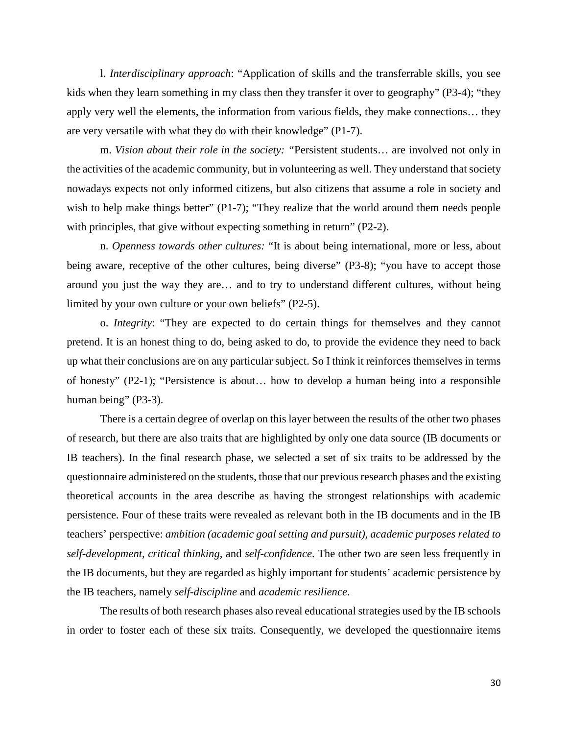l. *Interdisciplinary approach*: "Application of skills and the transferrable skills, you see kids when they learn something in my class then they transfer it over to geography" (P3-4); "they apply very well the elements, the information from various fields, they make connections… they are very versatile with what they do with their knowledge" (P1-7).

m. *Vision about their role in the society: "*Persistent students… are involved not only in the activities of the academic community, but in volunteering as well. They understand that society nowadays expects not only informed citizens, but also citizens that assume a role in society and wish to help make things better" (P1-7); "They realize that the world around them needs people with principles, that give without expecting something in return" (P2-2).

n. *Openness towards other cultures:* "It is about being international, more or less, about being aware, receptive of the other cultures, being diverse" (P3-8); "you have to accept those around you just the way they are… and to try to understand different cultures, without being limited by your own culture or your own beliefs" (P2-5).

o. *Integrity*: "They are expected to do certain things for themselves and they cannot pretend. It is an honest thing to do, being asked to do, to provide the evidence they need to back up what their conclusions are on any particular subject. So I think it reinforces themselves in terms of honesty" (P2-1); "Persistence is about… how to develop a human being into a responsible human being" (P3-3).

There is a certain degree of overlap on this layer between the results of the other two phases of research, but there are also traits that are highlighted by only one data source (IB documents or IB teachers). In the final research phase, we selected a set of six traits to be addressed by the questionnaire administered on the students, those that our previous research phases and the existing theoretical accounts in the area describe as having the strongest relationships with academic persistence. Four of these traits were revealed as relevant both in the IB documents and in the IB teachers' perspective: *ambition (academic goal setting and pursuit), academic purposes related to self-development, critical thinking,* and *self-confidence*. The other two are seen less frequently in the IB documents, but they are regarded as highly important for students' academic persistence by the IB teachers, namely *self-discipline* and *academic resilience*.

The results of both research phases also reveal educational strategies used by the IB schools in order to foster each of these six traits. Consequently, we developed the questionnaire items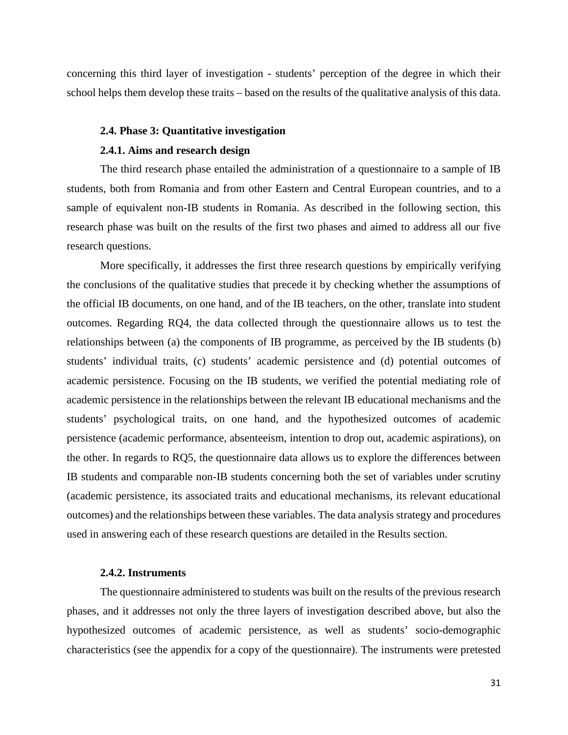concerning this third layer of investigation - students' perception of the degree in which their school helps them develop these traits – based on the results of the qualitative analysis of this data.

#### <span id="page-30-0"></span>**2.4. Phase 3: Quantitative investigation**

# **2.4.1. Aims and research design**

<span id="page-30-1"></span>The third research phase entailed the administration of a questionnaire to a sample of IB students, both from Romania and from other Eastern and Central European countries, and to a sample of equivalent non-IB students in Romania. As described in the following section, this research phase was built on the results of the first two phases and aimed to address all our five research questions.

More specifically, it addresses the first three research questions by empirically verifying the conclusions of the qualitative studies that precede it by checking whether the assumptions of the official IB documents, on one hand, and of the IB teachers, on the other, translate into student outcomes. Regarding RQ4, the data collected through the questionnaire allows us to test the relationships between (a) the components of IB programme, as perceived by the IB students (b) students' individual traits, (c) students' academic persistence and (d) potential outcomes of academic persistence. Focusing on the IB students, we verified the potential mediating role of academic persistence in the relationships between the relevant IB educational mechanisms and the students' psychological traits, on one hand, and the hypothesized outcomes of academic persistence (academic performance, absenteeism, intention to drop out, academic aspirations), on the other. In regards to RQ5, the questionnaire data allows us to explore the differences between IB students and comparable non-IB students concerning both the set of variables under scrutiny (academic persistence, its associated traits and educational mechanisms, its relevant educational outcomes) and the relationships between these variables. The data analysis strategy and procedures used in answering each of these research questions are detailed in the Results section.

# **2.4.2. Instruments**

<span id="page-30-2"></span>The questionnaire administered to students was built on the results of the previous research phases, and it addresses not only the three layers of investigation described above, but also the hypothesized outcomes of academic persistence, as well as students' socio-demographic characteristics (see the appendix for a copy of the questionnaire). The instruments were pretested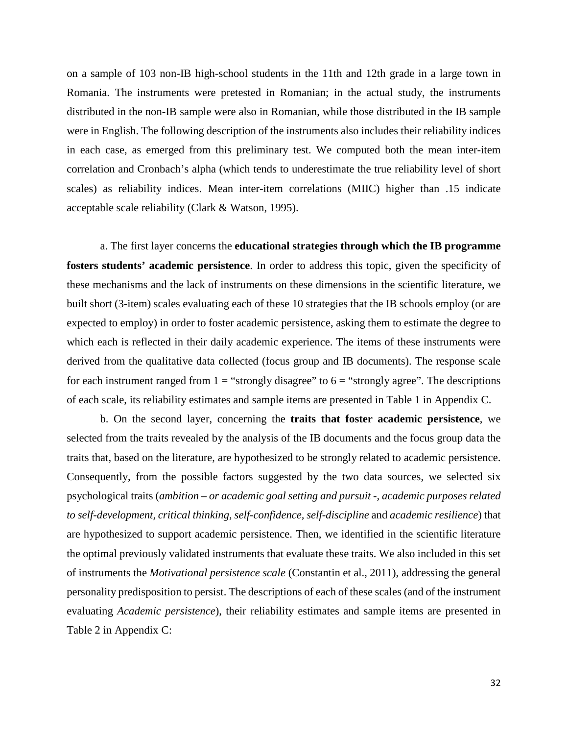on a sample of 103 non-IB high-school students in the 11th and 12th grade in a large town in Romania. The instruments were pretested in Romanian; in the actual study, the instruments distributed in the non-IB sample were also in Romanian, while those distributed in the IB sample were in English. The following description of the instruments also includes their reliability indices in each case, as emerged from this preliminary test. We computed both the mean inter-item correlation and Cronbach's alpha (which tends to underestimate the true reliability level of short scales) as reliability indices. Mean inter-item correlations (MIIC) higher than .15 indicate acceptable scale reliability (Clark & Watson, 1995).

a. The first layer concerns the **educational strategies through which the IB programme fosters students' academic persistence**. In order to address this topic, given the specificity of these mechanisms and the lack of instruments on these dimensions in the scientific literature, we built short (3-item) scales evaluating each of these 10 strategies that the IB schools employ (or are expected to employ) in order to foster academic persistence, asking them to estimate the degree to which each is reflected in their daily academic experience. The items of these instruments were derived from the qualitative data collected (focus group and IB documents). The response scale for each instrument ranged from  $1 =$  "strongly disagree" to  $6 =$  "strongly agree". The descriptions of each scale, its reliability estimates and sample items are presented in Table 1 in Appendix C.

b. On the second layer, concerning the **traits that foster academic persistence**, we selected from the traits revealed by the analysis of the IB documents and the focus group data the traits that, based on the literature, are hypothesized to be strongly related to academic persistence. Consequently, from the possible factors suggested by the two data sources, we selected six psychological traits (*ambition – or academic goal setting and pursuit -, academic purposes related to self-development, critical thinking, self-confidence, self-discipline* and *academic resilience*) that are hypothesized to support academic persistence. Then, we identified in the scientific literature the optimal previously validated instruments that evaluate these traits. We also included in this set of instruments the *Motivational persistence scale* (Constantin et al., 2011), addressing the general personality predisposition to persist. The descriptions of each of these scales (and of the instrument evaluating *Academic persistence*), their reliability estimates and sample items are presented in Table 2 in Appendix C: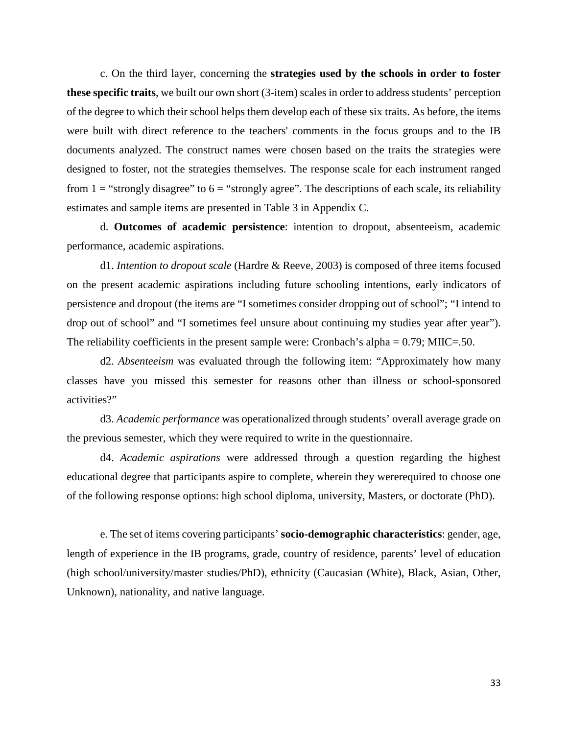c. On the third layer, concerning the **strategies used by the schools in order to foster these specific traits**, we built our own short (3-item) scales in order to address students' perception of the degree to which their school helps them develop each of these six traits. As before, the items were built with direct reference to the teachers' comments in the focus groups and to the IB documents analyzed. The construct names were chosen based on the traits the strategies were designed to foster, not the strategies themselves. The response scale for each instrument ranged from  $1 =$  "strongly disagree" to  $6 =$  "strongly agree". The descriptions of each scale, its reliability estimates and sample items are presented in Table 3 in Appendix C.

d. **Outcomes of academic persistence**: intention to dropout, absenteeism, academic performance, academic aspirations.

d1. *Intention to dropout scale* (Hardre & Reeve, 2003) is composed of three items focused on the present academic aspirations including future schooling intentions, early indicators of persistence and dropout (the items are "I sometimes consider dropping out of school"; "I intend to drop out of school" and "I sometimes feel unsure about continuing my studies year after year"). The reliability coefficients in the present sample were: Cronbach's alpha  $= 0.79$ ; MIIC=.50.

d2. *Absenteeism* was evaluated through the following item: "Approximately how many classes have you missed this semester for reasons other than illness or school-sponsored activities?"

d3. *Academic performance* was operationalized through students' overall average grade on the previous semester, which they were required to write in the questionnaire.

d4. *Academic aspirations* were addressed through a question regarding the highest educational degree that participants aspire to complete, wherein they wererequired to choose one of the following response options: high school diploma, university, Masters, or doctorate (PhD).

e. The set of items covering participants' **socio-demographic characteristics**: gender, age, length of experience in the IB programs, grade, country of residence, parents' level of education (high school/university/master studies/PhD), ethnicity (Caucasian (White), Black, Asian, Other, Unknown), nationality, and native language.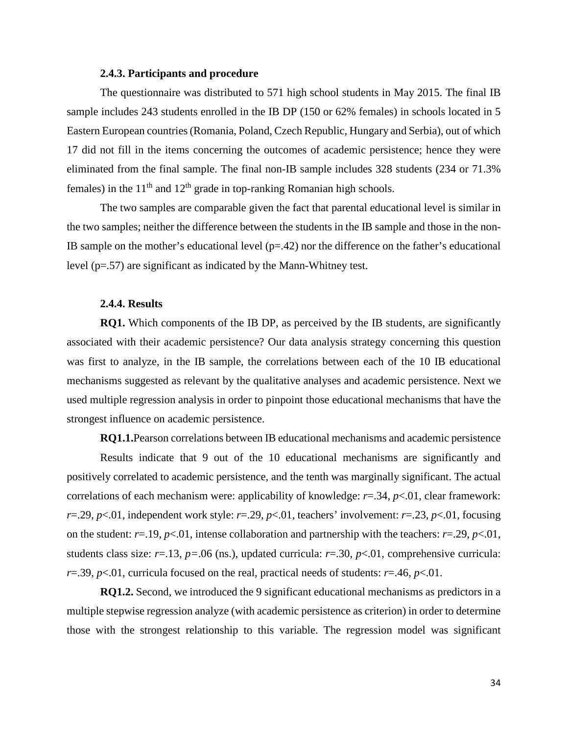#### **2.4.3. Participants and procedure**

<span id="page-33-0"></span>The questionnaire was distributed to 571 high school students in May 2015. The final IB sample includes 243 students enrolled in the IB DP (150 or 62% females) in schools located in 5 Eastern European countries (Romania, Poland, Czech Republic, Hungary and Serbia), out of which 17 did not fill in the items concerning the outcomes of academic persistence; hence they were eliminated from the final sample. The final non-IB sample includes 328 students (234 or 71.3% females) in the  $11<sup>th</sup>$  and  $12<sup>th</sup>$  grade in top-ranking Romanian high schools.

The two samples are comparable given the fact that parental educational level is similar in the two samples; neither the difference between the students in the IB sample and those in the non-IB sample on the mother's educational level  $(p=.42)$  nor the difference on the father's educational level (p=.57) are significant as indicated by the Mann-Whitney test.

# **2.4.4. Results**

<span id="page-33-1"></span>**RQ1.** Which components of the IB DP, as perceived by the IB students, are significantly associated with their academic persistence? Our data analysis strategy concerning this question was first to analyze, in the IB sample, the correlations between each of the 10 IB educational mechanisms suggested as relevant by the qualitative analyses and academic persistence. Next we used multiple regression analysis in order to pinpoint those educational mechanisms that have the strongest influence on academic persistence.

**RQ1.1.**Pearson correlations between IB educational mechanisms and academic persistence Results indicate that 9 out of the 10 educational mechanisms are significantly and positively correlated to academic persistence, and the tenth was marginally significant. The actual correlations of each mechanism were: applicability of knowledge: *r*=.34, *p*<.01, clear framework: *r*=.29, *p*<.01, independent work style: *r*=.29, *p*<.01, teachers' involvement: *r*=.23, *p*<.01, focusing on the student:  $r=19$ ,  $p<01$ , intense collaboration and partnership with the teachers:  $r=.29$ ,  $p<01$ , students class size:  $r=13$ ,  $p=.06$  (ns.), updated curricula:  $r=.30$ ,  $p<.01$ , comprehensive curricula: *r*=.39, *p*<.01, curricula focused on the real, practical needs of students: *r*=.46, *p*<.01.

**RQ1.2.** Second, we introduced the 9 significant educational mechanisms as predictors in a multiple stepwise regression analyze (with academic persistence as criterion) in order to determine those with the strongest relationship to this variable. The regression model was significant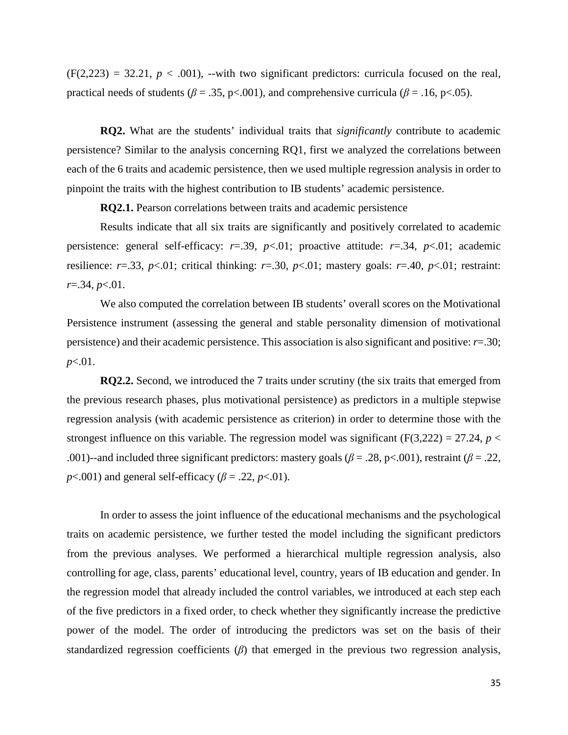$(F(2,223) = 32.21, p < .001)$ , --with two significant predictors: curricula focused on the real, practical needs of students ( $\beta = .35$ , p<.001), and comprehensive curricula ( $\beta = .16$ , p<.05).

**RQ2.** What are the students' individual traits that *significantly* contribute to academic persistence? Similar to the analysis concerning RQ1, first we analyzed the correlations between each of the 6 traits and academic persistence, then we used multiple regression analysis in order to pinpoint the traits with the highest contribution to IB students' academic persistence.

**RQ2.1.** Pearson correlations between traits and academic persistence

Results indicate that all six traits are significantly and positively correlated to academic persistence: general self-efficacy: *r*=.39, *p*<.01; proactive attitude: *r*=.34, *p*<.01; academic resilience:  $r=0.33$ ,  $p<0.01$ ; critical thinking:  $r=.30$ ,  $p<0.01$ ; mastery goals:  $r=.40$ ,  $p<0.01$ ; restraint: *r*=.34, *p*<.01.

We also computed the correlation between IB students' overall scores on the Motivational Persistence instrument (assessing the general and stable personality dimension of motivational persistence) and their academic persistence. This association is also significant and positive: *r*=.30; *p*<.01.

**RQ2.2.** Second, we introduced the 7 traits under scrutiny (the six traits that emerged from the previous research phases, plus motivational persistence) as predictors in a multiple stepwise regression analysis (with academic persistence as criterion) in order to determine those with the strongest influence on this variable. The regression model was significant ( $F(3,222) = 27.24$ ,  $p <$ .001)--and included three significant predictors: mastery goals ( $\beta$  = .28, p<.001), restraint ( $\beta$  = .22, *p*<.001) and general self-efficacy ( $\beta$  = .22, *p*<.01).

In order to assess the joint influence of the educational mechanisms and the psychological traits on academic persistence, we further tested the model including the significant predictors from the previous analyses. We performed a hierarchical multiple regression analysis, also controlling for age, class, parents' educational level, country, years of IB education and gender. In the regression model that already included the control variables, we introduced at each step each of the five predictors in a fixed order, to check whether they significantly increase the predictive power of the model. The order of introducing the predictors was set on the basis of their standardized regression coefficients (*β*) that emerged in the previous two regression analysis,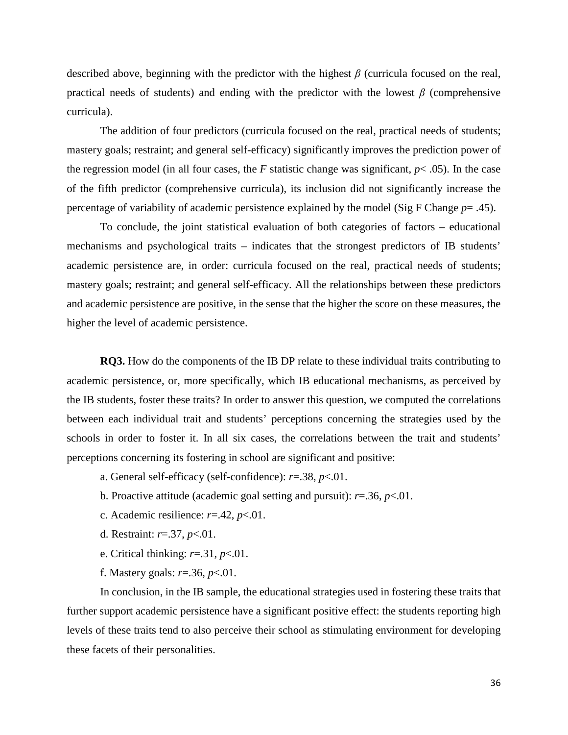described above, beginning with the predictor with the highest *β* (curricula focused on the real, practical needs of students) and ending with the predictor with the lowest *β* (comprehensive curricula).

The addition of four predictors (curricula focused on the real, practical needs of students; mastery goals; restraint; and general self-efficacy) significantly improves the prediction power of the regression model (in all four cases, the  $F$  statistic change was significant,  $p < .05$ ). In the case of the fifth predictor (comprehensive curricula), its inclusion did not significantly increase the percentage of variability of academic persistence explained by the model (Sig F Change *p*= .45).

To conclude, the joint statistical evaluation of both categories of factors – educational mechanisms and psychological traits – indicates that the strongest predictors of IB students' academic persistence are, in order: curricula focused on the real, practical needs of students; mastery goals; restraint; and general self-efficacy. All the relationships between these predictors and academic persistence are positive, in the sense that the higher the score on these measures, the higher the level of academic persistence.

**RQ3.** How do the components of the IB DP relate to these individual traits contributing to academic persistence, or, more specifically, which IB educational mechanisms, as perceived by the IB students, foster these traits? In order to answer this question, we computed the correlations between each individual trait and students' perceptions concerning the strategies used by the schools in order to foster it. In all six cases, the correlations between the trait and students' perceptions concerning its fostering in school are significant and positive:

- a. General self-efficacy (self-confidence): *r*=.38, *p*<.01.
- b. Proactive attitude (academic goal setting and pursuit): *r*=.36, *p*<.01.
- c. Academic resilience: *r*=.42, *p*<.01.
- d. Restraint: *r*=.37, *p*<.01.
- e. Critical thinking: *r*=.31, *p*<.01.
- f. Mastery goals: *r*=.36, *p*<.01.

In conclusion, in the IB sample, the educational strategies used in fostering these traits that further support academic persistence have a significant positive effect: the students reporting high levels of these traits tend to also perceive their school as stimulating environment for developing these facets of their personalities.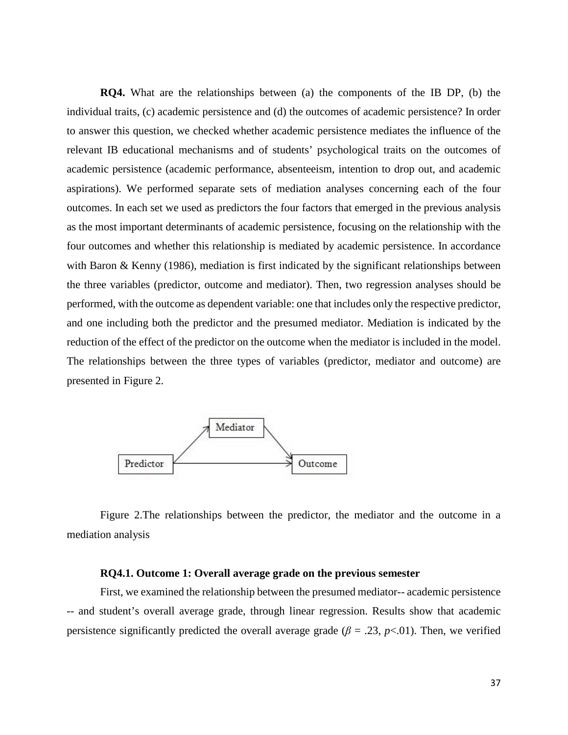**RQ4.** What are the relationships between (a) the components of the IB DP, (b) the individual traits, (c) academic persistence and (d) the outcomes of academic persistence? In order to answer this question, we checked whether academic persistence mediates the influence of the relevant IB educational mechanisms and of students' psychological traits on the outcomes of academic persistence (academic performance, absenteeism, intention to drop out, and academic aspirations). We performed separate sets of mediation analyses concerning each of the four outcomes. In each set we used as predictors the four factors that emerged in the previous analysis as the most important determinants of academic persistence, focusing on the relationship with the four outcomes and whether this relationship is mediated by academic persistence. In accordance with Baron & Kenny (1986), mediation is first indicated by the significant relationships between the three variables (predictor, outcome and mediator). Then, two regression analyses should be performed, with the outcome as dependent variable: one that includes only the respective predictor, and one including both the predictor and the presumed mediator. Mediation is indicated by the reduction of the effect of the predictor on the outcome when the mediator is included in the model. The relationships between the three types of variables (predictor, mediator and outcome) are presented in Figure 2.



Figure 2.The relationships between the predictor, the mediator and the outcome in a mediation analysis

### **RQ4.1. Outcome 1: Overall average grade on the previous semester**

First, we examined the relationship between the presumed mediator-- academic persistence -- and student's overall average grade, through linear regression. Results show that academic persistence significantly predicted the overall average grade ( $\beta = .23$ ,  $p < .01$ ). Then, we verified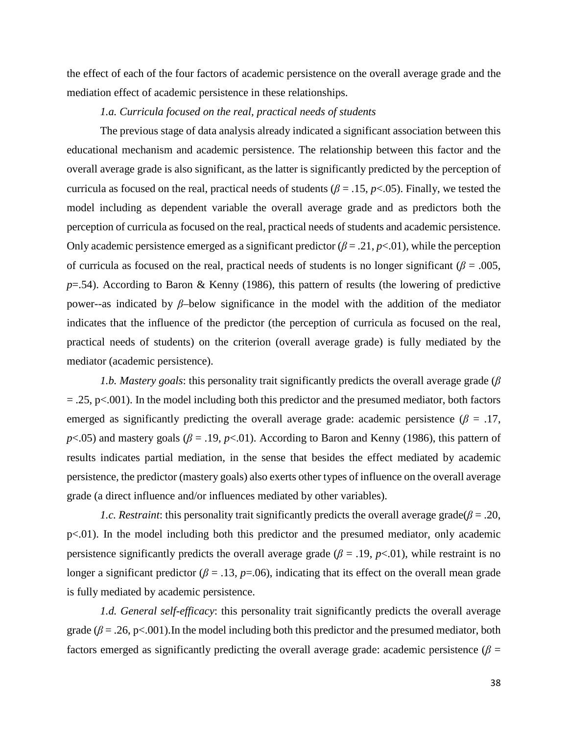the effect of each of the four factors of academic persistence on the overall average grade and the mediation effect of academic persistence in these relationships.

# *1.a. Curricula focused on the real, practical needs of students*

The previous stage of data analysis already indicated a significant association between this educational mechanism and academic persistence. The relationship between this factor and the overall average grade is also significant, as the latter is significantly predicted by the perception of curricula as focused on the real, practical needs of students ( $\beta = .15$ ,  $p < .05$ ). Finally, we tested the model including as dependent variable the overall average grade and as predictors both the perception of curricula as focused on the real, practical needs of students and academic persistence. Only academic persistence emerged as a significant predictor  $(\beta = .21, p<.01)$ , while the perception of curricula as focused on the real, practical needs of students is no longer significant ( $\beta$  = .005, *p*=.54). According to Baron & Kenny (1986), this pattern of results (the lowering of predictive power--as indicated by *β*–below significance in the model with the addition of the mediator indicates that the influence of the predictor (the perception of curricula as focused on the real, practical needs of students) on the criterion (overall average grade) is fully mediated by the mediator (academic persistence).

*1.b. Mastery goals*: this personality trait significantly predicts the overall average grade (*β*  $=$  .25, p<.001). In the model including both this predictor and the presumed mediator, both factors emerged as significantly predicting the overall average grade: academic persistence ( $\beta = .17$ , *p*<.05) and mastery goals ( $\beta$  = .19, *p*<.01). According to Baron and Kenny (1986), this pattern of results indicates partial mediation, in the sense that besides the effect mediated by academic persistence, the predictor (mastery goals) also exerts other types of influence on the overall average grade (a direct influence and/or influences mediated by other variables).

*1.c. Restraint:* this personality trait significantly predicts the overall average grade( $\beta$  = .20, p<.01). In the model including both this predictor and the presumed mediator, only academic persistence significantly predicts the overall average grade ( $\beta$  = .19,  $p$ <.01), while restraint is no longer a significant predictor ( $\beta$  = .13,  $p$ =.06), indicating that its effect on the overall mean grade is fully mediated by academic persistence.

*1.d. General self-efficacy*: this personality trait significantly predicts the overall average grade ( $\beta$  = .26, p<.001). In the model including both this predictor and the presumed mediator, both factors emerged as significantly predicting the overall average grade: academic persistence ( $\beta$  =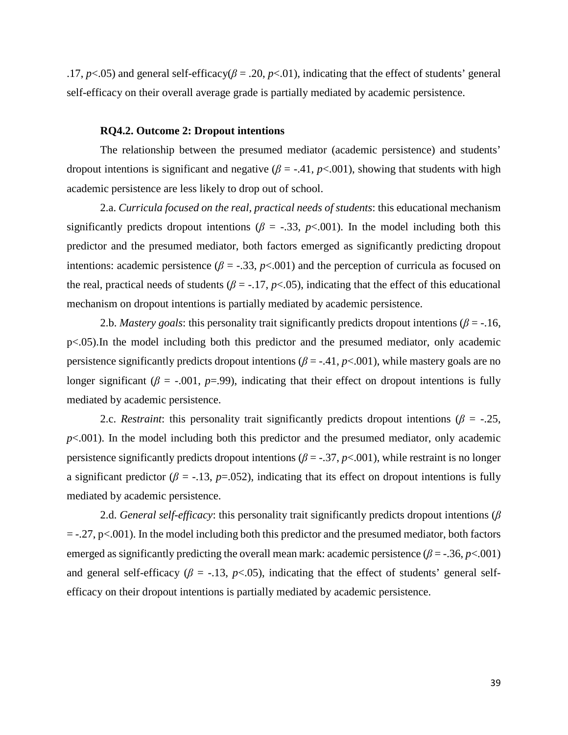.17,  $p$ <.05) and general self-efficacy( $\beta$  = .20,  $p$ <.01), indicating that the effect of students' general self-efficacy on their overall average grade is partially mediated by academic persistence.

#### **RQ4.2. Outcome 2: Dropout intentions**

The relationship between the presumed mediator (academic persistence) and students' dropout intentions is significant and negative  $(\beta = -0.41, p < 0.001)$ , showing that students with high academic persistence are less likely to drop out of school.

2.a. *Curricula focused on the real, practical needs of students*: this educational mechanism significantly predicts dropout intentions ( $\beta$  = -.33,  $p$ <.001). In the model including both this predictor and the presumed mediator, both factors emerged as significantly predicting dropout intentions: academic persistence ( $\beta$  = -.33,  $p$ <.001) and the perception of curricula as focused on the real, practical needs of students ( $\beta$  = -.17,  $p$ <.05), indicating that the effect of this educational mechanism on dropout intentions is partially mediated by academic persistence.

2.b. *Mastery goals*: this personality trait significantly predicts dropout intentions ( $\beta$  = -.16, p<.05).In the model including both this predictor and the presumed mediator, only academic persistence significantly predicts dropout intentions ( $\beta$  = -.41,  $p$ <.001), while mastery goals are no longer significant ( $\beta$  = -.001,  $p$ =.99), indicating that their effect on dropout intentions is fully mediated by academic persistence.

2.c. *Restraint*: this personality trait significantly predicts dropout intentions ( $\beta$  = -.25,  $p<.001$ ). In the model including both this predictor and the presumed mediator, only academic persistence significantly predicts dropout intentions ( $\beta$  = -.37,  $p$ <.001), while restraint is no longer a significant predictor ( $\beta$  = -.13,  $p$ =.052), indicating that its effect on dropout intentions is fully mediated by academic persistence.

2.d. *General self-efficacy*: this personality trait significantly predicts dropout intentions (*β*  $=$  -.27, p $<$ .001). In the model including both this predictor and the presumed mediator, both factors emerged as significantly predicting the overall mean mark: academic persistence ( $\beta$  = -.36, *p*<.001) and general self-efficacy ( $\beta$  = -.13,  $p$ <.05), indicating that the effect of students' general selfefficacy on their dropout intentions is partially mediated by academic persistence.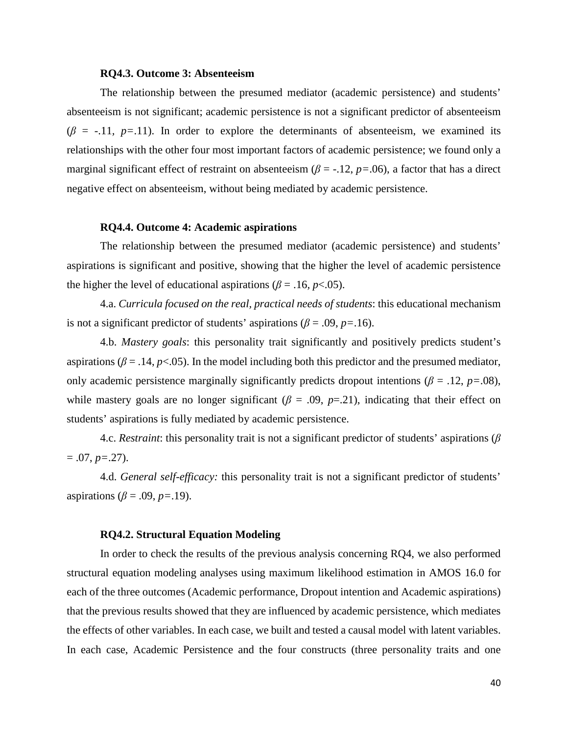### **RQ4.3. Outcome 3: Absenteeism**

The relationship between the presumed mediator (academic persistence) and students' absenteeism is not significant; academic persistence is not a significant predictor of absenteeism  $(\beta = -11, p=11)$ . In order to explore the determinants of absenteeism, we examined its relationships with the other four most important factors of academic persistence; we found only a marginal significant effect of restraint on absenteeism ( $\beta$  = -.12,  $p$  = .06), a factor that has a direct negative effect on absenteeism, without being mediated by academic persistence.

#### **RQ4.4. Outcome 4: Academic aspirations**

The relationship between the presumed mediator (academic persistence) and students' aspirations is significant and positive, showing that the higher the level of academic persistence the higher the level of educational aspirations ( $\beta$  = .16*, p*<.05).

4.a. *Curricula focused on the real, practical needs of students*: this educational mechanism is not a significant predictor of students' aspirations ( $\beta$  = .09, *p*=.16).

4.b. *Mastery goals*: this personality trait significantly and positively predicts student's aspirations ( $\beta$  = .14,  $p$ <.05). In the model including both this predictor and the presumed mediator, only academic persistence marginally significantly predicts dropout intentions ( $\beta$  = .12, *p*=.08), while mastery goals are no longer significant ( $\beta = .09$ ,  $p=0.21$ ), indicating that their effect on students' aspirations is fully mediated by academic persistence.

4.c. *Restraint*: this personality trait is not a significant predictor of students' aspirations (*β*  $= .07, p = .27$ ).

4.d. *General self-efficacy:* this personality trait is not a significant predictor of students' aspirations ( $\beta$  = .09,  $p$  = .19).

### **RQ4.2. Structural Equation Modeling**

In order to check the results of the previous analysis concerning RQ4, we also performed structural equation modeling analyses using maximum likelihood estimation in AMOS 16.0 for each of the three outcomes (Academic performance, Dropout intention and Academic aspirations) that the previous results showed that they are influenced by academic persistence, which mediates the effects of other variables. In each case, we built and tested a causal model with latent variables. In each case, Academic Persistence and the four constructs (three personality traits and one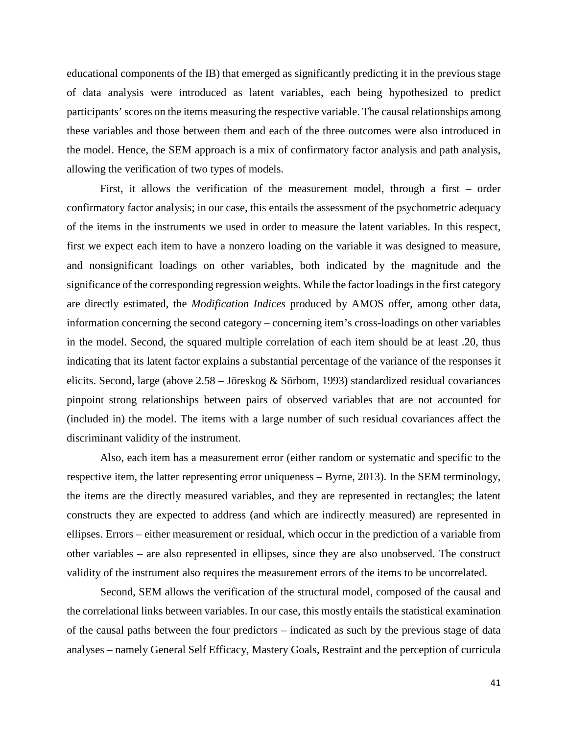educational components of the IB) that emerged as significantly predicting it in the previous stage of data analysis were introduced as latent variables, each being hypothesized to predict participants' scores on the items measuring the respective variable. The causal relationships among these variables and those between them and each of the three outcomes were also introduced in the model. Hence, the SEM approach is a mix of confirmatory factor analysis and path analysis, allowing the verification of two types of models.

First, it allows the verification of the measurement model, through a first – order confirmatory factor analysis; in our case, this entails the assessment of the psychometric adequacy of the items in the instruments we used in order to measure the latent variables. In this respect, first we expect each item to have a nonzero loading on the variable it was designed to measure, and nonsignificant loadings on other variables, both indicated by the magnitude and the significance of the corresponding regression weights. While the factor loadings in the first category are directly estimated, the *Modification Indices* produced by AMOS offer, among other data, information concerning the second category – concerning item's cross-loadings on other variables in the model. Second, the squared multiple correlation of each item should be at least .20, thus indicating that its latent factor explains a substantial percentage of the variance of the responses it elicits. Second, large (above 2.58 – Jöreskog & Sörbom, 1993) standardized residual covariances pinpoint strong relationships between pairs of observed variables that are not accounted for (included in) the model. The items with a large number of such residual covariances affect the discriminant validity of the instrument.

Also, each item has a measurement error (either random or systematic and specific to the respective item, the latter representing error uniqueness – Byrne, 2013). In the SEM terminology, the items are the directly measured variables, and they are represented in rectangles; the latent constructs they are expected to address (and which are indirectly measured) are represented in ellipses. Errors – either measurement or residual, which occur in the prediction of a variable from other variables – are also represented in ellipses, since they are also unobserved. The construct validity of the instrument also requires the measurement errors of the items to be uncorrelated.

Second, SEM allows the verification of the structural model, composed of the causal and the correlational links between variables. In our case, this mostly entails the statistical examination of the causal paths between the four predictors – indicated as such by the previous stage of data analyses – namely General Self Efficacy, Mastery Goals, Restraint and the perception of curricula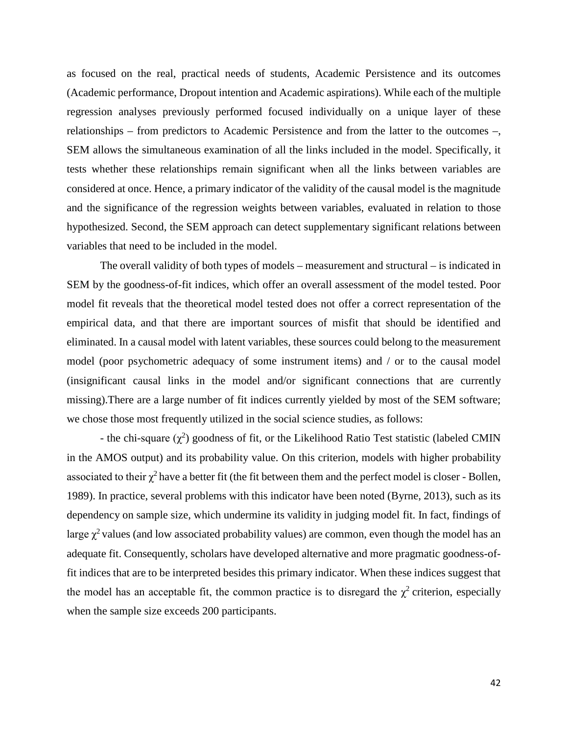as focused on the real, practical needs of students, Academic Persistence and its outcomes (Academic performance, Dropout intention and Academic aspirations). While each of the multiple regression analyses previously performed focused individually on a unique layer of these relationships – from predictors to Academic Persistence and from the latter to the outcomes –, SEM allows the simultaneous examination of all the links included in the model. Specifically, it tests whether these relationships remain significant when all the links between variables are considered at once. Hence, a primary indicator of the validity of the causal model is the magnitude and the significance of the regression weights between variables, evaluated in relation to those hypothesized. Second, the SEM approach can detect supplementary significant relations between variables that need to be included in the model.

The overall validity of both types of models – measurement and structural – is indicated in SEM by the goodness-of-fit indices, which offer an overall assessment of the model tested. Poor model fit reveals that the theoretical model tested does not offer a correct representation of the empirical data, and that there are important sources of misfit that should be identified and eliminated. In a causal model with latent variables, these sources could belong to the measurement model (poor psychometric adequacy of some instrument items) and / or to the causal model (insignificant causal links in the model and/or significant connections that are currently missing).There are a large number of fit indices currently yielded by most of the SEM software; we chose those most frequently utilized in the social science studies, as follows:

- the chi-square  $(\chi^2)$  goodness of fit, or the Likelihood Ratio Test statistic (labeled CMIN in the AMOS output) and its probability value. On this criterion, models with higher probability associated to their  $\chi^2$  have a better fit (the fit between them and the perfect model is closer - Bollen, 1989). In practice, several problems with this indicator have been noted (Byrne, 2013), such as its dependency on sample size, which undermine its validity in judging model fit. In fact, findings of large  $\chi^2$  values (and low associated probability values) are common, even though the model has an adequate fit. Consequently, scholars have developed alternative and more pragmatic goodness-offit indices that are to be interpreted besides this primary indicator. When these indices suggest that the model has an acceptable fit, the common practice is to disregard the  $\chi^2$  criterion, especially when the sample size exceeds 200 participants.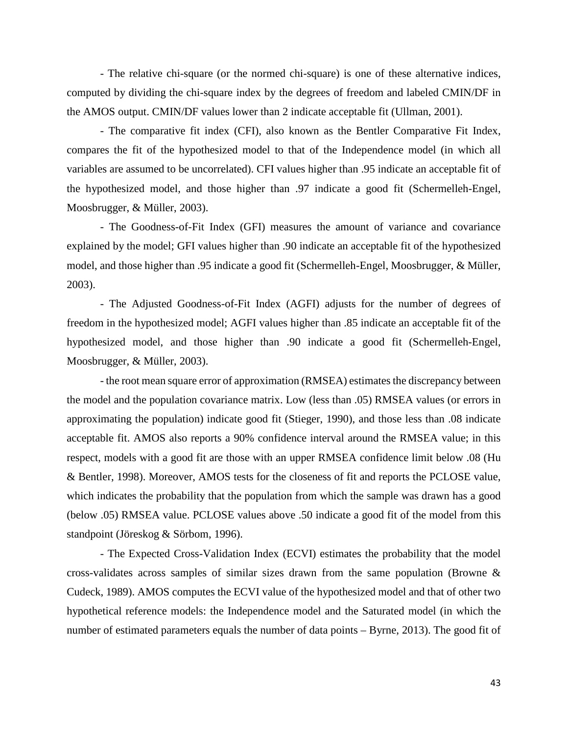- The relative chi-square (or the normed chi-square) is one of these alternative indices, computed by dividing the chi-square index by the degrees of freedom and labeled CMIN/DF in the AMOS output. CMIN/DF values lower than 2 indicate acceptable fit (Ullman, 2001).

- The comparative fit index (CFI), also known as the Bentler Comparative Fit Index, compares the fit of the hypothesized model to that of the Independence model (in which all variables are assumed to be uncorrelated). CFI values higher than .95 indicate an acceptable fit of the hypothesized model, and those higher than .97 indicate a good fit (Schermelleh-Engel, Moosbrugger, & Müller, 2003).

- The Goodness-of-Fit Index (GFI) measures the amount of variance and covariance explained by the model; GFI values higher than .90 indicate an acceptable fit of the hypothesized model, and those higher than .95 indicate a good fit (Schermelleh-Engel, Moosbrugger, & Müller, 2003).

- The Adjusted Goodness-of-Fit Index (AGFI) adjusts for the number of degrees of freedom in the hypothesized model; AGFI values higher than .85 indicate an acceptable fit of the hypothesized model, and those higher than .90 indicate a good fit (Schermelleh-Engel, Moosbrugger, & Müller, 2003).

- the root mean square error of approximation (RMSEA) estimates the discrepancy between the model and the population covariance matrix. Low (less than .05) RMSEA values (or errors in approximating the population) indicate good fit (Stieger, 1990), and those less than .08 indicate acceptable fit. AMOS also reports a 90% confidence interval around the RMSEA value; in this respect, models with a good fit are those with an upper RMSEA confidence limit below .08 (Hu & Bentler, 1998). Moreover, AMOS tests for the closeness of fit and reports the PCLOSE value, which indicates the probability that the population from which the sample was drawn has a good (below .05) RMSEA value. PCLOSE values above .50 indicate a good fit of the model from this standpoint (Jöreskog & Sörbom, 1996).

- The Expected Cross-Validation Index (ECVI) estimates the probability that the model cross-validates across samples of similar sizes drawn from the same population (Browne & Cudeck, 1989). AMOS computes the ECVI value of the hypothesized model and that of other two hypothetical reference models: the Independence model and the Saturated model (in which the number of estimated parameters equals the number of data points – Byrne, 2013). The good fit of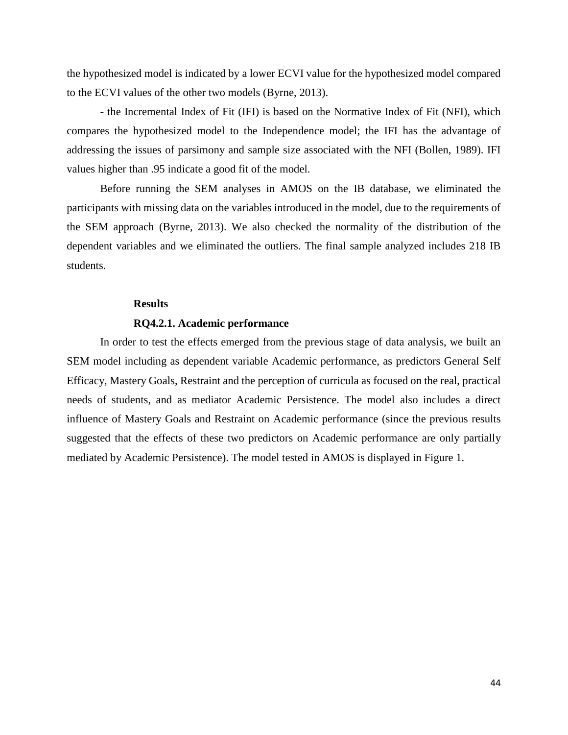the hypothesized model is indicated by a lower ECVI value for the hypothesized model compared to the ECVI values of the other two models (Byrne, 2013).

- the Incremental Index of Fit (IFI) is based on the Normative Index of Fit (NFI), which compares the hypothesized model to the Independence model; the IFI has the advantage of addressing the issues of parsimony and sample size associated with the NFI (Bollen, 1989). IFI values higher than .95 indicate a good fit of the model.

Before running the SEM analyses in AMOS on the IB database, we eliminated the participants with missing data on the variables introduced in the model, due to the requirements of the SEM approach (Byrne, 2013). We also checked the normality of the distribution of the dependent variables and we eliminated the outliers. The final sample analyzed includes 218 IB students.

#### **Results**

### **RQ4.2.1. Academic performance**

In order to test the effects emerged from the previous stage of data analysis, we built an SEM model including as dependent variable Academic performance, as predictors General Self Efficacy, Mastery Goals, Restraint and the perception of curricula as focused on the real, practical needs of students, and as mediator Academic Persistence. The model also includes a direct influence of Mastery Goals and Restraint on Academic performance (since the previous results suggested that the effects of these two predictors on Academic performance are only partially mediated by Academic Persistence). The model tested in AMOS is displayed in Figure 1.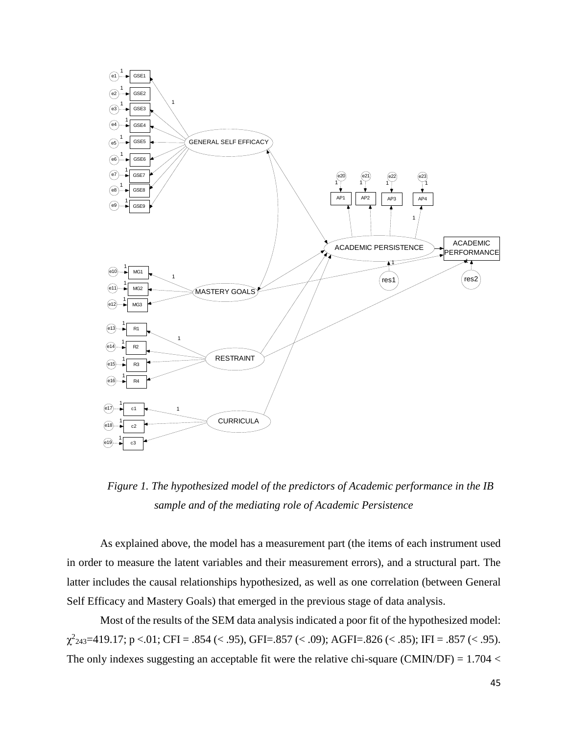

*Figure 1. The hypothesized model of the predictors of Academic performance in the IB sample and of the mediating role of Academic Persistence*

As explained above, the model has a measurement part (the items of each instrument used in order to measure the latent variables and their measurement errors), and a structural part. The latter includes the causal relationships hypothesized, as well as one correlation (between General Self Efficacy and Mastery Goals) that emerged in the previous stage of data analysis.

Most of the results of the SEM data analysis indicated a poor fit of the hypothesized model:  $\chi^2_{243}=419.17$ ; p <.01; CFI = .854 (< .95), GFI=.857 (< .09); AGFI=.826 (< .85); IFI = .857 (< .95). The only indexes suggesting an acceptable fit were the relative chi-square (CMIN/DF) =  $1.704 <$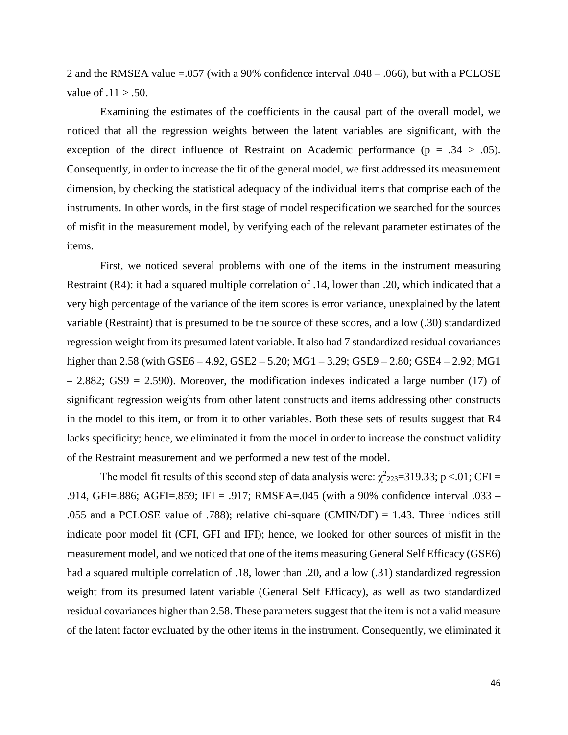2 and the RMSEA value  $=$  0.057 (with a 90% confidence interval  $.048 - .066$ ), but with a PCLOSE value of  $.11 > .50$ .

Examining the estimates of the coefficients in the causal part of the overall model, we noticed that all the regression weights between the latent variables are significant, with the exception of the direct influence of Restraint on Academic performance ( $p = .34 > .05$ ). Consequently, in order to increase the fit of the general model, we first addressed its measurement dimension, by checking the statistical adequacy of the individual items that comprise each of the instruments. In other words, in the first stage of model respecification we searched for the sources of misfit in the measurement model, by verifying each of the relevant parameter estimates of the items.

First, we noticed several problems with one of the items in the instrument measuring Restraint (R4): it had a squared multiple correlation of .14, lower than .20, which indicated that a very high percentage of the variance of the item scores is error variance, unexplained by the latent variable (Restraint) that is presumed to be the source of these scores, and a low (.30) standardized regression weight from its presumed latent variable. It also had 7 standardized residual covariances higher than 2.58 (with GSE6 – 4.92, GSE2 – 5.20; MG1 – 3.29; GSE9 – 2.80; GSE4 – 2.92; MG1 – 2.882; GS9 = 2.590). Moreover, the modification indexes indicated a large number (17) of significant regression weights from other latent constructs and items addressing other constructs in the model to this item, or from it to other variables. Both these sets of results suggest that R4 lacks specificity; hence, we eliminated it from the model in order to increase the construct validity of the Restraint measurement and we performed a new test of the model.

The model fit results of this second step of data analysis were:  $\chi^2$ <sub>223</sub>=319.33; p <.01; CFI = .914, GFI=.886; AGFI=.859; IFI = .917; RMSEA=.045 (with a 90% confidence interval .033 – .055 and a PCLOSE value of .788); relative chi-square (CMIN/DF) = 1.43. Three indices still indicate poor model fit (CFI, GFI and IFI); hence, we looked for other sources of misfit in the measurement model, and we noticed that one of the items measuring General Self Efficacy (GSE6) had a squared multiple correlation of .18, lower than .20, and a low (.31) standardized regression weight from its presumed latent variable (General Self Efficacy), as well as two standardized residual covariances higher than 2.58. These parameters suggest that the item is not a valid measure of the latent factor evaluated by the other items in the instrument. Consequently, we eliminated it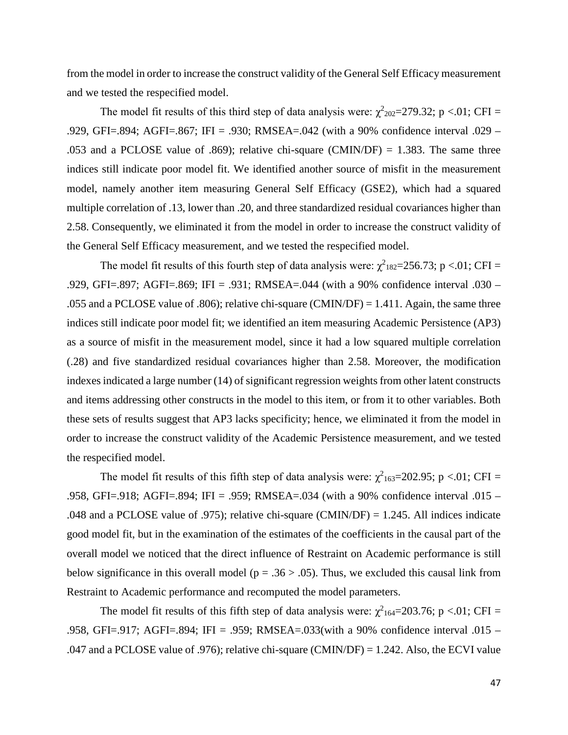from the model in order to increase the construct validity of the General Self Efficacy measurement and we tested the respecified model.

The model fit results of this third step of data analysis were:  $\chi^2_{202}=279.32$ ; p <.01; CFI = .929, GFI=.894; AGFI=.867; IFI = .930; RMSEA=.042 (with a 90% confidence interval .029 – .053 and a PCLOSE value of .869); relative chi-square (CMIN/DF) = 1.383. The same three indices still indicate poor model fit. We identified another source of misfit in the measurement model, namely another item measuring General Self Efficacy (GSE2), which had a squared multiple correlation of .13, lower than .20, and three standardized residual covariances higher than 2.58. Consequently, we eliminated it from the model in order to increase the construct validity of the General Self Efficacy measurement, and we tested the respecified model.

The model fit results of this fourth step of data analysis were:  $\chi^2_{182}$ =256.73; p <.01; CFI = .929, GFI=.897; AGFI=.869; IFI = .931; RMSEA=.044 (with a 90% confidence interval .030 – .055 and a PCLOSE value of .806); relative chi-square (CMIN/DF) = 1.411. Again, the same three indices still indicate poor model fit; we identified an item measuring Academic Persistence (AP3) as a source of misfit in the measurement model, since it had a low squared multiple correlation (.28) and five standardized residual covariances higher than 2.58. Moreover, the modification indexes indicated a large number (14) of significant regression weights from other latent constructs and items addressing other constructs in the model to this item, or from it to other variables. Both these sets of results suggest that AP3 lacks specificity; hence, we eliminated it from the model in order to increase the construct validity of the Academic Persistence measurement, and we tested the respecified model.

The model fit results of this fifth step of data analysis were:  $\chi^2_{163}=202.95$ ; p <.01; CFI = .958, GFI=.918; AGFI=.894; IFI = .959; RMSEA=.034 (with a 90% confidence interval .015 – .048 and a PCLOSE value of .975); relative chi-square (CMIN/DF) = 1.245. All indices indicate good model fit, but in the examination of the estimates of the coefficients in the causal part of the overall model we noticed that the direct influence of Restraint on Academic performance is still below significance in this overall model ( $p = .36 > .05$ ). Thus, we excluded this causal link from Restraint to Academic performance and recomputed the model parameters.

The model fit results of this fifth step of data analysis were:  $\chi^2_{164}=203.76$ ; p <.01; CFI = .958, GFI=.917; AGFI=.894; IFI = .959; RMSEA=.033(with a 90% confidence interval .015 – .047 and a PCLOSE value of .976); relative chi-square (CMIN/DF) = 1.242. Also, the ECVI value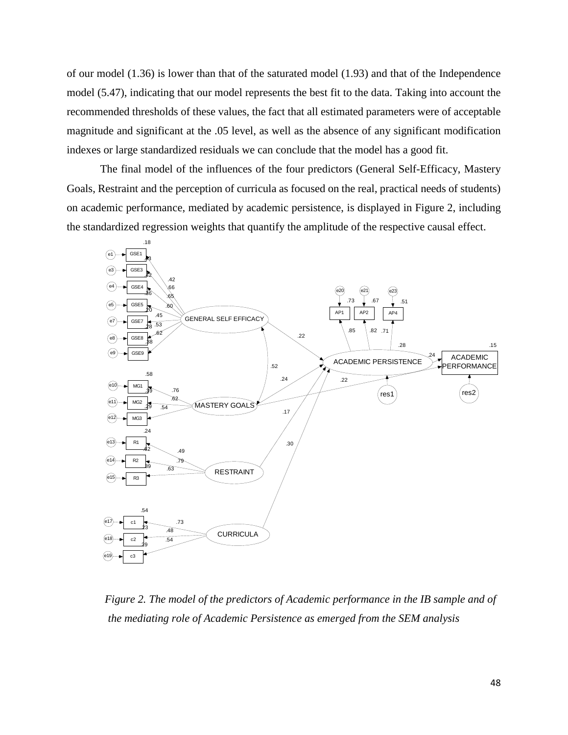of our model (1.36) is lower than that of the saturated model (1.93) and that of the Independence model (5.47), indicating that our model represents the best fit to the data. Taking into account the recommended thresholds of these values, the fact that all estimated parameters were of acceptable magnitude and significant at the .05 level, as well as the absence of any significant modification indexes or large standardized residuals we can conclude that the model has a good fit.

The final model of the influences of the four predictors (General Self-Efficacy, Mastery Goals, Restraint and the perception of curricula as focused on the real, practical needs of students) on academic performance, mediated by academic persistence, is displayed in Figure 2, including the standardized regression weights that quantify the amplitude of the respective causal effect.



*Figure 2. The model of the predictors of Academic performance in the IB sample and of the mediating role of Academic Persistence as emerged from the SEM analysis*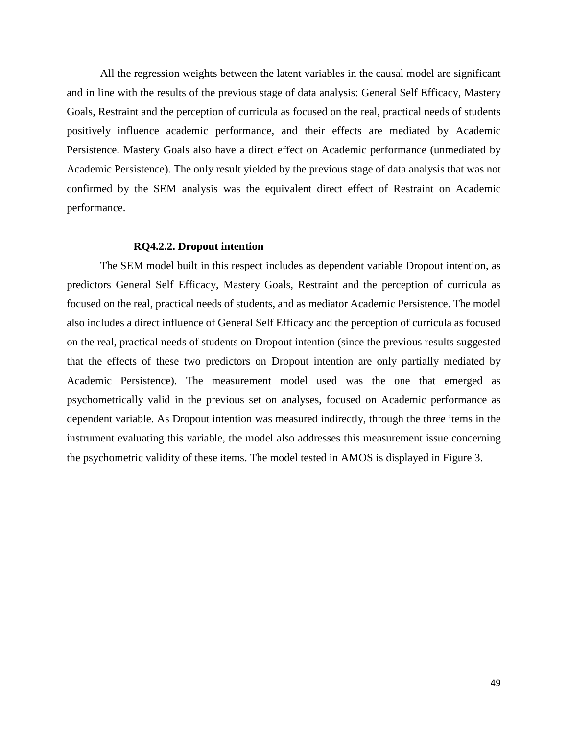All the regression weights between the latent variables in the causal model are significant and in line with the results of the previous stage of data analysis: General Self Efficacy, Mastery Goals, Restraint and the perception of curricula as focused on the real, practical needs of students positively influence academic performance, and their effects are mediated by Academic Persistence. Mastery Goals also have a direct effect on Academic performance (unmediated by Academic Persistence). The only result yielded by the previous stage of data analysis that was not confirmed by the SEM analysis was the equivalent direct effect of Restraint on Academic performance.

#### **RQ4.2.2. Dropout intention**

The SEM model built in this respect includes as dependent variable Dropout intention, as predictors General Self Efficacy, Mastery Goals, Restraint and the perception of curricula as focused on the real, practical needs of students, and as mediator Academic Persistence. The model also includes a direct influence of General Self Efficacy and the perception of curricula as focused on the real, practical needs of students on Dropout intention (since the previous results suggested that the effects of these two predictors on Dropout intention are only partially mediated by Academic Persistence). The measurement model used was the one that emerged as psychometrically valid in the previous set on analyses, focused on Academic performance as dependent variable. As Dropout intention was measured indirectly, through the three items in the instrument evaluating this variable, the model also addresses this measurement issue concerning the psychometric validity of these items. The model tested in AMOS is displayed in Figure 3.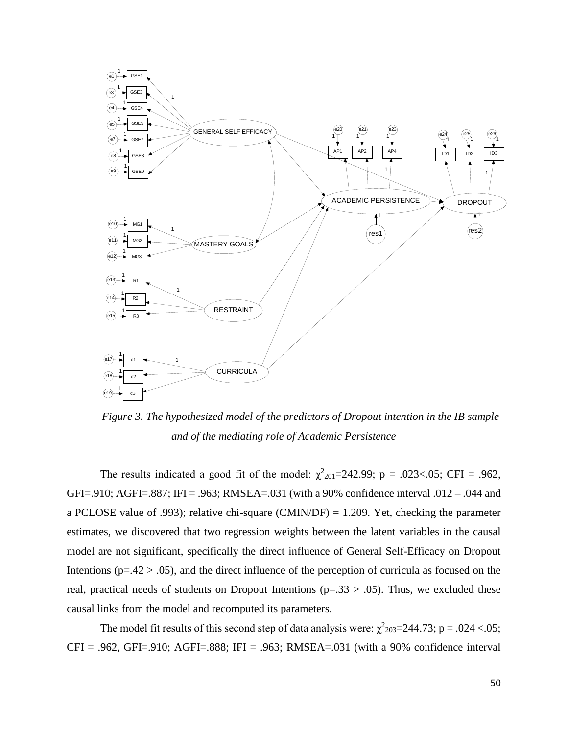

*Figure 3. The hypothesized model of the predictors of Dropout intention in the IB sample and of the mediating role of Academic Persistence*

The results indicated a good fit of the model:  $\chi^2_{201}$ =242.99; p = .023<.05; CFI = .962, GFI=.910; AGFI=.887; IFI = .963; RMSEA=.031 (with a 90% confidence interval .012 – .044 and a PCLOSE value of .993); relative chi-square (CMIN/DF) = 1.209. Yet, checking the parameter estimates, we discovered that two regression weights between the latent variables in the causal model are not significant, specifically the direct influence of General Self-Efficacy on Dropout Intentions ( $p=42 > .05$ ), and the direct influence of the perception of curricula as focused on the real, practical needs of students on Dropout Intentions ( $p=.33 > .05$ ). Thus, we excluded these causal links from the model and recomputed its parameters.

The model fit results of this second step of data analysis were:  $\chi^2$ <sub>203</sub>=244.73; p = .024 <.05;  $CFI = .962$ ,  $GFI = .910$ ;  $AGFI = .888$ ;  $IFI = .963$ ;  $RMSEA = .031$  (with a 90% confidence interval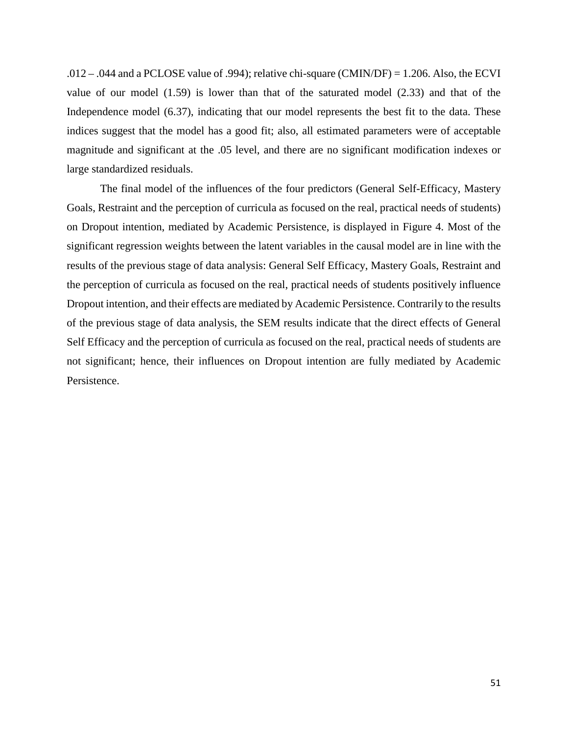.012 – .044 and a PCLOSE value of .994); relative chi-square (CMIN/DF) = 1.206. Also, the ECVI value of our model (1.59) is lower than that of the saturated model (2.33) and that of the Independence model (6.37), indicating that our model represents the best fit to the data. These indices suggest that the model has a good fit; also, all estimated parameters were of acceptable magnitude and significant at the .05 level, and there are no significant modification indexes or large standardized residuals.

The final model of the influences of the four predictors (General Self-Efficacy, Mastery Goals, Restraint and the perception of curricula as focused on the real, practical needs of students) on Dropout intention, mediated by Academic Persistence, is displayed in Figure 4. Most of the significant regression weights between the latent variables in the causal model are in line with the results of the previous stage of data analysis: General Self Efficacy, Mastery Goals, Restraint and the perception of curricula as focused on the real, practical needs of students positively influence Dropout intention, and their effects are mediated by Academic Persistence. Contrarily to the results of the previous stage of data analysis, the SEM results indicate that the direct effects of General Self Efficacy and the perception of curricula as focused on the real, practical needs of students are not significant; hence, their influences on Dropout intention are fully mediated by Academic Persistence.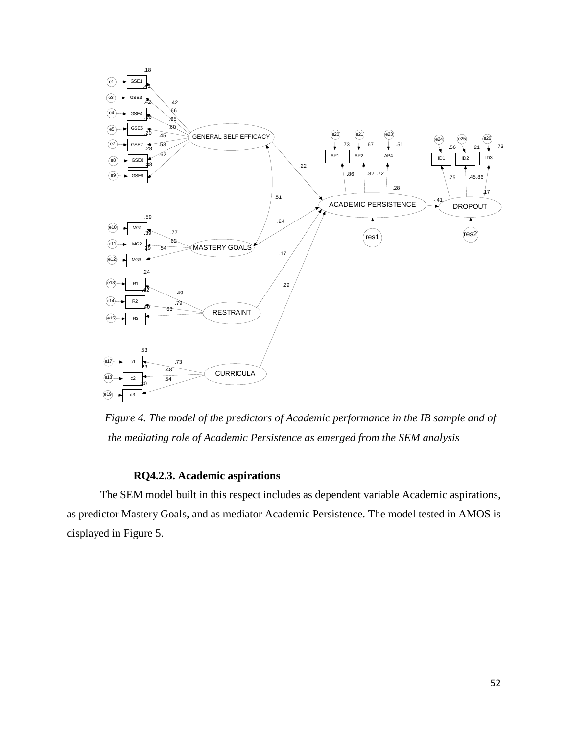

*Figure 4. The model of the predictors of Academic performance in the IB sample and of the mediating role of Academic Persistence as emerged from the SEM analysis* 

# **RQ4.2.3. Academic aspirations**

The SEM model built in this respect includes as dependent variable Academic aspirations, as predictor Mastery Goals, and as mediator Academic Persistence. The model tested in AMOS is displayed in Figure 5.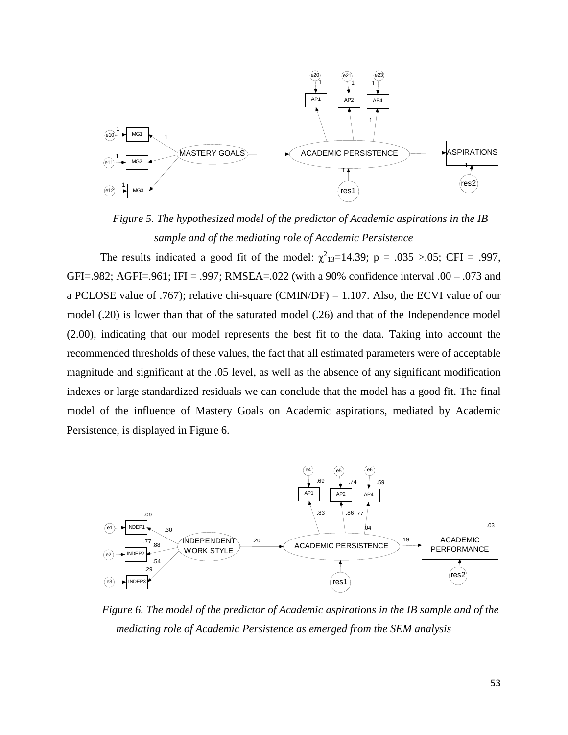

*Figure 5. The hypothesized model of the predictor of Academic aspirations in the IB sample and of the mediating role of Academic Persistence*

The results indicated a good fit of the model:  $\chi^2_{13}=14.39$ ; p = .035 >.05; CFI = .997, GFI=.982; AGFI=.961; IFI = .997; RMSEA=.022 (with a 90% confidence interval .00 – .073 and a PCLOSE value of .767); relative chi-square (CMIN/DF) = 1.107. Also, the ECVI value of our model (.20) is lower than that of the saturated model (.26) and that of the Independence model (2.00), indicating that our model represents the best fit to the data. Taking into account the recommended thresholds of these values, the fact that all estimated parameters were of acceptable magnitude and significant at the .05 level, as well as the absence of any significant modification indexes or large standardized residuals we can conclude that the model has a good fit. The final model of the influence of Mastery Goals on Academic aspirations, mediated by Academic Persistence, is displayed in Figure 6.



*Figure 6. The model of the predictor of Academic aspirations in the IB sample and of the mediating role of Academic Persistence as emerged from the SEM analysis*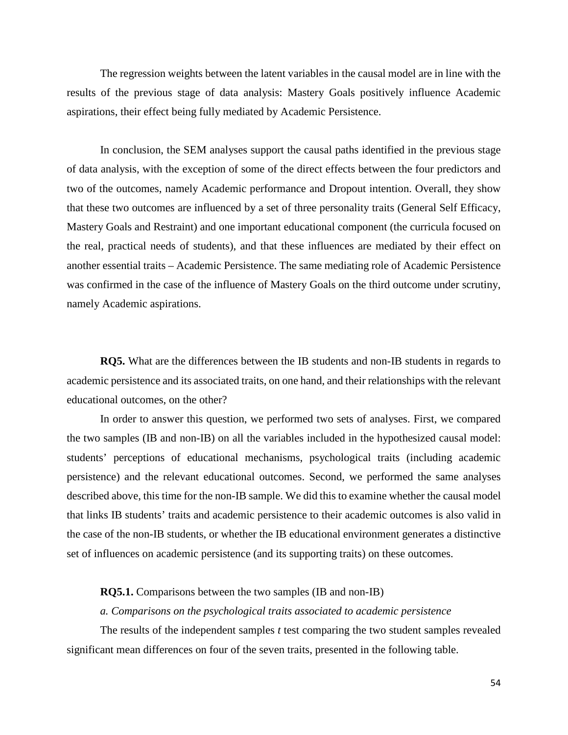The regression weights between the latent variables in the causal model are in line with the results of the previous stage of data analysis: Mastery Goals positively influence Academic aspirations, their effect being fully mediated by Academic Persistence.

In conclusion, the SEM analyses support the causal paths identified in the previous stage of data analysis, with the exception of some of the direct effects between the four predictors and two of the outcomes, namely Academic performance and Dropout intention. Overall, they show that these two outcomes are influenced by a set of three personality traits (General Self Efficacy, Mastery Goals and Restraint) and one important educational component (the curricula focused on the real, practical needs of students), and that these influences are mediated by their effect on another essential traits – Academic Persistence. The same mediating role of Academic Persistence was confirmed in the case of the influence of Mastery Goals on the third outcome under scrutiny, namely Academic aspirations.

**RQ5.** What are the differences between the IB students and non-IB students in regards to academic persistence and its associated traits, on one hand, and their relationships with the relevant educational outcomes, on the other?

In order to answer this question, we performed two sets of analyses. First, we compared the two samples (IB and non-IB) on all the variables included in the hypothesized causal model: students' perceptions of educational mechanisms, psychological traits (including academic persistence) and the relevant educational outcomes. Second, we performed the same analyses described above, this time for the non-IB sample. We did this to examine whether the causal model that links IB students' traits and academic persistence to their academic outcomes is also valid in the case of the non-IB students, or whether the IB educational environment generates a distinctive set of influences on academic persistence (and its supporting traits) on these outcomes.

### **RQ5.1.** Comparisons between the two samples (IB and non-IB)

#### *a. Comparisons on the psychological traits associated to academic persistence*

The results of the independent samples *t* test comparing the two student samples revealed significant mean differences on four of the seven traits, presented in the following table.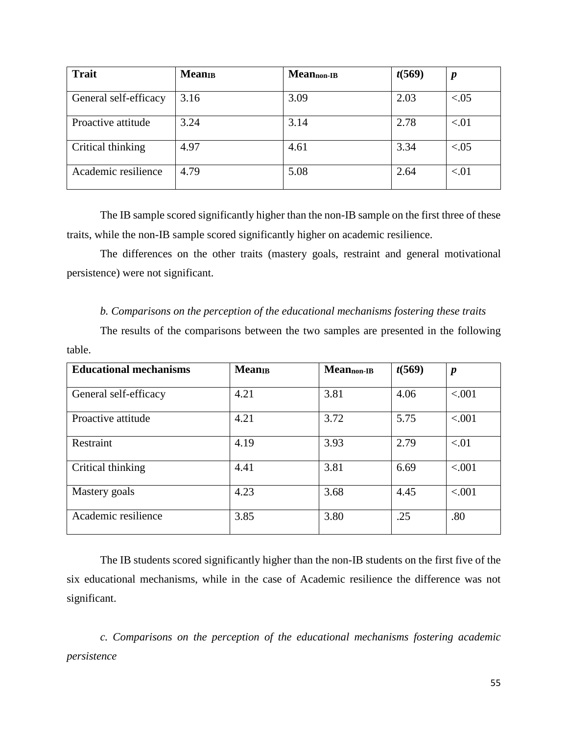| <b>Trait</b>          | <b>Mean</b> <sub>B</sub> | Meannon-IB | t(569) | $\boldsymbol{p}$ |
|-----------------------|--------------------------|------------|--------|------------------|
| General self-efficacy | 3.16                     | 3.09       | 2.03   | < 0.05           |
| Proactive attitude    | 3.24                     | 3.14       | 2.78   | < 01             |
| Critical thinking     | 4.97                     | 4.61       | 3.34   | < 0.05           |
| Academic resilience   | 4.79                     | 5.08       | 2.64   | < 01             |

The IB sample scored significantly higher than the non-IB sample on the first three of these traits, while the non-IB sample scored significantly higher on academic resilience.

The differences on the other traits (mastery goals, restraint and general motivational persistence) were not significant.

### *b. Comparisons on the perception of the educational mechanisms fostering these traits*

The results of the comparisons between the two samples are presented in the following table.

| <b>Educational mechanisms</b> | <b>Mean</b> <sub>B</sub> | Meannon-IB | t(569) | $\boldsymbol{p}$ |
|-------------------------------|--------------------------|------------|--------|------------------|
| General self-efficacy         | 4.21                     | 3.81       | 4.06   | < .001           |
| Proactive attitude            | 4.21                     | 3.72       | 5.75   | < .001           |
| Restraint                     | 4.19                     | 3.93       | 2.79   | < 01             |
| Critical thinking             | 4.41                     | 3.81       | 6.69   | < 0.001          |
| Mastery goals                 | 4.23                     | 3.68       | 4.45   | < .001           |
| Academic resilience           | 3.85                     | 3.80       | .25    | .80              |

The IB students scored significantly higher than the non-IB students on the first five of the six educational mechanisms, while in the case of Academic resilience the difference was not significant.

*c. Comparisons on the perception of the educational mechanisms fostering academic persistence*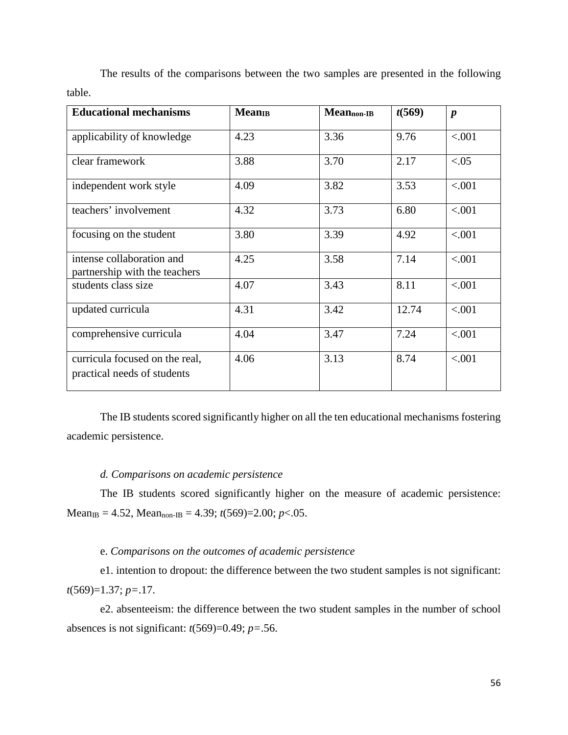| <b>Educational mechanisms</b>                                 | <b>Mean</b> <sub>B</sub> | Mean <sub>non-IB</sub> | t(569) | $\boldsymbol{p}$ |
|---------------------------------------------------------------|--------------------------|------------------------|--------|------------------|
| applicability of knowledge                                    | 4.23                     | 3.36                   | 9.76   | < .001           |
| clear framework                                               | 3.88                     | 3.70                   | 2.17   | < 0.05           |
| independent work style                                        | 4.09                     | 3.82                   | 3.53   | < .001           |
| teachers' involvement                                         | 4.32                     | 3.73                   | 6.80   | < .001           |
| focusing on the student                                       | 3.80                     | 3.39                   | 4.92   | < .001           |
| intense collaboration and<br>partnership with the teachers    | 4.25                     | 3.58                   | 7.14   | < .001           |
| students class size                                           | 4.07                     | 3.43                   | 8.11   | < .001           |
| updated curricula                                             | 4.31                     | 3.42                   | 12.74  | < .001           |
| comprehensive curricula                                       | 4.04                     | 3.47                   | 7.24   | < .001           |
| curricula focused on the real,<br>practical needs of students | 4.06                     | 3.13                   | 8.74   | < .001           |

The results of the comparisons between the two samples are presented in the following table.

The IB students scored significantly higher on all the ten educational mechanisms fostering academic persistence.

### *d. Comparisons on academic persistence*

The IB students scored significantly higher on the measure of academic persistence:  $Mean_{IB} = 4.52$ ,  $Mean_{non-IB} = 4.39$ ;  $t(569)=2.00$ ;  $p<.05$ .

# e. *Comparisons on the outcomes of academic persistence*

e1. intention to dropout: the difference between the two student samples is not significant: *t*(569)=1.37; *p=*.17.

e2. absenteeism: the difference between the two student samples in the number of school absences is not significant:  $t(569)=0.49$ ;  $p=.56$ .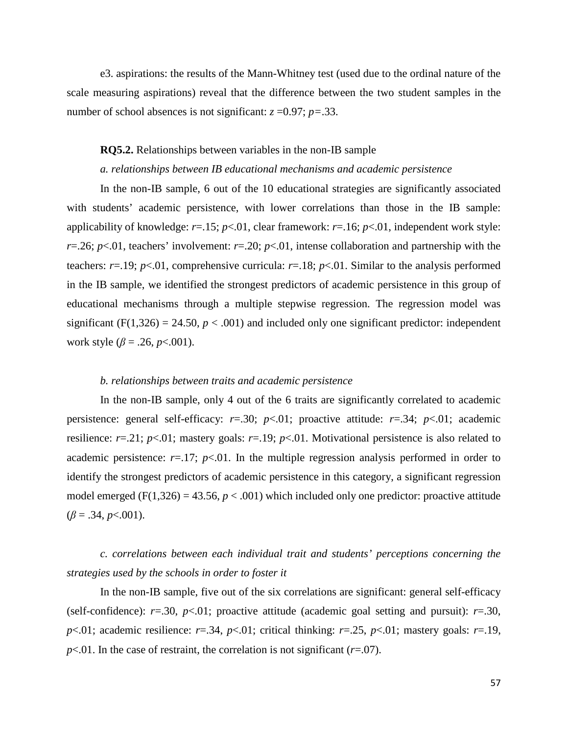e3. aspirations: the results of the Mann-Whitney test (used due to the ordinal nature of the scale measuring aspirations) reveal that the difference between the two student samples in the number of school absences is not significant:  $z = 0.97$ ;  $p = 0.33$ .

### **RQ5.2.** Relationships between variables in the non-IB sample

### *a. relationships between IB educational mechanisms and academic persistence*

In the non-IB sample, 6 out of the 10 educational strategies are significantly associated with students' academic persistence, with lower correlations than those in the IB sample: applicability of knowledge: *r*=.15; *p*<.01, clear framework: *r*=.16; *p*<.01, independent work style: *r*=.26; *p*<.01, teachers' involvement: *r*=.20; *p*<.01, intense collaboration and partnership with the teachers:  $r=19$ ;  $p<01$ , comprehensive curricula:  $r=.18$ ;  $p<01$ . Similar to the analysis performed in the IB sample, we identified the strongest predictors of academic persistence in this group of educational mechanisms through a multiple stepwise regression. The regression model was significant (F(1,326) = 24.50,  $p < .001$ ) and included only one significant predictor: independent work style ( $\beta$  = .26, *p*<.001).

### *b. relationships between traits and academic persistence*

In the non-IB sample, only 4 out of the 6 traits are significantly correlated to academic persistence: general self-efficacy:  $r=0.30$ ;  $p<0.01$ ; proactive attitude:  $r=.34$ ;  $p<0.01$ ; academic resilience:  $r=0.21$ ;  $p<0.01$ ; mastery goals:  $r=0.19$ ;  $p<0.01$ . Motivational persistence is also related to academic persistence:  $r=17$ ;  $p<01$ . In the multiple regression analysis performed in order to identify the strongest predictors of academic persistence in this category, a significant regression model emerged ( $F(1,326) = 43.56$ ,  $p < .001$ ) which included only one predictor: proactive attitude  $(\beta = .34, p < .001)$ .

# *c. correlations between each individual trait and students' perceptions concerning the strategies used by the schools in order to foster it*

In the non-IB sample, five out of the six correlations are significant: general self-efficacy (self-confidence):  $r=0.30$ ,  $p<0.01$ ; proactive attitude (academic goal setting and pursuit):  $r=.30$ , *p*<.01; academic resilience: *r*=.34, *p*<.01; critical thinking: *r*=.25, *p*<.01; mastery goals: *r*=.19,  $p<.01$ . In the case of restraint, the correlation is not significant ( $r=.07$ ).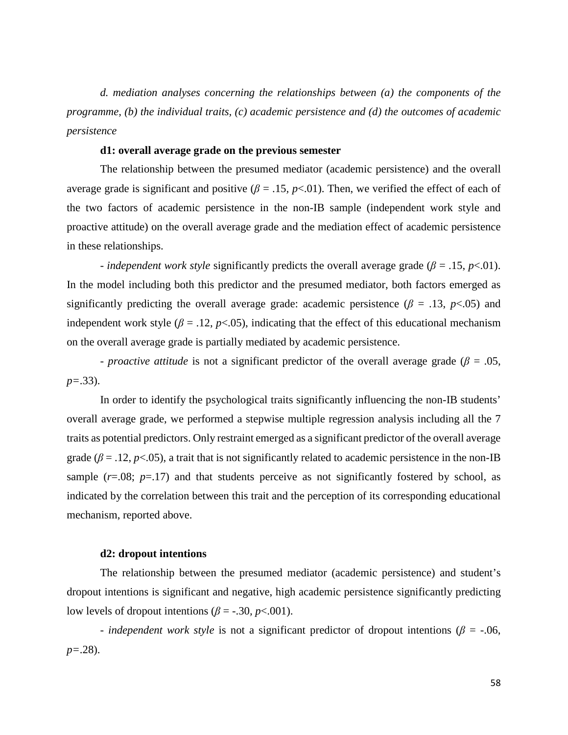*d. mediation analyses concerning the relationships between (a) the components of the programme, (b) the individual traits, (c) academic persistence and (d) the outcomes of academic persistence*

### **d1: overall average grade on the previous semester**

The relationship between the presumed mediator (academic persistence) and the overall average grade is significant and positive ( $\beta$  = .15, p<.01). Then, we verified the effect of each of the two factors of academic persistence in the non-IB sample (independent work style and proactive attitude) on the overall average grade and the mediation effect of academic persistence in these relationships.

- *independent work style* significantly predicts the overall average grade ( $\beta$  = .15, *p*<.01). In the model including both this predictor and the presumed mediator, both factors emerged as significantly predicting the overall average grade: academic persistence ( $\beta$  = .13,  $p$ <.05) and independent work style ( $\beta = 0.12$ ,  $p < 0.05$ ), indicating that the effect of this educational mechanism on the overall average grade is partially mediated by academic persistence.

- *proactive attitude* is not a significant predictor of the overall average grade (*β* = .05, *p=*.33).

In order to identify the psychological traits significantly influencing the non-IB students' overall average grade, we performed a stepwise multiple regression analysis including all the 7 traits as potential predictors. Only restraint emerged as a significant predictor of the overall average grade ( $\beta = .12$ ,  $p < .05$ ), a trait that is not significantly related to academic persistence in the non-IB sample  $(r=.08; p=.17)$  and that students perceive as not significantly fostered by school, as indicated by the correlation between this trait and the perception of its corresponding educational mechanism, reported above.

### **d2: dropout intentions**

The relationship between the presumed mediator (academic persistence) and student's dropout intentions is significant and negative, high academic persistence significantly predicting low levels of dropout intentions ( $\beta$  = -.30, *p*<.001).

- *independent work style* is not a significant predictor of dropout intentions ( $\beta$  = -.06, *p=*.28).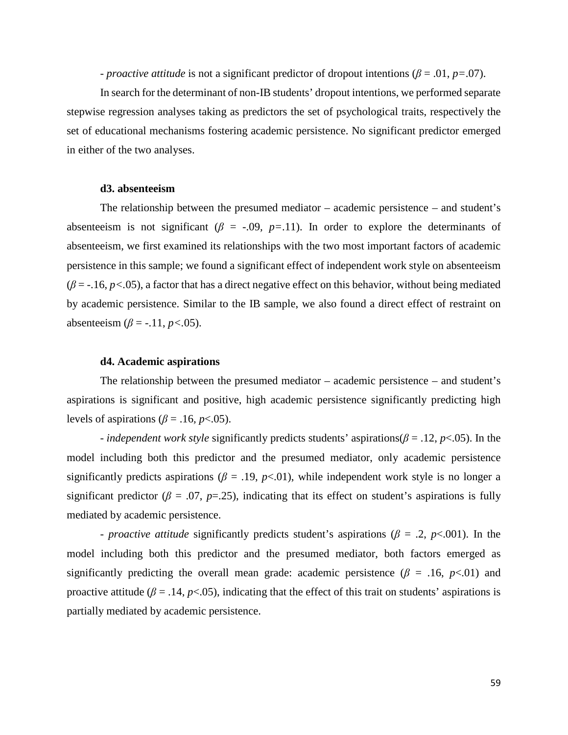- *proactive attitude* is not a significant predictor of dropout intentions (*β* = .01, *p=*.07).

In search for the determinant of non-IB students' dropout intentions, we performed separate stepwise regression analyses taking as predictors the set of psychological traits, respectively the set of educational mechanisms fostering academic persistence. No significant predictor emerged in either of the two analyses.

### **d3. absenteeism**

The relationship between the presumed mediator – academic persistence – and student's absenteeism is not significant ( $\beta$  = -.09,  $p$ =.11). In order to explore the determinants of absenteeism, we first examined its relationships with the two most important factors of academic persistence in this sample; we found a significant effect of independent work style on absenteeism  $(\beta = -16, p < 0.05)$ , a factor that has a direct negative effect on this behavior, without being mediated by academic persistence. Similar to the IB sample, we also found a direct effect of restraint on absenteeism ( $\beta$  = -.11, *p* <.05).

### **d4. Academic aspirations**

The relationship between the presumed mediator – academic persistence – and student's aspirations is significant and positive, high academic persistence significantly predicting high levels of aspirations ( $\beta$  = .16*, p*<.05).

- *independent work style* significantly predicts students' aspirations(*β* = .12, *p*<.05). In the model including both this predictor and the presumed mediator, only academic persistence significantly predicts aspirations ( $\beta$  = .19,  $p$ <.01), while independent work style is no longer a significant predictor ( $\beta$  = .07,  $p$ =.25), indicating that its effect on student's aspirations is fully mediated by academic persistence.

- *proactive attitude* significantly predicts student's aspirations (*β* = .2, *p*<.001). In the model including both this predictor and the presumed mediator, both factors emerged as significantly predicting the overall mean grade: academic persistence ( $\beta$  = .16, *p*<.01) and proactive attitude ( $\beta$  = .14,  $p$ <.05), indicating that the effect of this trait on students' aspirations is partially mediated by academic persistence.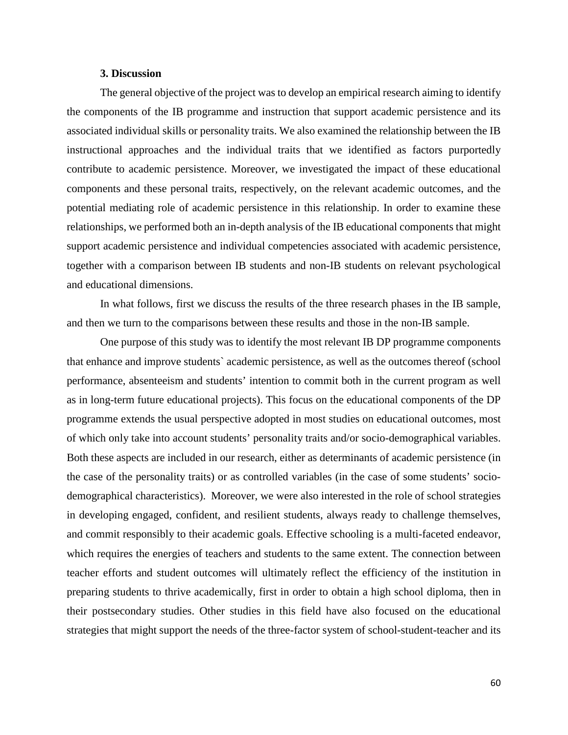### **3. Discussion**

The general objective of the project was to develop an empirical research aiming to identify the components of the IB programme and instruction that support academic persistence and its associated individual skills or personality traits. We also examined the relationship between the IB instructional approaches and the individual traits that we identified as factors purportedly contribute to academic persistence. Moreover, we investigated the impact of these educational components and these personal traits, respectively, on the relevant academic outcomes, and the potential mediating role of academic persistence in this relationship. In order to examine these relationships, we performed both an in-depth analysis of the IB educational components that might support academic persistence and individual competencies associated with academic persistence, together with a comparison between IB students and non-IB students on relevant psychological and educational dimensions.

In what follows, first we discuss the results of the three research phases in the IB sample, and then we turn to the comparisons between these results and those in the non-IB sample.

One purpose of this study was to identify the most relevant IB DP programme components that enhance and improve students` academic persistence, as well as the outcomes thereof (school performance, absenteeism and students' intention to commit both in the current program as well as in long-term future educational projects). This focus on the educational components of the DP programme extends the usual perspective adopted in most studies on educational outcomes, most of which only take into account students' personality traits and/or socio-demographical variables. Both these aspects are included in our research, either as determinants of academic persistence (in the case of the personality traits) or as controlled variables (in the case of some students' sociodemographical characteristics). Moreover, we were also interested in the role of school strategies in developing engaged, confident, and resilient students, always ready to challenge themselves, and commit responsibly to their academic goals. Effective schooling is a multi-faceted endeavor, which requires the energies of teachers and students to the same extent. The connection between teacher efforts and student outcomes will ultimately reflect the efficiency of the institution in preparing students to thrive academically, first in order to obtain a high school diploma, then in their postsecondary studies. Other studies in this field have also focused on the educational strategies that might support the needs of the three-factor system of school-student-teacher and its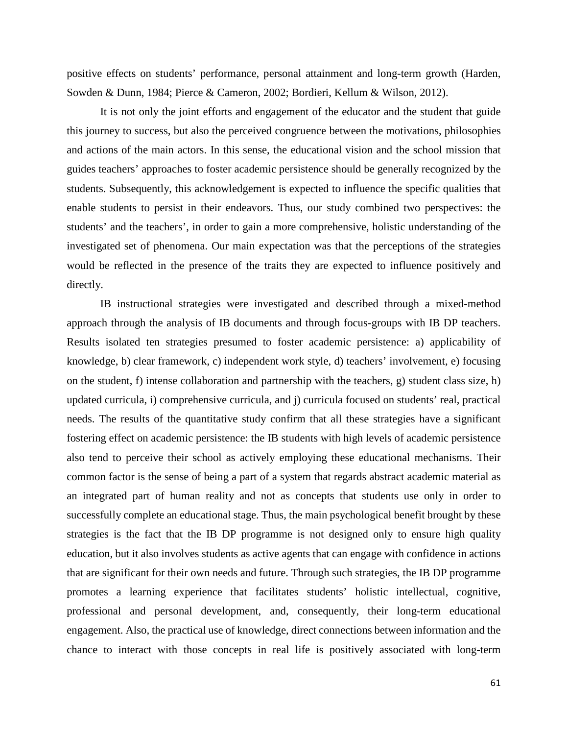positive effects on students' performance, personal attainment and long-term growth (Harden, Sowden & Dunn, 1984; Pierce & Cameron, 2002; Bordieri, Kellum & Wilson, 2012).

It is not only the joint efforts and engagement of the educator and the student that guide this journey to success, but also the perceived congruence between the motivations, philosophies and actions of the main actors. In this sense, the educational vision and the school mission that guides teachers' approaches to foster academic persistence should be generally recognized by the students. Subsequently, this acknowledgement is expected to influence the specific qualities that enable students to persist in their endeavors. Thus, our study combined two perspectives: the students' and the teachers', in order to gain a more comprehensive, holistic understanding of the investigated set of phenomena. Our main expectation was that the perceptions of the strategies would be reflected in the presence of the traits they are expected to influence positively and directly.

IB instructional strategies were investigated and described through a mixed-method approach through the analysis of IB documents and through focus-groups with IB DP teachers. Results isolated ten strategies presumed to foster academic persistence: a) applicability of knowledge, b) clear framework, c) independent work style, d) teachers' involvement, e) focusing on the student, f) intense collaboration and partnership with the teachers, g) student class size, h) updated curricula, i) comprehensive curricula, and j) curricula focused on students' real, practical needs. The results of the quantitative study confirm that all these strategies have a significant fostering effect on academic persistence: the IB students with high levels of academic persistence also tend to perceive their school as actively employing these educational mechanisms. Their common factor is the sense of being a part of a system that regards abstract academic material as an integrated part of human reality and not as concepts that students use only in order to successfully complete an educational stage. Thus, the main psychological benefit brought by these strategies is the fact that the IB DP programme is not designed only to ensure high quality education, but it also involves students as active agents that can engage with confidence in actions that are significant for their own needs and future. Through such strategies, the IB DP programme promotes a learning experience that facilitates students' holistic intellectual, cognitive, professional and personal development, and, consequently, their long-term educational engagement. Also, the practical use of knowledge, direct connections between information and the chance to interact with those concepts in real life is positively associated with long-term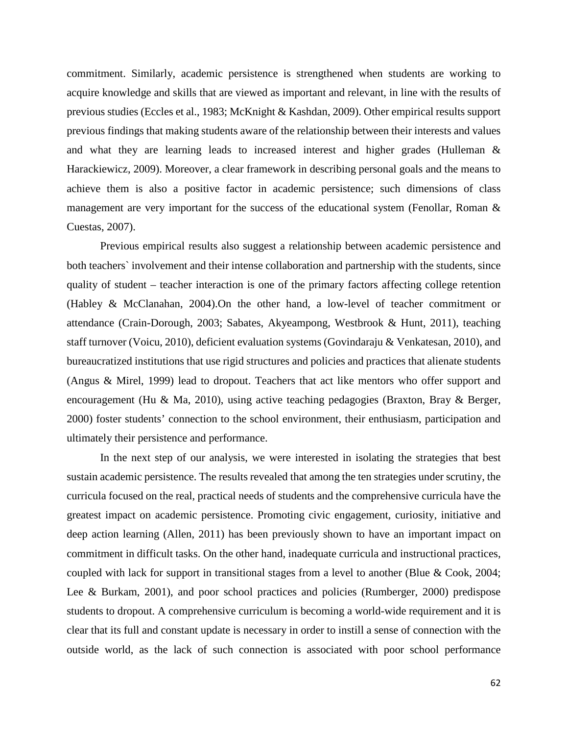commitment. Similarly, academic persistence is strengthened when students are working to acquire knowledge and skills that are viewed as important and relevant, in line with the results of previous studies (Eccles et al., 1983; McKnight & Kashdan, 2009). Other empirical results support previous findings that making students aware of the relationship between their interests and values and what they are learning leads to increased interest and higher grades (Hulleman & Harackiewicz, 2009). Moreover, a clear framework in describing personal goals and the means to achieve them is also a positive factor in academic persistence; such dimensions of class management are very important for the success of the educational system (Fenollar, Roman & Cuestas, 2007).

Previous empirical results also suggest a relationship between academic persistence and both teachers` involvement and their intense collaboration and partnership with the students, since quality of student – teacher interaction is one of the primary factors affecting college retention (Habley & McClanahan, 2004).On the other hand, a low-level of teacher commitment or attendance (Crain-Dorough, 2003; Sabates, Akyeampong, Westbrook & Hunt, 2011), teaching staff turnover (Voicu, 2010), deficient evaluation systems (Govindaraju & Venkatesan, 2010), and bureaucratized institutions that use rigid structures and policies and practices that alienate students (Angus & Mirel, 1999) lead to dropout. Teachers that act like mentors who offer support and encouragement (Hu & Ma, 2010), using active teaching pedagogies (Braxton, Bray & Berger, 2000) foster students' connection to the school environment, their enthusiasm, participation and ultimately their persistence and performance.

In the next step of our analysis, we were interested in isolating the strategies that best sustain academic persistence. The results revealed that among the ten strategies under scrutiny, the curricula focused on the real, practical needs of students and the comprehensive curricula have the greatest impact on academic persistence. Promoting civic engagement, curiosity, initiative and deep action learning (Allen, 2011) has been previously shown to have an important impact on commitment in difficult tasks. On the other hand, inadequate curricula and instructional practices, coupled with lack for support in transitional stages from a level to another (Blue & Cook, 2004; Lee & Burkam, 2001), and poor school practices and policies (Rumberger, 2000) predispose students to dropout. A comprehensive curriculum is becoming a world-wide requirement and it is clear that its full and constant update is necessary in order to instill a sense of connection with the outside world, as the lack of such connection is associated with poor school performance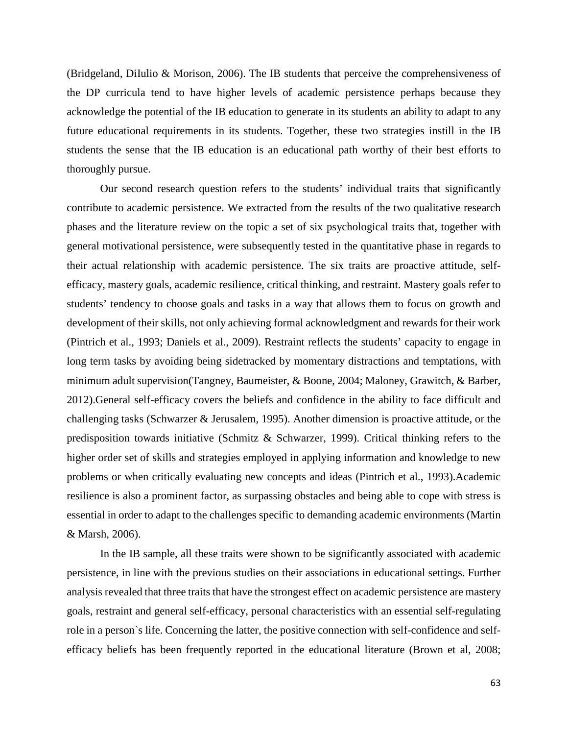(Bridgeland, DiIulio & Morison, 2006). The IB students that perceive the comprehensiveness of the DP curricula tend to have higher levels of academic persistence perhaps because they acknowledge the potential of the IB education to generate in its students an ability to adapt to any future educational requirements in its students. Together, these two strategies instill in the IB students the sense that the IB education is an educational path worthy of their best efforts to thoroughly pursue.

Our second research question refers to the students' individual traits that significantly contribute to academic persistence. We extracted from the results of the two qualitative research phases and the literature review on the topic a set of six psychological traits that, together with general motivational persistence, were subsequently tested in the quantitative phase in regards to their actual relationship with academic persistence. The six traits are proactive attitude, selfefficacy, mastery goals, academic resilience, critical thinking, and restraint. Mastery goals refer to students' tendency to choose goals and tasks in a way that allows them to focus on growth and development of their skills, not only achieving formal acknowledgment and rewards for their work (Pintrich et al., 1993; Daniels et al., 2009). Restraint reflects the students' capacity to engage in long term tasks by avoiding being sidetracked by momentary distractions and temptations, with minimum adult supervision(Tangney, Baumeister, & Boone, 2004; Maloney, Grawitch, & Barber, 2012).General self-efficacy covers the beliefs and confidence in the ability to face difficult and challenging tasks (Schwarzer & Jerusalem, 1995). Another dimension is proactive attitude, or the predisposition towards initiative (Schmitz & Schwarzer, 1999). Critical thinking refers to the higher order set of skills and strategies employed in applying information and knowledge to new problems or when critically evaluating new concepts and ideas (Pintrich et al., 1993).Academic resilience is also a prominent factor, as surpassing obstacles and being able to cope with stress is essential in order to adapt to the challenges specific to demanding academic environments (Martin & Marsh, 2006).

In the IB sample, all these traits were shown to be significantly associated with academic persistence, in line with the previous studies on their associations in educational settings. Further analysis revealed that three traits that have the strongest effect on academic persistence are mastery goals, restraint and general self-efficacy, personal characteristics with an essential self-regulating role in a person`s life. Concerning the latter, the positive connection with self-confidence and selfefficacy beliefs has been frequently reported in the educational literature (Brown et al, 2008;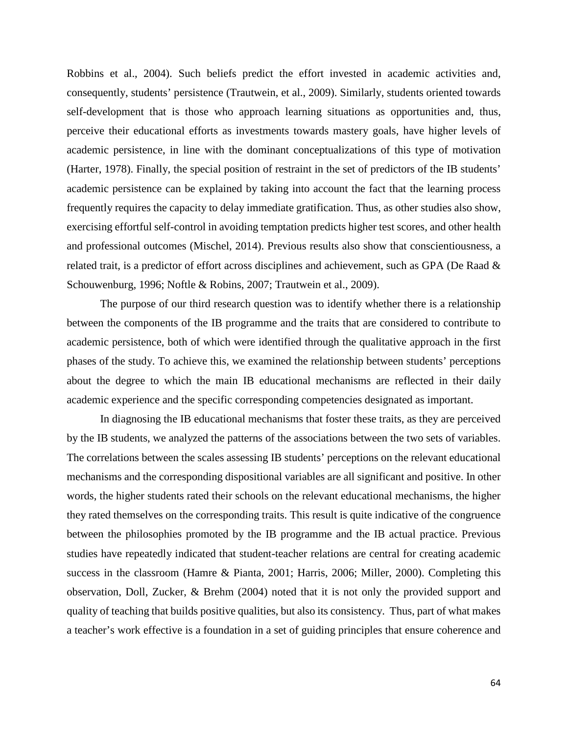Robbins et al., 2004). Such beliefs predict the effort invested in academic activities and, consequently, students' persistence (Trautwein, et al., 2009). Similarly, students oriented towards self-development that is those who approach learning situations as opportunities and, thus, perceive their educational efforts as investments towards mastery goals, have higher levels of academic persistence, in line with the dominant conceptualizations of this type of motivation (Harter, 1978). Finally, the special position of restraint in the set of predictors of the IB students' academic persistence can be explained by taking into account the fact that the learning process frequently requires the capacity to delay immediate gratification. Thus, as other studies also show, exercising effortful self-control in avoiding temptation predicts higher test scores, and other health and professional outcomes (Mischel, 2014). Previous results also show that conscientiousness, a related trait, is a predictor of effort across disciplines and achievement, such as GPA (De Raad & Schouwenburg, 1996; Noftle & Robins, 2007; Trautwein et al., 2009).

The purpose of our third research question was to identify whether there is a relationship between the components of the IB programme and the traits that are considered to contribute to academic persistence, both of which were identified through the qualitative approach in the first phases of the study. To achieve this, we examined the relationship between students' perceptions about the degree to which the main IB educational mechanisms are reflected in their daily academic experience and the specific corresponding competencies designated as important.

In diagnosing the IB educational mechanisms that foster these traits, as they are perceived by the IB students, we analyzed the patterns of the associations between the two sets of variables. The correlations between the scales assessing IB students' perceptions on the relevant educational mechanisms and the corresponding dispositional variables are all significant and positive. In other words, the higher students rated their schools on the relevant educational mechanisms, the higher they rated themselves on the corresponding traits. This result is quite indicative of the congruence between the philosophies promoted by the IB programme and the IB actual practice. Previous studies have repeatedly indicated that student-teacher relations are central for creating academic success in the classroom (Hamre & Pianta, 2001; Harris, 2006; Miller, 2000). Completing this observation, Doll, Zucker, & Brehm (2004) noted that it is not only the provided support and quality of teaching that builds positive qualities, but also its consistency. Thus, part of what makes a teacher's work effective is a foundation in a set of guiding principles that ensure coherence and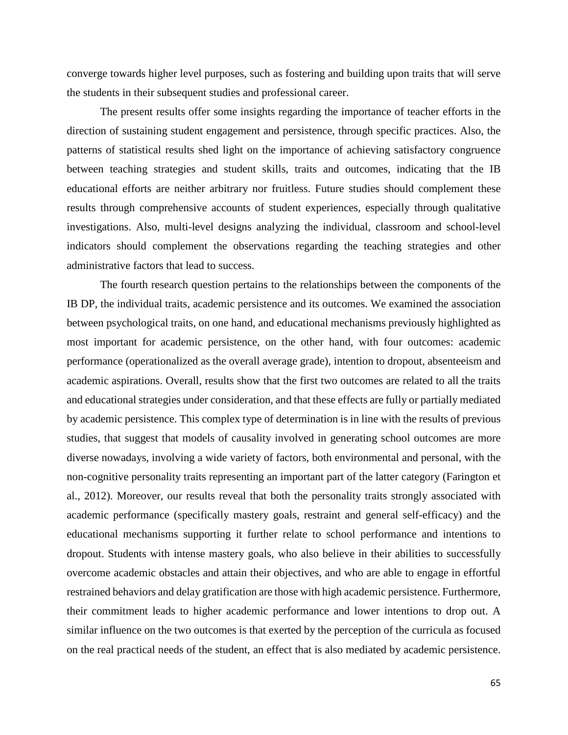converge towards higher level purposes, such as fostering and building upon traits that will serve the students in their subsequent studies and professional career.

The present results offer some insights regarding the importance of teacher efforts in the direction of sustaining student engagement and persistence, through specific practices. Also, the patterns of statistical results shed light on the importance of achieving satisfactory congruence between teaching strategies and student skills, traits and outcomes, indicating that the IB educational efforts are neither arbitrary nor fruitless. Future studies should complement these results through comprehensive accounts of student experiences, especially through qualitative investigations. Also, multi-level designs analyzing the individual, classroom and school-level indicators should complement the observations regarding the teaching strategies and other administrative factors that lead to success.

The fourth research question pertains to the relationships between the components of the IB DP, the individual traits, academic persistence and its outcomes. We examined the association between psychological traits, on one hand, and educational mechanisms previously highlighted as most important for academic persistence, on the other hand, with four outcomes: academic performance (operationalized as the overall average grade), intention to dropout, absenteeism and academic aspirations. Overall, results show that the first two outcomes are related to all the traits and educational strategies under consideration, and that these effects are fully or partially mediated by academic persistence. This complex type of determination is in line with the results of previous studies, that suggest that models of causality involved in generating school outcomes are more diverse nowadays, involving a wide variety of factors, both environmental and personal, with the non-cognitive personality traits representing an important part of the latter category (Farington et al., 2012). Moreover, our results reveal that both the personality traits strongly associated with academic performance (specifically mastery goals, restraint and general self-efficacy) and the educational mechanisms supporting it further relate to school performance and intentions to dropout. Students with intense mastery goals, who also believe in their abilities to successfully overcome academic obstacles and attain their objectives, and who are able to engage in effortful restrained behaviors and delay gratification are those with high academic persistence. Furthermore, their commitment leads to higher academic performance and lower intentions to drop out. A similar influence on the two outcomes is that exerted by the perception of the curricula as focused on the real practical needs of the student, an effect that is also mediated by academic persistence.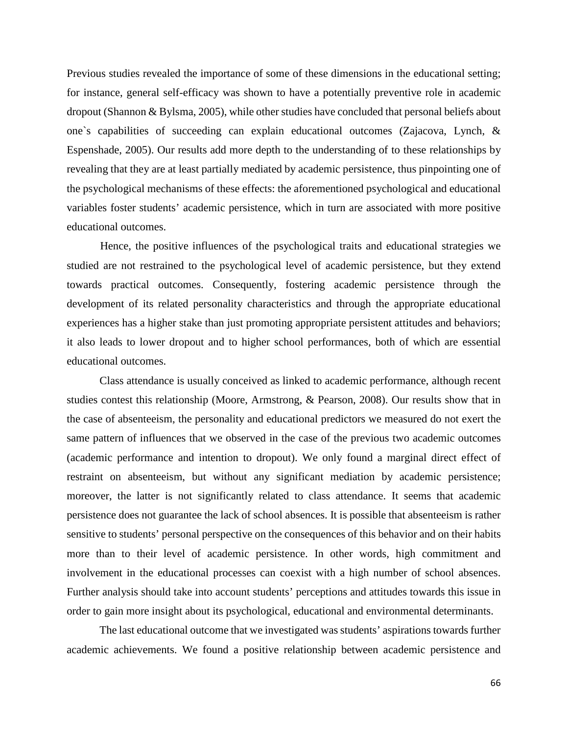Previous studies revealed the importance of some of these dimensions in the educational setting; for instance, general self-efficacy was shown to have a potentially preventive role in academic dropout (Shannon & Bylsma, 2005), while other studies have concluded that personal beliefs about one`s capabilities of succeeding can explain educational outcomes (Zajacova, Lynch, & Espenshade, 2005). Our results add more depth to the understanding of to these relationships by revealing that they are at least partially mediated by academic persistence, thus pinpointing one of the psychological mechanisms of these effects: the aforementioned psychological and educational variables foster students' academic persistence, which in turn are associated with more positive educational outcomes.

Hence, the positive influences of the psychological traits and educational strategies we studied are not restrained to the psychological level of academic persistence, but they extend towards practical outcomes. Consequently, fostering academic persistence through the development of its related personality characteristics and through the appropriate educational experiences has a higher stake than just promoting appropriate persistent attitudes and behaviors; it also leads to lower dropout and to higher school performances, both of which are essential educational outcomes.

Class attendance is usually conceived as linked to academic performance, although recent studies contest this relationship (Moore, Armstrong, & Pearson, 2008). Our results show that in the case of absenteeism, the personality and educational predictors we measured do not exert the same pattern of influences that we observed in the case of the previous two academic outcomes (academic performance and intention to dropout). We only found a marginal direct effect of restraint on absenteeism, but without any significant mediation by academic persistence; moreover, the latter is not significantly related to class attendance. It seems that academic persistence does not guarantee the lack of school absences. It is possible that absenteeism is rather sensitive to students' personal perspective on the consequences of this behavior and on their habits more than to their level of academic persistence. In other words, high commitment and involvement in the educational processes can coexist with a high number of school absences. Further analysis should take into account students' perceptions and attitudes towards this issue in order to gain more insight about its psychological, educational and environmental determinants.

The last educational outcome that we investigated was students' aspirations towards further academic achievements. We found a positive relationship between academic persistence and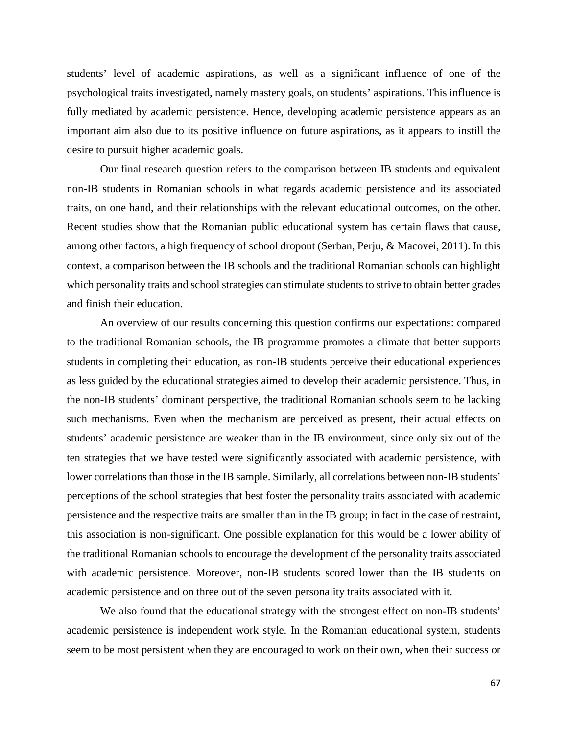students' level of academic aspirations, as well as a significant influence of one of the psychological traits investigated, namely mastery goals, on students' aspirations. This influence is fully mediated by academic persistence. Hence, developing academic persistence appears as an important aim also due to its positive influence on future aspirations, as it appears to instill the desire to pursuit higher academic goals.

Our final research question refers to the comparison between IB students and equivalent non-IB students in Romanian schools in what regards academic persistence and its associated traits, on one hand, and their relationships with the relevant educational outcomes, on the other. Recent studies show that the Romanian public educational system has certain flaws that cause, among other factors, a high frequency of school dropout (Serban, Perju, & Macovei, 2011). In this context, a comparison between the IB schools and the traditional Romanian schools can highlight which personality traits and school strategies can stimulate students to strive to obtain better grades and finish their education.

An overview of our results concerning this question confirms our expectations: compared to the traditional Romanian schools, the IB programme promotes a climate that better supports students in completing their education, as non-IB students perceive their educational experiences as less guided by the educational strategies aimed to develop their academic persistence. Thus, in the non-IB students' dominant perspective, the traditional Romanian schools seem to be lacking such mechanisms. Even when the mechanism are perceived as present, their actual effects on students' academic persistence are weaker than in the IB environment, since only six out of the ten strategies that we have tested were significantly associated with academic persistence, with lower correlations than those in the IB sample. Similarly, all correlations between non-IB students' perceptions of the school strategies that best foster the personality traits associated with academic persistence and the respective traits are smaller than in the IB group; in fact in the case of restraint, this association is non-significant. One possible explanation for this would be a lower ability of the traditional Romanian schools to encourage the development of the personality traits associated with academic persistence. Moreover, non-IB students scored lower than the IB students on academic persistence and on three out of the seven personality traits associated with it.

We also found that the educational strategy with the strongest effect on non-IB students' academic persistence is independent work style. In the Romanian educational system, students seem to be most persistent when they are encouraged to work on their own, when their success or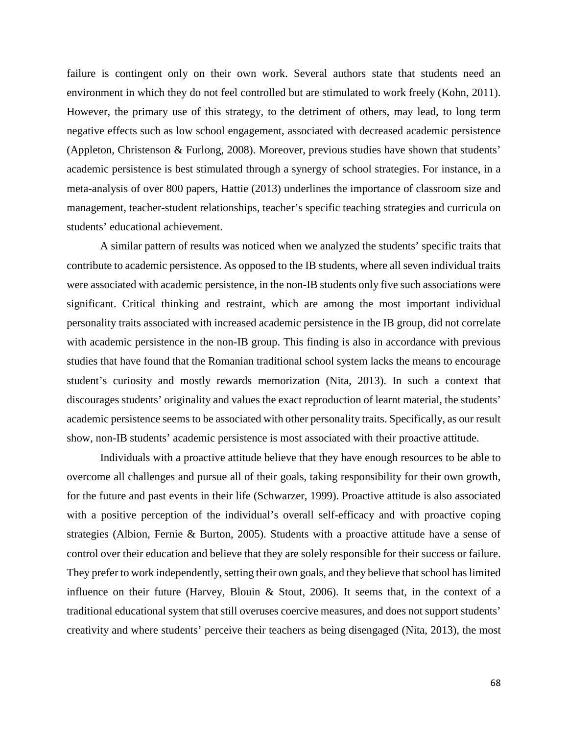failure is contingent only on their own work. Several authors state that students need an environment in which they do not feel controlled but are stimulated to work freely (Kohn, 2011). However, the primary use of this strategy, to the detriment of others, may lead, to long term negative effects such as low school engagement, associated with decreased academic persistence (Appleton, Christenson & Furlong, 2008). Moreover, previous studies have shown that students' academic persistence is best stimulated through a synergy of school strategies. For instance, in a meta-analysis of over 800 papers, Hattie (2013) underlines the importance of classroom size and management, teacher-student relationships, teacher's specific teaching strategies and curricula on students' educational achievement.

A similar pattern of results was noticed when we analyzed the students' specific traits that contribute to academic persistence. As opposed to the IB students, where all seven individual traits were associated with academic persistence, in the non-IB students only five such associations were significant. Critical thinking and restraint, which are among the most important individual personality traits associated with increased academic persistence in the IB group, did not correlate with academic persistence in the non-IB group. This finding is also in accordance with previous studies that have found that the Romanian traditional school system lacks the means to encourage student's curiosity and mostly rewards memorization (Nita, 2013). In such a context that discourages students' originality and values the exact reproduction of learnt material, the students' academic persistence seems to be associated with other personality traits. Specifically, as our result show, non-IB students' academic persistence is most associated with their proactive attitude.

Individuals with a proactive attitude believe that they have enough resources to be able to overcome all challenges and pursue all of their goals, taking responsibility for their own growth, for the future and past events in their life (Schwarzer, 1999). Proactive attitude is also associated with a positive perception of the individual's overall self-efficacy and with proactive coping strategies (Albion, Fernie & Burton, 2005). Students with a proactive attitude have a sense of control over their education and believe that they are solely responsible for their success or failure. They prefer to work independently, setting their own goals, and they believe that school has limited influence on their future (Harvey, Blouin & Stout, 2006). It seems that, in the context of a traditional educational system that still overuses coercive measures, and does not support students' creativity and where students' perceive their teachers as being disengaged (Nita, 2013), the most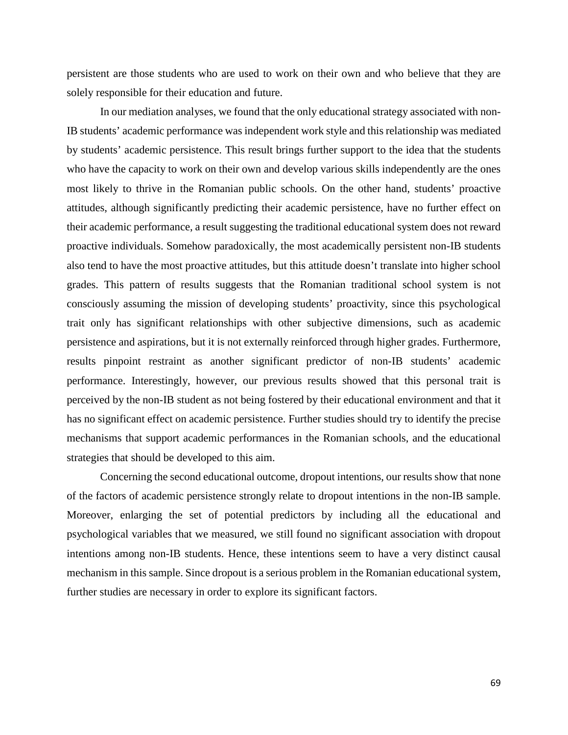persistent are those students who are used to work on their own and who believe that they are solely responsible for their education and future.

In our mediation analyses, we found that the only educational strategy associated with non-IB students' academic performance was independent work style and this relationship was mediated by students' academic persistence. This result brings further support to the idea that the students who have the capacity to work on their own and develop various skills independently are the ones most likely to thrive in the Romanian public schools. On the other hand, students' proactive attitudes, although significantly predicting their academic persistence, have no further effect on their academic performance, a result suggesting the traditional educational system does not reward proactive individuals. Somehow paradoxically, the most academically persistent non-IB students also tend to have the most proactive attitudes, but this attitude doesn't translate into higher school grades. This pattern of results suggests that the Romanian traditional school system is not consciously assuming the mission of developing students' proactivity, since this psychological trait only has significant relationships with other subjective dimensions, such as academic persistence and aspirations, but it is not externally reinforced through higher grades. Furthermore, results pinpoint restraint as another significant predictor of non-IB students' academic performance. Interestingly, however, our previous results showed that this personal trait is perceived by the non-IB student as not being fostered by their educational environment and that it has no significant effect on academic persistence. Further studies should try to identify the precise mechanisms that support academic performances in the Romanian schools, and the educational strategies that should be developed to this aim.

Concerning the second educational outcome, dropout intentions, our results show that none of the factors of academic persistence strongly relate to dropout intentions in the non-IB sample. Moreover, enlarging the set of potential predictors by including all the educational and psychological variables that we measured, we still found no significant association with dropout intentions among non-IB students. Hence, these intentions seem to have a very distinct causal mechanism in this sample. Since dropout is a serious problem in the Romanian educational system, further studies are necessary in order to explore its significant factors.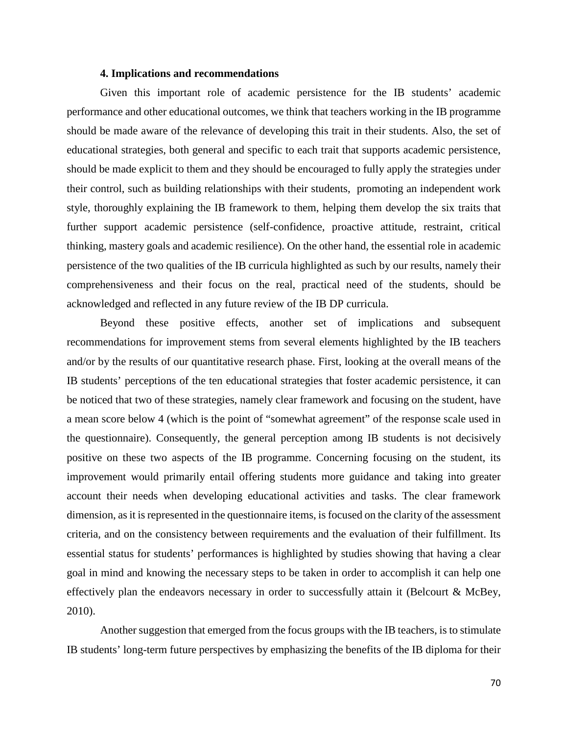#### **4. Implications and recommendations**

Given this important role of academic persistence for the IB students' academic performance and other educational outcomes, we think that teachers working in the IB programme should be made aware of the relevance of developing this trait in their students. Also, the set of educational strategies, both general and specific to each trait that supports academic persistence, should be made explicit to them and they should be encouraged to fully apply the strategies under their control, such as building relationships with their students, promoting an independent work style, thoroughly explaining the IB framework to them, helping them develop the six traits that further support academic persistence (self-confidence, proactive attitude, restraint, critical thinking, mastery goals and academic resilience). On the other hand, the essential role in academic persistence of the two qualities of the IB curricula highlighted as such by our results, namely their comprehensiveness and their focus on the real, practical need of the students, should be acknowledged and reflected in any future review of the IB DP curricula.

Beyond these positive effects, another set of implications and subsequent recommendations for improvement stems from several elements highlighted by the IB teachers and/or by the results of our quantitative research phase. First, looking at the overall means of the IB students' perceptions of the ten educational strategies that foster academic persistence, it can be noticed that two of these strategies, namely clear framework and focusing on the student, have a mean score below 4 (which is the point of "somewhat agreement" of the response scale used in the questionnaire). Consequently, the general perception among IB students is not decisively positive on these two aspects of the IB programme. Concerning focusing on the student, its improvement would primarily entail offering students more guidance and taking into greater account their needs when developing educational activities and tasks. The clear framework dimension, as it is represented in the questionnaire items, is focused on the clarity of the assessment criteria, and on the consistency between requirements and the evaluation of their fulfillment. Its essential status for students' performances is highlighted by studies showing that having a clear goal in mind and knowing the necessary steps to be taken in order to accomplish it can help one effectively plan the endeavors necessary in order to successfully attain it (Belcourt & McBey, 2010).

Another suggestion that emerged from the focus groups with the IB teachers, is to stimulate IB students' long-term future perspectives by emphasizing the benefits of the IB diploma for their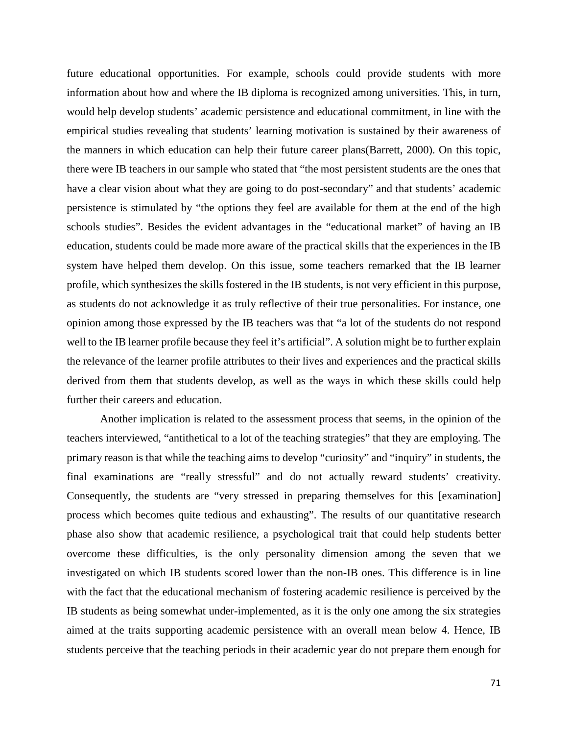future educational opportunities. For example, schools could provide students with more information about how and where the IB diploma is recognized among universities. This, in turn, would help develop students' academic persistence and educational commitment, in line with the empirical studies revealing that students' learning motivation is sustained by their awareness of the manners in which education can help their future career plans(Barrett, 2000). On this topic, there were IB teachers in our sample who stated that "the most persistent students are the ones that have a clear vision about what they are going to do post-secondary" and that students' academic persistence is stimulated by "the options they feel are available for them at the end of the high schools studies". Besides the evident advantages in the "educational market" of having an IB education, students could be made more aware of the practical skills that the experiences in the IB system have helped them develop. On this issue, some teachers remarked that the IB learner profile, which synthesizes the skills fostered in the IB students, is not very efficient in this purpose, as students do not acknowledge it as truly reflective of their true personalities. For instance, one opinion among those expressed by the IB teachers was that "a lot of the students do not respond well to the IB learner profile because they feel it's artificial". A solution might be to further explain the relevance of the learner profile attributes to their lives and experiences and the practical skills derived from them that students develop, as well as the ways in which these skills could help further their careers and education.

Another implication is related to the assessment process that seems, in the opinion of the teachers interviewed, "antithetical to a lot of the teaching strategies" that they are employing. The primary reason is that while the teaching aims to develop "curiosity" and "inquiry" in students, the final examinations are "really stressful" and do not actually reward students' creativity. Consequently, the students are "very stressed in preparing themselves for this [examination] process which becomes quite tedious and exhausting". The results of our quantitative research phase also show that academic resilience, a psychological trait that could help students better overcome these difficulties, is the only personality dimension among the seven that we investigated on which IB students scored lower than the non-IB ones. This difference is in line with the fact that the educational mechanism of fostering academic resilience is perceived by the IB students as being somewhat under-implemented, as it is the only one among the six strategies aimed at the traits supporting academic persistence with an overall mean below 4. Hence, IB students perceive that the teaching periods in their academic year do not prepare them enough for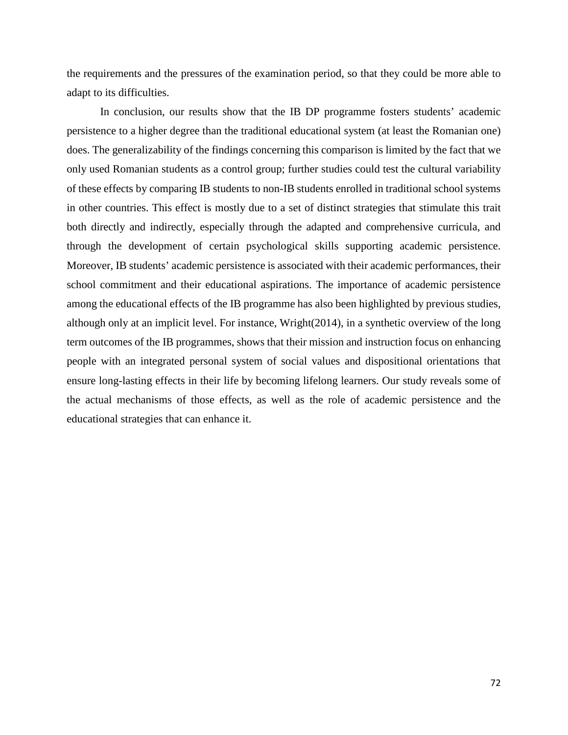the requirements and the pressures of the examination period, so that they could be more able to adapt to its difficulties.

In conclusion, our results show that the IB DP programme fosters students' academic persistence to a higher degree than the traditional educational system (at least the Romanian one) does. The generalizability of the findings concerning this comparison is limited by the fact that we only used Romanian students as a control group; further studies could test the cultural variability of these effects by comparing IB students to non-IB students enrolled in traditional school systems in other countries. This effect is mostly due to a set of distinct strategies that stimulate this trait both directly and indirectly, especially through the adapted and comprehensive curricula, and through the development of certain psychological skills supporting academic persistence. Moreover, IB students' academic persistence is associated with their academic performances, their school commitment and their educational aspirations. The importance of academic persistence among the educational effects of the IB programme has also been highlighted by previous studies, although only at an implicit level. For instance, Wright(2014), in a synthetic overview of the long term outcomes of the IB programmes, shows that their mission and instruction focus on enhancing people with an integrated personal system of social values and dispositional orientations that ensure long-lasting effects in their life by becoming lifelong learners. Our study reveals some of the actual mechanisms of those effects, as well as the role of academic persistence and the educational strategies that can enhance it.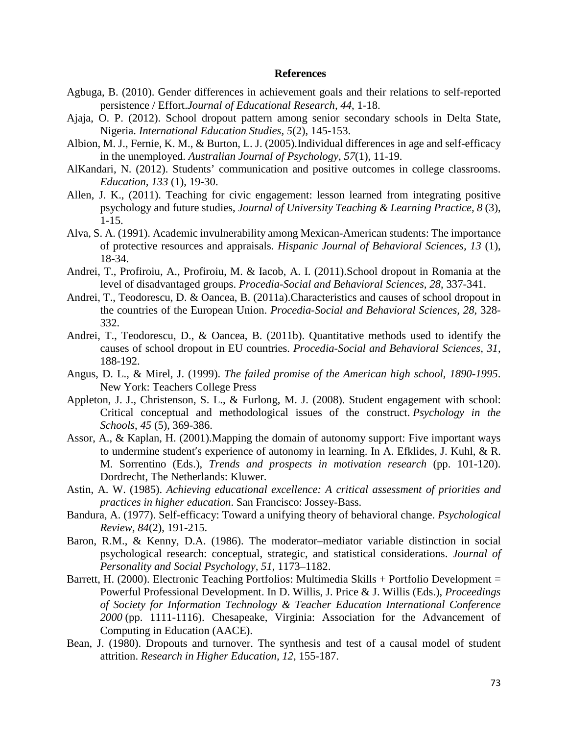#### **References**

- Agbuga, B. (2010). Gender differences in achievement goals and their relations to self-reported persistence / Effort.*Journal of Educational Research, 44*, 1-18.
- Ajaja, O. P. (2012). School dropout pattern among senior secondary schools in Delta State, Nigeria. *International Education Studies, 5*(2), 145-153.
- Albion, M. J., Fernie, K. M., & Burton, L. J. (2005).Individual differences in age and self-efficacy in the unemployed. *Australian Journal of Psychology*, *57*(1), 11-19.
- AlKandari, N. (2012). Students' communication and positive outcomes in college classrooms. *Education, 133* (1), 19-30.
- Allen, J. K., (2011). Teaching for civic engagement: lesson learned from integrating positive psychology and future studies, *Journal of University Teaching & Learning Practice, 8* (3), 1-15.
- Alva, S. A. (1991). Academic invulnerability among Mexican-American students: The importance of protective resources and appraisals. *Hispanic Journal of Behavioral Sciences, 13* (1), 18-34.
- Andrei, T., Profiroiu, A., Profiroiu, M. & Iacob, A. I. (2011).School dropout in Romania at the level of disadvantaged groups. *Procedia-Social and Behavioral Sciences, 28*, 337-341.
- Andrei, T., Teodorescu, D. & Oancea, B. (2011a).Characteristics and causes of school dropout in the countries of the European Union. *Procedia-Social and Behavioral Sciences, 28*, 328- 332.
- Andrei, T., Teodorescu, D., & Oancea, B. (2011b). Quantitative methods used to identify the causes of school dropout in EU countries. *Procedia-Social and Behavioral Sciences, 31*, 188-192.
- Angus, D. L., & Mirel, J. (1999). *The failed promise of the American high school, 1890-1995*. New York: Teachers College Press
- Appleton, J. J., Christenson, S. L., & Furlong, M. J. (2008). Student engagement with school: Critical conceptual and methodological issues of the construct. *Psychology in the Schools*, *45* (5), 369-386.
- Assor, A., & Kaplan, H. (2001).Mapping the domain of autonomy support: Five important ways to undermine student's experience of autonomy in learning. In A. Efklides, J. Kuhl, & R. M. Sorrentino (Eds.), *Trends and prospects in motivation research* (pp. 101-120). Dordrecht, The Netherlands: Kluwer.
- Astin, A. W. (1985). *Achieving educational excellence: A critical assessment of priorities and practices in higher education*. San Francisco: Jossey-Bass.
- Bandura, A. (1977). Self-efficacy: Toward a unifying theory of behavioral change. *Psychological Review, 84*(2), 191-215.
- Baron, R.M., & Kenny, D.A. (1986). The moderator–mediator variable distinction in social psychological research: conceptual, strategic, and statistical considerations. *Journal of Personality and Social Psychology, 51*, 1173–1182.
- Barrett, H. (2000). Electronic Teaching Portfolios: Multimedia Skills + Portfolio Development = Powerful Professional Development. In D. Willis, J. Price & J. Willis (Eds.), *Proceedings of Society for Information Technology & Teacher Education International Conference 2000* (pp. 1111-1116). Chesapeake, Virginia: Association for the Advancement of Computing in Education (AACE).
- Bean, J. (1980). Dropouts and turnover. The synthesis and test of a causal model of student attrition. *Research in Higher Education, 12*, 155-187.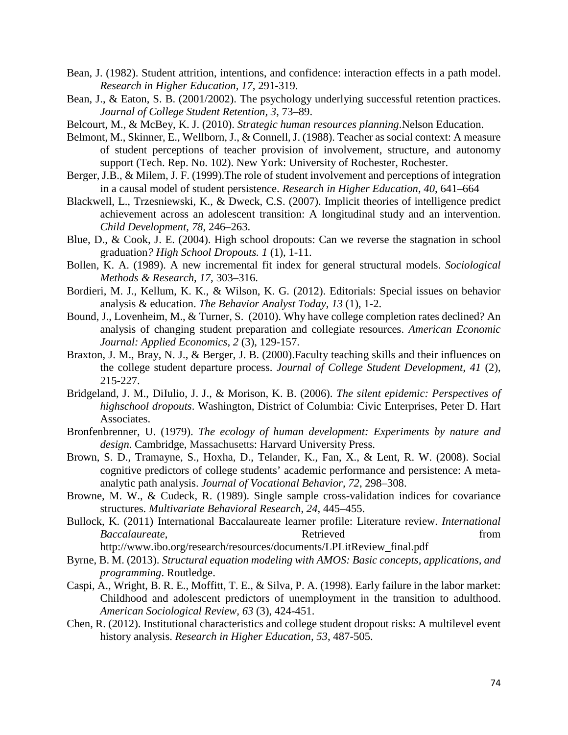- Bean, J. (1982). Student attrition, intentions, and confidence: interaction effects in a path model. *Research in Higher Education, 17*, 291-319.
- Bean, J., & Eaton, S. B. (2001/2002). The psychology underlying successful retention practices. *Journal of College Student Retention, 3*, 73–89.
- Belcourt, M., & McBey, K. J. (2010). *Strategic human resources planning*.Nelson Education.
- Belmont, M., Skinner, E., Wellborn, J., & Connell, J. (1988). Teacher as social context: A measure of student perceptions of teacher provision of involvement, structure, and autonomy support (Tech. Rep. No. 102). New York: University of Rochester, Rochester.
- Berger, J.B., & Milem, J. F. (1999).The role of student involvement and perceptions of integration in a causal model of student persistence. *Research in Higher Education, 40*, 641–664
- Blackwell, L., Trzesniewski, K., & Dweck, C.S. (2007). Implicit theories of intelligence predict achievement across an adolescent transition: A longitudinal study and an intervention. *Child Development, 78*, 246–263.
- Blue, D., & Cook, J. E. (2004). High school dropouts: Can we reverse the stagnation in school graduation*? High School Dropouts. 1* (1), 1-11.
- Bollen, K. A. (1989). A new incremental fit index for general structural models. *Sociological Methods & Research*, *17*, 303–316.
- Bordieri, M. J., Kellum, K. K., & Wilson, K. G. (2012). Editorials: Special issues on behavior analysis & education. *The Behavior Analyst Today, 13* (1), 1-2.
- Bound, J., Lovenheim, M., & Turner, S. (2010). Why have college completion rates declined? An analysis of changing student preparation and collegiate resources. *American Economic Journal: Applied Economics, 2* (3), 129-157.
- Braxton, J. M., Bray, N. J., & Berger, J. B. (2000).Faculty teaching skills and their influences on the college student departure process. *Journal of College Student Development, 41* (2), 215-227.
- Bridgeland, J. M., DiIulio, J. J., & Morison, K. B. (2006). *The silent epidemic: Perspectives of highschool dropouts*. Washington, District of Columbia: Civic Enterprises, Peter D. Hart Associates.
- Bronfenbrenner, U. (1979). *The ecology of human development: Experiments by nature and design*. Cambridge, Massachusetts: Harvard University Press.
- Brown, S. D., Tramayne, S., Hoxha, D., Telander, K., Fan, X., & Lent, R. W. (2008). Social cognitive predictors of college students' academic performance and persistence: A metaanalytic path analysis. *Journal of Vocational Behavior, 72*, 298–308.
- Browne, M. W., & Cudeck, R. (1989). Single sample cross-validation indices for covariance structures. *Multivariate Behavioral Research*, *24*, 445–455.
- Bullock, K. (2011) International Baccalaureate learner profile: Literature review. *International Baccalaureate*, from **Retrieved** *Retrieved* from http://www.ibo.org/research/resources/documents/LPLitReview\_final.pdf
- Byrne, B. M. (2013). *Structural equation modeling with AMOS: Basic concepts, applications, and programming*. Routledge.
- Caspi, A., Wright, B. R. E., Moffitt, T. E., & Silva, P. A. (1998). Early failure in the labor market: Childhood and adolescent predictors of unemployment in the transition to adulthood. *American Sociological Review, 63* (3), 424-451.
- Chen, R. (2012). Institutional characteristics and college student dropout risks: A multilevel event history analysis. *Research in Higher Education, 53*, 487-505.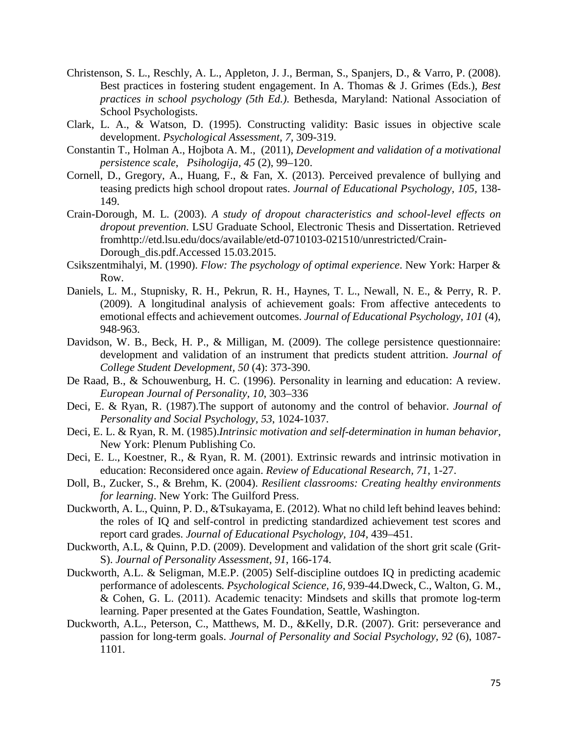- Christenson, S. L., Reschly, A. L., Appleton, J. J., Berman, S., Spanjers, D., & Varro, P. (2008). Best practices in fostering student engagement. In A. Thomas & J. Grimes (Eds.), *Best practices in school psychology (5th Ed.)*. Bethesda, Maryland: National Association of School Psychologists.
- Clark, L. A., & Watson, D. (1995). Constructing validity: Basic issues in objective scale development. *Psychological Assessment, 7,* 309-319.
- Constantin T., Holman A., Hojbota A. M., (2011), *Development and validation of a motivational persistence scale*, *Psihologija, 45* (2), 99–120.
- Cornell, D., Gregory, A., Huang, F., & Fan, X. (2013). Perceived prevalence of bullying and teasing predicts high school dropout rates. *Journal of Educational Psychology, 105,* 138- 149.
- Crain-Dorough, M. L. (2003). *A study of dropout characteristics and school-level effects on dropout prevention*. LSU Graduate School, Electronic Thesis and Dissertation. Retrieved fromhttp://etd.lsu.edu/docs/available/etd-0710103-021510/unrestricted/Crain-Dorough dis.pdf.Accessed 15.03.2015.
- Csikszentmihalyi, M. (1990). *Flow: The psychology of optimal experience*. New York: Harper & Row.
- Daniels, L. M., Stupnisky, R. H., Pekrun, R. H., Haynes, T. L., Newall, N. E., & Perry, R. P. (2009). A longitudinal analysis of achievement goals: From affective antecedents to emotional effects and achievement outcomes. *Journal of Educational Psychology, 101* (4), 948-963.
- Davidson, W. B., Beck, H. P., & Milligan, M. (2009). The college persistence questionnaire: development and validation of an instrument that predicts student attrition. *Journal of College Student Development, 50* (4): 373-390.
- De Raad, B., & Schouwenburg, H. C. (1996). Personality in learning and education: A review. *European Journal of Personality, 10*, 303–336
- Deci, E. & Ryan, R. (1987).The support of autonomy and the control of behavior. *Journal of Personality and Social Psychology, 53*, 1024-1037.
- Deci, E. L. & Ryan, R. M. (1985).*Intrinsic motivation and self-determination in human behavior,* New York: Plenum Publishing Co.
- Deci, E. L., Koestner, R., & Ryan, R. M. (2001). Extrinsic rewards and intrinsic motivation in education: Reconsidered once again. *Review of Educational Research, 71*, 1-27.
- Doll, B., Zucker, S., & Brehm, K. (2004). *Resilient classrooms: Creating healthy environments for learning*. New York: The Guilford Press.
- Duckworth, A. L., Quinn, P. D., &Tsukayama, E. (2012). What no child left behind leaves behind: the roles of IQ and self-control in predicting standardized achievement test scores and report card grades. *Journal of Educational Psychology, 104*, 439–451.
- Duckworth, A.L, & Quinn, P.D. (2009). Development and validation of the short grit scale (Grit-S). *Journal of Personality Assessment, 91*, 166-174.
- Duckworth, A.L. & Seligman, M.E.P. (2005) Self-discipline outdoes IQ in predicting academic performance of adolescents*. Psychological Science, 16*, 939-44.Dweck, C., Walton, G. M., & Cohen, G. L. (2011). Academic tenacity: Mindsets and skills that promote log-term learning. Paper presented at the Gates Foundation, Seattle, Washington.
- Duckworth, A.L., Peterson, C., Matthews, M. D., &Kelly, D.R. (2007). Grit: perseverance and passion for long-term goals. *Journal of Personality and Social Psychology, 92* (6), 1087- 1101.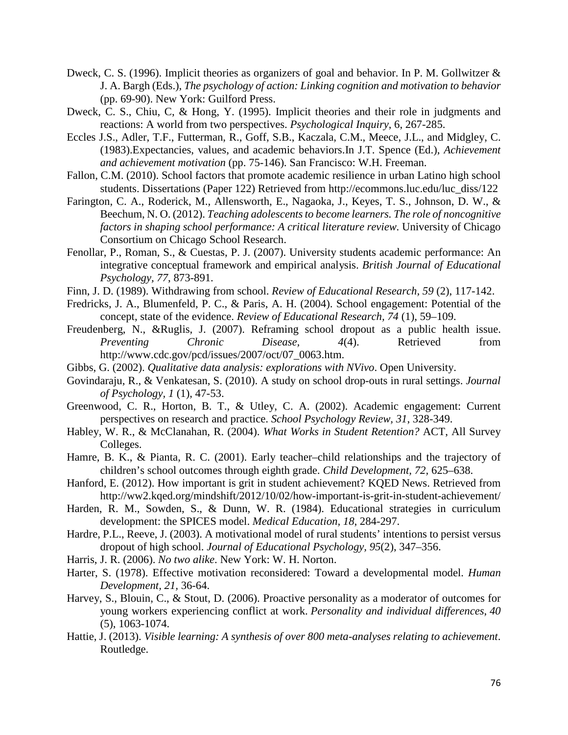- Dweck, C. S. (1996). Implicit theories as organizers of goal and behavior. In P. M. Gollwitzer & J. A. Bargh (Eds.), *The psychology of action: Linking cognition and motivation to behavior*  (pp. 69-90). New York: Guilford Press.
- Dweck, C. S., Chiu, C, & Hong, Y. (1995). Implicit theories and their role in judgments and reactions: A world from two perspectives. *Psychological Inquiry*, 6, 267-285.
- Eccles J.S., Adler, T.F., Futterman, R., Goff, S.B., Kaczala, C.M., Meece, J.L., and Midgley, C. (1983).Expectancies, values, and academic behaviors.In J.T. Spence (Ed.), *Achievement and achievement motivation* (pp. 75-146). San Francisco: W.H. Freeman.
- Fallon, C.M. (2010). School factors that promote academic resilience in urban Latino high school students. Dissertations (Paper 122) Retrieved from http://ecommons.luc.edu/luc\_diss/122
- Farington, C. A., Roderick, M., Allensworth, E., Nagaoka, J., Keyes, T. S., Johnson, D. W., & Beechum, N. O. (2012). *Teaching adolescents to become learners. The role of noncognitive factors in shaping school performance: A critical literature review.* University of Chicago Consortium on Chicago School Research.
- Fenollar, P., Roman, S., & Cuestas, P. J. (2007). University students academic performance: An integrative conceptual framework and empirical analysis. *British Journal of Educational Psychology, 77*, 873-891.
- Finn, J. D. (1989). Withdrawing from school. *Review of Educational Research, 59* (2), 117-142.
- Fredricks, J. A., Blumenfeld, P. C., & Paris, A. H. (2004). School engagement: Potential of the concept, state of the evidence. *Review of Educational Research, 74* (1), 59–109.
- Freudenberg, N., &Ruglis, J. (2007). Reframing school dropout as a public health issue. *Preventing Chronic Disease, 4(4).* Retrieved from http://www.cdc.gov/pcd/issues/2007/oct/07\_0063.htm.
- Gibbs, G. (2002). *Qualitative data analysis: explorations with NVivo*. Open University.
- Govindaraju, R., & Venkatesan, S. (2010). A study on school drop-outs in rural settings. *Journal of Psychology, 1* (1), 47-53.
- Greenwood, C. R., Horton, B. T., & Utley, C. A. (2002). Academic engagement: Current perspectives on research and practice. *School Psychology Review, 31*, 328-349.
- Habley, W. R., & McClanahan, R. (2004). *What Works in Student Retention?* ACT, All Survey Colleges.
- Hamre, B. K., & Pianta, R. C. (2001). Early teacher–child relationships and the trajectory of children's school outcomes through eighth grade. *Child Development, 72,* 625–638.
- Hanford, E. (2012). How important is grit in student achievement? KQED News. Retrieved from http://ww2.kqed.org/mindshift/2012/10/02/how-important-is-grit-in-student-achievement/
- Harden, R. M., Sowden, S., & Dunn, W. R. (1984). Educational strategies in curriculum development: the SPICES model. *Medical Education, 18*, 284-297.
- Hardre, P.L., Reeve, J. (2003). A motivational model of rural students' intentions to persist versus dropout of high school. *Journal of Educational Psychology, 95*(2), 347–356.
- Harris, J. R. (2006). *No two alike*. New York: W. H. Norton.
- Harter, S. (1978). Effective motivation reconsidered: Toward a developmental model. *Human Development, 21,* 36-64.
- Harvey, S., Blouin, C., & Stout, D. (2006). Proactive personality as a moderator of outcomes for young workers experiencing conflict at work. *Personality and individual differences*, *40*  (5), 1063-1074.
- Hattie, J. (2013). *Visible learning: A synthesis of over 800 meta-analyses relating to achievement*. Routledge.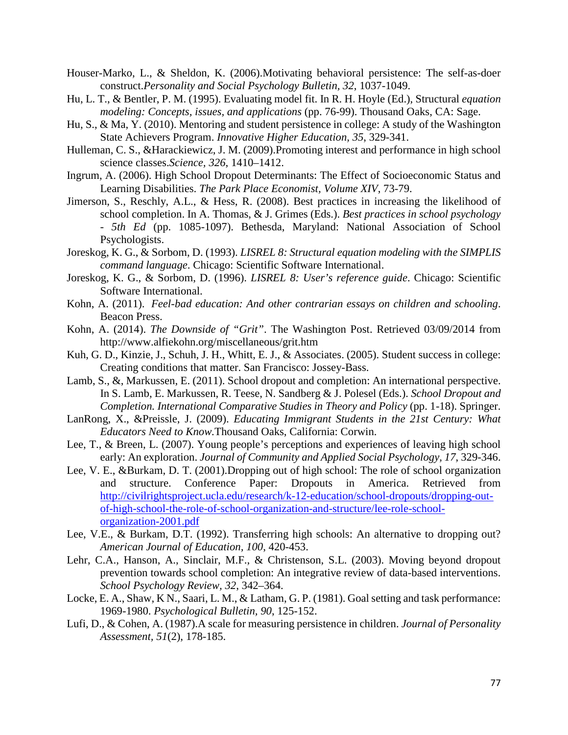- Houser-Marko, L., & Sheldon, K. (2006).Motivating behavioral persistence: The self-as-doer construct.*Personality and Social Psychology Bulletin, 32*, 1037-1049.
- Hu, L. T., & Bentler, P. M. (1995). Evaluating model fit. In R. H. Hoyle (Ed.), Structural *equation modeling: Concepts, issues, and applications* (pp. 76-99). Thousand Oaks, CA: Sage.
- Hu, S., & Ma, Y. (2010). Mentoring and student persistence in college: A study of the Washington State Achievers Program. *Innovative Higher Education, 35*, 329-341.
- Hulleman, C. S., &Harackiewicz, J. M. (2009).Promoting interest and performance in high school science classes.*Science, 326*, 1410–1412.
- Ingrum, A. (2006). High School Dropout Determinants: The Effect of Socioeconomic Status and Learning Disabilities. *The Park Place Economist, Volume XIV*, 73-79.
- Jimerson, S., Reschly, A.L., & Hess, R. (2008). Best practices in increasing the likelihood of school completion. In A. Thomas, & J. Grimes (Eds.). *Best practices in school psychology - 5th Ed* (pp. 1085-1097). Bethesda, Maryland: National Association of School Psychologists.
- Joreskog, K. G., & Sorbom, D. (1993). *LISREL 8: Structural equation modeling with the SIMPLIS command language*. Chicago: Scientific Software International.
- Joreskog, K. G., & Sorbom, D. (1996). *LISREL 8: User's reference guide*. Chicago: Scientific Software International.
- Kohn, A. (2011). *Feel-bad education: And other contrarian essays on children and schooling*. Beacon Press.
- Kohn, A. (2014). *The Downside of "Grit"*. The Washington Post. Retrieved 03/09/2014 from http://www.alfiekohn.org/miscellaneous/grit.htm
- Kuh, G. D., Kinzie, J., Schuh, J. H., Whitt, E. J., & Associates. (2005). Student success in college: Creating conditions that matter. San Francisco: Jossey-Bass.
- Lamb, S., &, Markussen, E. (2011). School dropout and completion: An international perspective. In S. Lamb, E. Markussen, R. Teese, N. Sandberg & J. Polesel (Eds.). *School Dropout and Completion. International Comparative Studies in Theory and Policy (pp. 1-18). Springer.*
- LanRong, X., &Preissle, J. (2009). *Educating Immigrant Students in the 21st Century: What Educators Need to Know.*Thousand Oaks, California: Corwin.
- Lee, T., & Breen, L. (2007). Young people's perceptions and experiences of leaving high school early: An exploration. *Journal of Community and Applied Social Psychology, 17*, 329-346.
- Lee, V. E., &Burkam, D. T. (2001).Dropping out of high school: The role of school organization and structure. Conference Paper: Dropouts in America. Retrieved from [http://civilrightsproject.ucla.edu/research/k-12-education/school-dropouts/dropping-out](http://civilrightsproject.ucla.edu/research/k-12-education/school-dropouts/dropping-out-of-high-school-the-role-of-school-organization-and-structure/lee-role-school-organization-2001.pdf)[of-high-school-the-role-of-school-organization-and-structure/lee-role-school](http://civilrightsproject.ucla.edu/research/k-12-education/school-dropouts/dropping-out-of-high-school-the-role-of-school-organization-and-structure/lee-role-school-organization-2001.pdf)[organization-2001.pdf](http://civilrightsproject.ucla.edu/research/k-12-education/school-dropouts/dropping-out-of-high-school-the-role-of-school-organization-and-structure/lee-role-school-organization-2001.pdf)
- Lee, V.E., & Burkam, D.T. (1992). Transferring high schools: An alternative to dropping out? *American Journal of Education, 100*, 420-453.
- Lehr, C.A., Hanson, A., Sinclair, M.F., & Christenson, S.L. (2003). Moving beyond dropout prevention towards school completion: An integrative review of data-based interventions. *School Psychology Review, 32*, 342–364.
- Locke, E. A., Shaw, K N., Saari, L. M., & Latham, G. P. (1981). Goal setting and task performance: 1969-1980. *Psychological Bulletin, 90*, 125-152.
- Lufi, D., & Cohen, A. (1987).A scale for measuring persistence in children. *Journal of Personality Assessment, 51*(2), 178-185.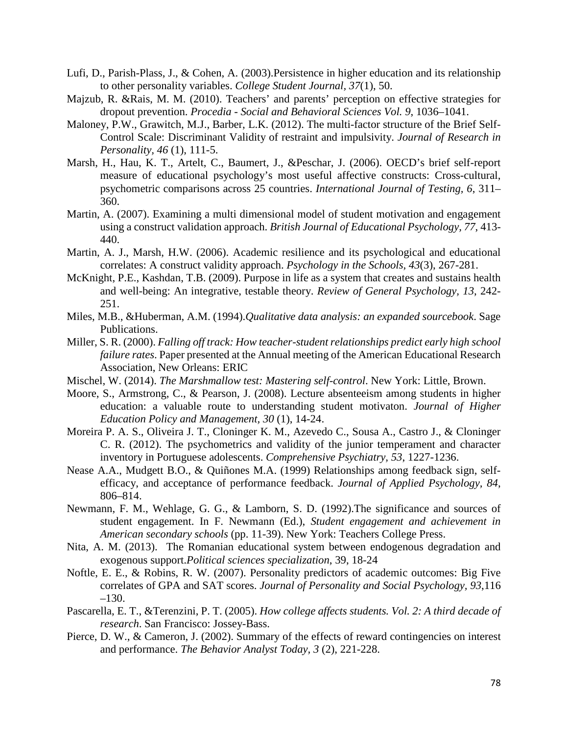- Lufi, D., Parish-Plass, J., & Cohen, A. (2003).Persistence in higher education and its relationship to other personality variables. *College Student Journal, 37*(1), 50.
- Majzub, R. &Rais, M. M. (2010). Teachers' and parents' perception on effective strategies for dropout prevention. *Procedia - Social and Behavioral Sciences Vol. 9*, 1036–1041.
- Maloney, P.W., Grawitch, M.J., Barber, L.K. (2012). The multi-factor structure of the Brief Self-Control Scale: Discriminant Validity of restraint and impulsivity. *Journal of Research in Personality, 46* (1), 111-5.
- Marsh, H., Hau, K. T., Artelt, C., Baumert, J., &Peschar, J. (2006). OECD's brief self-report measure of educational psychology's most useful affective constructs: Cross-cultural, psychometric comparisons across 25 countries. *International Journal of Testing, 6*, 311– 360.
- Martin, A. (2007). Examining a multi dimensional model of student motivation and engagement using a construct validation approach. *British Journal of Educational Psychology, 77*, 413- 440.
- Martin, A. J., Marsh, H.W. (2006). Academic resilience and its psychological and educational correlates: A construct validity approach. *Psychology in the Schools, 43*(3), 267-281.
- McKnight, P.E., Kashdan, T.B. (2009). Purpose in life as a system that creates and sustains health and well-being: An integrative, testable theory. *Review of General Psychology, 13*, 242- 251.
- Miles, M.B., &Huberman, A.M. (1994).*Qualitative data analysis: an expanded sourcebook*. Sage Publications.
- Miller, S. R. (2000). *Falling off track: How teacher-student relationships predict early high school failure rates*. Paper presented at the Annual meeting of the American Educational Research Association, New Orleans: ERIC
- Mischel, W. (2014). *The Marshmallow test: Mastering self-control*. New York: Little, Brown.
- Moore, S., Armstrong, C., & Pearson, J. (2008). Lecture absenteeism among students in higher education: a valuable route to understanding student motivaton. *Journal of Higher Education Policy and Management, 30* (1), 14-24.
- Moreira P. A. S., Oliveira J. T., Cloninger K. M., Azevedo C., Sousa A., Castro J., & Cloninger C. R. (2012). The psychometrics and validity of the junior temperament and character inventory in Portuguese adolescents. *Comprehensive Psychiatry, 53*, 1227-1236.
- Nease A.A., Mudgett B.O., & Quiñones M.A. (1999) Relationships among feedback sign, selfefficacy, and acceptance of performance feedback. *Journal of Applied Psychology, 84*, 806–814.
- Newmann, F. M., Wehlage, G. G., & Lamborn, S. D. (1992).The significance and sources of student engagement. In F. Newmann (Ed.), *Student engagement and achievement in American secondary schools* (pp. 11-39). New York: Teachers College Press.
- Nita, A. M. (2013). The Romanian educational system between endogenous degradation and exogenous support.*Political sciences specialization*, 39, 18-24
- Noftle, E. E., & Robins, R. W. (2007). Personality predictors of academic outcomes: Big Five correlates of GPA and SAT scores. *Journal of Personality and Social Psychology, 93*,116 –130.
- Pascarella, E. T., &Terenzini, P. T. (2005). *How college affects students. Vol. 2: A third decade of research*. San Francisco: Jossey-Bass.
- Pierce, D. W., & Cameron, J. (2002). Summary of the effects of reward contingencies on interest and performance. *The Behavior Analyst Today, 3* (2), 221-228.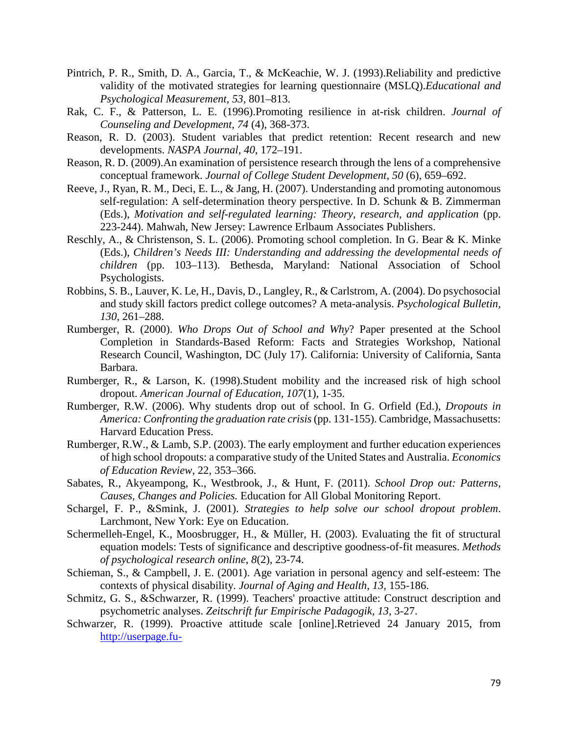- Pintrich, P. R., Smith, D. A., Garcia, T., & McKeachie, W. J. (1993).Reliability and predictive validity of the motivated strategies for learning questionnaire (MSLQ).*Educational and Psychological Measurement, 53,* 801–813.
- Rak, C. F., & Patterson, L. E. (1996).Promoting resilience in at-risk children. *Journal of Counseling and Development, 74* (4), 368-373.
- Reason, R. D. (2003). Student variables that predict retention: Recent research and new developments. *NASPA Journal, 40*, 172–191.
- Reason, R. D. (2009).An examination of persistence research through the lens of a comprehensive conceptual framework. *Journal of College Student Development, 50* (6), 659–692.
- Reeve, J., Ryan, R. M., Deci, E. L., & Jang, H. (2007). Understanding and promoting autonomous self-regulation: A self-determination theory perspective. In D. Schunk & B. Zimmerman (Eds.), *Motivation and self-regulated learning: Theory, research, and application* (pp. 223-244). Mahwah, New Jersey: Lawrence Erlbaum Associates Publishers.
- Reschly, A., & Christenson, S. L. (2006). Promoting school completion. In G. Bear & K. Minke (Eds.), *Children's Needs III: Understanding and addressing the developmental needs of children* (pp. 103–113). Bethesda, Maryland: National Association of School Psychologists.
- Robbins, S. B., Lauver, K. Le, H., Davis, D., Langley, R., & Carlstrom, A. (2004). Do psychosocial and study skill factors predict college outcomes? A meta-analysis. *Psychological Bulletin, 130*, 261–288.
- Rumberger, R. (2000). *Who Drops Out of School and Why*? Paper presented at the School Completion in Standards-Based Reform: Facts and Strategies Workshop, National Research Council, Washington, DC (July 17). California: University of California, Santa Barbara.
- Rumberger, R., & Larson, K. (1998).Student mobility and the increased risk of high school dropout. *American Journal of Education, 107*(1), 1-35.
- Rumberger, R.W. (2006). Why students drop out of school. In G. Orfield (Ed.), *Dropouts in America: Confronting the graduation rate crisis*(pp. 131-155). Cambridge, Massachusetts: Harvard Education Press.
- Rumberger, R.W., & Lamb, S.P. (2003). The early employment and further education experiences of high school dropouts: a comparative study of the United States and Australia. *Economics of Education Review*, 22, 353–366.
- Sabates, R., Akyeampong, K., Westbrook, J., & Hunt, F. (2011). *School Drop out: Patterns, Causes, Changes and Policies.* Education for All Global Monitoring Report.
- Schargel, F. P., &Smink, J. (2001). *Strategies to help solve our school dropout problem*. Larchmont, New York: Eye on Education.
- Schermelleh-Engel, K., Moosbrugger, H., & Müller, H. (2003). Evaluating the fit of structural equation models: Tests of significance and descriptive goodness-of-fit measures. *Methods of psychological research online*, *8*(2), 23-74.
- Schieman, S., & Campbell, J. E. (2001). Age variation in personal agency and self-esteem: The contexts of physical disability. *Journal of Aging and Health, 13,* 155-186.
- Schmitz, G. S., &Schwarzer, R. (1999). Teachers' proactive attitude: Construct description and psychometric analyses. *Zeitschrift fur Empirische Padagogik, 13,* 3-27.
- Schwarzer, R. (1999). Proactive attitude scale [online].Retrieved 24 January 2015, from [http://userpage.fu-](http://userpage.fu-berlin.de/gesund/skalen/Language_Selection/Turkish/Proactive_Attitude/proactive_attitude.htm)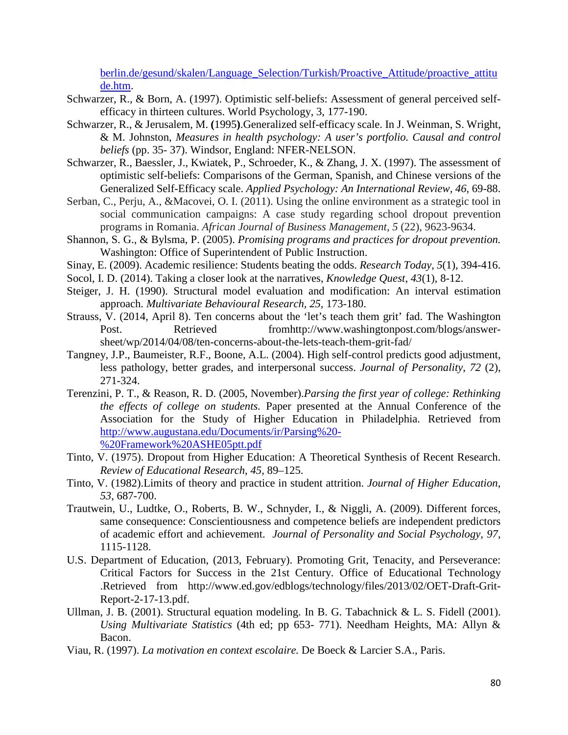berlin.de/gesund/skalen/Language Selection/Turkish/Proactive Attitude/proactive attitu [de.htm.](http://userpage.fu-berlin.de/gesund/skalen/Language_Selection/Turkish/Proactive_Attitude/proactive_attitude.htm)

- Schwarzer, R., & Born, A. (1997). Optimistic self-beliefs: Assessment of general perceived selfefficacy in thirteen cultures. World Psychology, 3, 177-190.
- Schwarzer, R., & Jerusalem, M. **(**1995**)**.Generalized self-efficacy scale. In J. Weinman, S. Wright, & M. Johnston, *Measures in health psychology: A user's portfolio. Causal and control beliefs* (pp. 35- 37). Windsor, England: NFER-NELSON.
- Schwarzer, R., Baessler, J., Kwiatek, P., Schroeder, K., & Zhang, J. X. (1997). The assessment of optimistic self-beliefs: Comparisons of the German, Spanish, and Chinese versions of the Generalized Self-Efficacy scale. *Applied Psychology: An International Review, 46*, 69-88.
- Serban, C., Perju, A., &Macovei, O. I. (2011). Using the online environment as a strategic tool in social communication campaigns: A case study regarding school dropout prevention programs in Romania. *African Journal of Business Management*, *5* (22), 9623-9634.
- Shannon, S. G., & Bylsma, P. (2005). *Promising programs and practices for dropout prevention.* Washington: Office of Superintendent of Public Instruction.
- Sinay, E. (2009). Academic resilience: Students beating the odds. *Research Today, 5*(1), 394-416.
- Socol, I. D. (2014). Taking a closer look at the narratives, *Knowledge Quest*, *43*(1), 8-12.
- Steiger, J. H. (1990). Structural model evaluation and modification: An interval estimation approach. *Multivariate Behavioural Research, 25,* 173-180.
- Strauss, V. (2014, April 8). Ten concerns about the 'let's teach them grit' fad. The Washington Post. Retrieved from http://www.washingtonpost.com/blogs/answersheet/wp/2014/04/08/ten-concerns-about-the-lets-teach-them-grit-fad/
- Tangney, J.P., Baumeister, R.F., Boone, A.L. (2004). High self-control predicts good adjustment, less pathology, better grades, and interpersonal success. *Journal of Personality*, *72* (2), 271-324.
- Terenzini, P. T., & Reason, R. D. (2005, November).*Parsing the first year of college: Rethinking the effects of college on students.* Paper presented at the Annual Conference of the Association for the Study of Higher Education in Philadelphia. Retrieved from [http://www.augustana.edu/Documents/ir/Parsing%20-](http://www.augustana.edu/Documents/ir/Parsing%20-%20Framework%20ASHE05ptt.pdf) [%20Framework%20ASHE05ptt.pdf](http://www.augustana.edu/Documents/ir/Parsing%20-%20Framework%20ASHE05ptt.pdf)
- Tinto, V. (1975). Dropout from Higher Education: A Theoretical Synthesis of Recent Research. *Review of Educational Research*, *45,* 89–125.
- Tinto, V. (1982).Limits of theory and practice in student attrition. *Journal of Higher Education, 53*, 687-700.
- Trautwein, U., Ludtke, O., Roberts, B. W., Schnyder, I., & Niggli, A. (2009). Different forces, same consequence: Conscientiousness and competence beliefs are independent predictors of academic effort and achievement. *Journal of Personality and Social Psychology, 97,* 1115-1128.
- U.S. Department of Education, (2013, February). Promoting Grit, Tenacity, and Perseverance: Critical Factors for Success in the 21st Century. Office of Educational Technology .Retrieved from http://www.ed.gov/edblogs/technology/files/2013/02/OET-Draft-Grit-Report-2-17-13.pdf.
- Ullman, J. B. (2001). Structural equation modeling. In B. G. Tabachnick & L. S. Fidell (2001). *Using Multivariate Statistics* (4th ed; pp 653- 771). Needham Heights, MA: Allyn & Bacon.
- Viau, R. (1997). *La motivation en context escolaire.* De Boeck & Larcier S.A., Paris.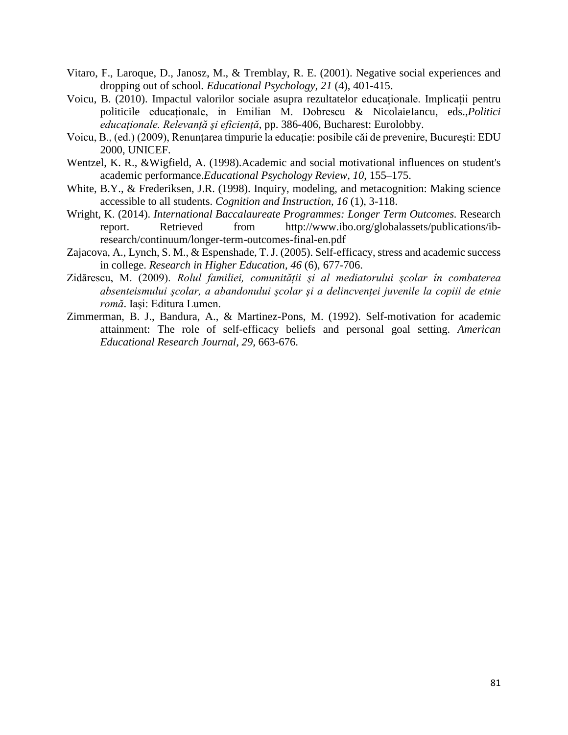- Vitaro, F., Laroque, D., Janosz, M., & Tremblay, R. E. (2001). Negative social experiences and dropping out of school*. Educational Psychology, 21* (4), 401-415.
- Voicu, B. (2010). Impactul valorilor sociale asupra rezultatelor educationale. Implicatii pentru politicile educaţionale, in Emilian M. Dobrescu & NicolaieIancu, eds.,*Politici educaţionale. Relevanţă şi eficienţă*, pp. 386-406, Bucharest: Eurolobby.
- Voicu, B., (ed.) (2009), Renunțarea timpurie la educație: posibile căi de prevenire, București: EDU 2000, UNICEF.
- Wentzel, K. R., &Wigfield, A. (1998).Academic and social motivational influences on student's academic performance.*Educational Psychology Review, 10*, 155–175.
- White, B.Y., & Frederiksen, J.R. (1998). Inquiry, modeling, and metacognition: Making science accessible to all students. *Cognition and Instruction, 16* (1), 3-118.
- Wright, K. (2014). *International Baccalaureate Programmes: Longer Term Outcomes.* Research report. Retrieved from http://www.ibo.org/globalassets/publications/ibresearch/continuum/longer-term-outcomes-final-en.pdf
- Zajacova, A., Lynch, S. M., & Espenshade, T. J. (2005). Self-efficacy, stress and academic success in college. *Research in Higher Education, 46* (6), 677-706.
- Zidărescu, M. (2009). *Rolul familiei, comunităţii şi al mediatorului şcolar în combaterea absenteismului şcolar, a abandonului şcolar şi a delincvenţei juvenile la copiii de etnie romă*. Iaşi: Editura Lumen.
- Zimmerman, B. J., Bandura, A., & Martinez-Pons, M. (1992). Self-motivation for academic attainment: The role of self-efficacy beliefs and personal goal setting. *American Educational Research Journal, 29,* 663-676.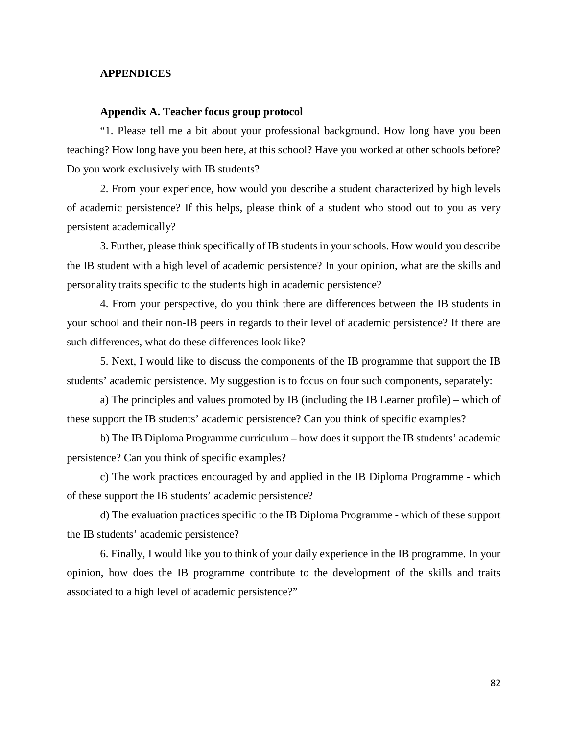### **APPENDICES**

#### **Appendix A. Teacher focus group protocol**

"1. Please tell me a bit about your professional background. How long have you been teaching? How long have you been here, at this school? Have you worked at other schools before? Do you work exclusively with IB students?

2. From your experience, how would you describe a student characterized by high levels of academic persistence? If this helps, please think of a student who stood out to you as very persistent academically?

3. Further, please think specifically of IB students in your schools. How would you describe the IB student with a high level of academic persistence? In your opinion, what are the skills and personality traits specific to the students high in academic persistence?

4. From your perspective, do you think there are differences between the IB students in your school and their non-IB peers in regards to their level of academic persistence? If there are such differences, what do these differences look like?

5. Next, I would like to discuss the components of the IB programme that support the IB students' academic persistence. My suggestion is to focus on four such components, separately:

a) The principles and values promoted by IB (including the IB Learner profile) – which of these support the IB students' academic persistence? Can you think of specific examples?

b) The IB Diploma Programme curriculum – how does it support the IB students' academic persistence? Can you think of specific examples?

c) The work practices encouraged by and applied in the IB Diploma Programme - which of these support the IB students' academic persistence?

d) The evaluation practices specific to the IB Diploma Programme - which of these support the IB students' academic persistence?

6. Finally, I would like you to think of your daily experience in the IB programme. In your opinion, how does the IB programme contribute to the development of the skills and traits associated to a high level of academic persistence?"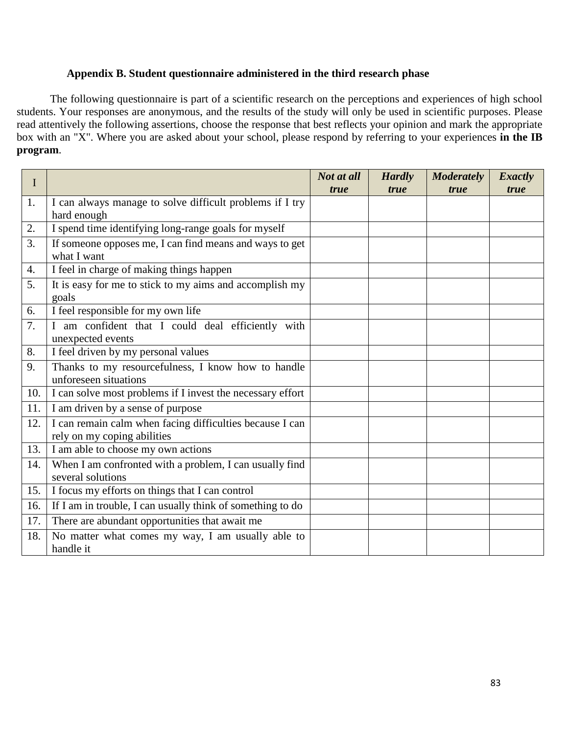## **Appendix B. Student questionnaire administered in the third research phase**

The following questionnaire is part of a scientific research on the perceptions and experiences of high school students. Your responses are anonymous, and the results of the study will only be used in scientific purposes. Please read attentively the following assertions, choose the response that best reflects your opinion and mark the appropriate box with an "X". Where you are asked about your school, please respond by referring to your experiences **in the IB program**.

| $\bf{I}$ |                                                            | Not at all  | <b>Hardly</b> | <b>Moderately</b> | <b>Exactly</b> |
|----------|------------------------------------------------------------|-------------|---------------|-------------------|----------------|
|          |                                                            | <i>true</i> | true          | <i>true</i>       | <i>true</i>    |
| 1.       | I can always manage to solve difficult problems if I try   |             |               |                   |                |
|          | hard enough                                                |             |               |                   |                |
| 2.       | I spend time identifying long-range goals for myself       |             |               |                   |                |
| 3.       | If someone opposes me, I can find means and ways to get    |             |               |                   |                |
|          | what I want                                                |             |               |                   |                |
| 4.       | I feel in charge of making things happen                   |             |               |                   |                |
| 5.       | It is easy for me to stick to my aims and accomplish my    |             |               |                   |                |
|          | goals                                                      |             |               |                   |                |
| 6.       | I feel responsible for my own life                         |             |               |                   |                |
| 7.       | I am confident that I could deal efficiently with          |             |               |                   |                |
|          | unexpected events                                          |             |               |                   |                |
| 8.       | I feel driven by my personal values                        |             |               |                   |                |
| 9.       | Thanks to my resourcefulness, I know how to handle         |             |               |                   |                |
|          | unforeseen situations                                      |             |               |                   |                |
| 10.      | I can solve most problems if I invest the necessary effort |             |               |                   |                |
| 11.      | I am driven by a sense of purpose                          |             |               |                   |                |
| 12.      | I can remain calm when facing difficulties because I can   |             |               |                   |                |
|          | rely on my coping abilities                                |             |               |                   |                |
| 13.      | I am able to choose my own actions                         |             |               |                   |                |
| 14.      | When I am confronted with a problem, I can usually find    |             |               |                   |                |
|          | several solutions                                          |             |               |                   |                |
| 15.      | I focus my efforts on things that I can control            |             |               |                   |                |
| 16.      | If I am in trouble, I can usually think of something to do |             |               |                   |                |
| 17.      | There are abundant opportunities that await me             |             |               |                   |                |
| 18.      | No matter what comes my way, I am usually able to          |             |               |                   |                |
|          | handle it                                                  |             |               |                   |                |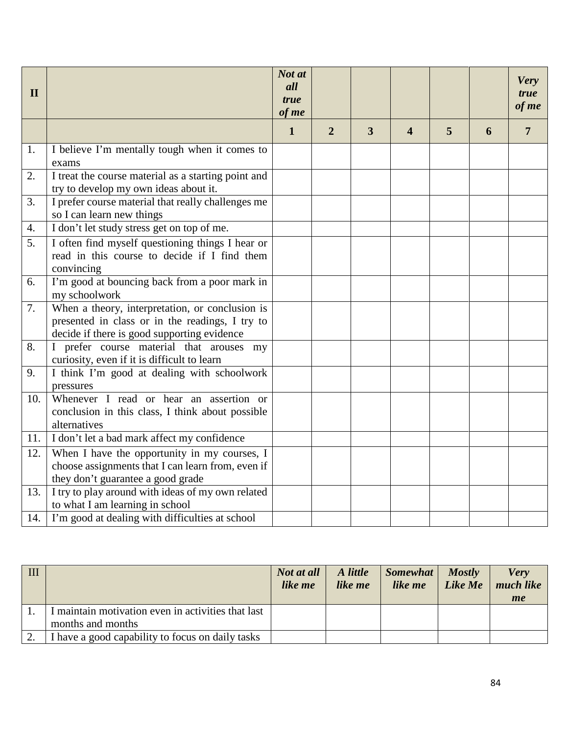| $\mathbf{I}$ |                                                                                                                                                   | Not at<br>all<br><i>true</i><br>of me |                |   |                       |   |   | <b>Very</b><br>true<br>of me |
|--------------|---------------------------------------------------------------------------------------------------------------------------------------------------|---------------------------------------|----------------|---|-----------------------|---|---|------------------------------|
|              |                                                                                                                                                   | $\mathbf{1}$                          | $\overline{2}$ | 3 | $\boldsymbol{\Delta}$ | 5 | 6 | 7                            |
| 1.           | I believe I'm mentally tough when it comes to<br>exams                                                                                            |                                       |                |   |                       |   |   |                              |
| 2.           | I treat the course material as a starting point and<br>try to develop my own ideas about it.                                                      |                                       |                |   |                       |   |   |                              |
| 3.           | I prefer course material that really challenges me<br>so I can learn new things                                                                   |                                       |                |   |                       |   |   |                              |
| 4.           | I don't let study stress get on top of me.                                                                                                        |                                       |                |   |                       |   |   |                              |
| 5.           | I often find myself questioning things I hear or<br>read in this course to decide if I find them                                                  |                                       |                |   |                       |   |   |                              |
|              | convincing                                                                                                                                        |                                       |                |   |                       |   |   |                              |
| 6.           | I'm good at bouncing back from a poor mark in<br>my schoolwork                                                                                    |                                       |                |   |                       |   |   |                              |
| 7.           | When a theory, interpretation, or conclusion is<br>presented in class or in the readings, I try to<br>decide if there is good supporting evidence |                                       |                |   |                       |   |   |                              |
| 8.           | I prefer course material that arouses my<br>curiosity, even if it is difficult to learn                                                           |                                       |                |   |                       |   |   |                              |
| 9.           | I think I'm good at dealing with schoolwork<br>pressures                                                                                          |                                       |                |   |                       |   |   |                              |
| 10.          | Whenever I read or hear an assertion or<br>conclusion in this class, I think about possible<br>alternatives                                       |                                       |                |   |                       |   |   |                              |
| 11.          | I don't let a bad mark affect my confidence                                                                                                       |                                       |                |   |                       |   |   |                              |
| 12.          | When I have the opportunity in my courses, I<br>choose assignments that I can learn from, even if<br>they don't guarantee a good grade            |                                       |                |   |                       |   |   |                              |
| 13.          | I try to play around with ideas of my own related<br>to what I am learning in school                                                              |                                       |                |   |                       |   |   |                              |
| 14.          | I'm good at dealing with difficulties at school                                                                                                   |                                       |                |   |                       |   |   |                              |

| III |                                                                         | Not at all<br>like me | A little<br>like me | Somewhat<br>like me | <b>Mostly</b><br>Like Me | <b>Very</b><br>much like<br>me |
|-----|-------------------------------------------------------------------------|-----------------------|---------------------|---------------------|--------------------------|--------------------------------|
|     | I maintain motivation even in activities that last<br>months and months |                       |                     |                     |                          |                                |
|     | I have a good capability to focus on daily tasks                        |                       |                     |                     |                          |                                |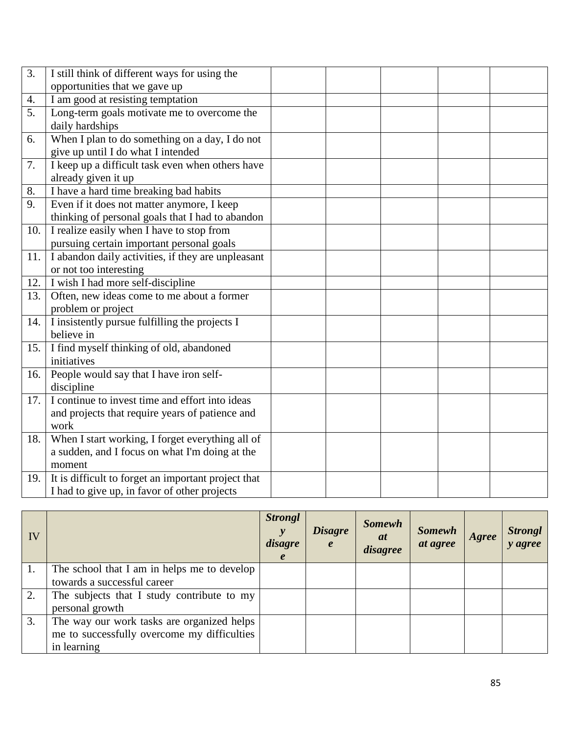| $\overline{3}$ . | I still think of different ways for using the       |  |  |  |
|------------------|-----------------------------------------------------|--|--|--|
|                  | opportunities that we gave up                       |  |  |  |
| 4.               | I am good at resisting temptation                   |  |  |  |
| 5.               | Long-term goals motivate me to overcome the         |  |  |  |
|                  | daily hardships                                     |  |  |  |
| 6.               | When I plan to do something on a day, I do not      |  |  |  |
|                  | give up until I do what I intended                  |  |  |  |
| 7.               | I keep up a difficult task even when others have    |  |  |  |
|                  | already given it up                                 |  |  |  |
| 8.               | I have a hard time breaking bad habits              |  |  |  |
| 9.               | Even if it does not matter anymore, I keep          |  |  |  |
|                  | thinking of personal goals that I had to abandon    |  |  |  |
| 10.              | I realize easily when I have to stop from           |  |  |  |
|                  | pursuing certain important personal goals           |  |  |  |
| 11.              | I abandon daily activities, if they are unpleasant  |  |  |  |
|                  | or not too interesting                              |  |  |  |
| 12.              | I wish I had more self-discipline                   |  |  |  |
| 13.              | Often, new ideas come to me about a former          |  |  |  |
|                  | problem or project                                  |  |  |  |
| 14.              | I insistently pursue fulfilling the projects I      |  |  |  |
|                  | believe in                                          |  |  |  |
| 15.              | I find myself thinking of old, abandoned            |  |  |  |
|                  | initiatives                                         |  |  |  |
| 16.              | People would say that I have iron self-             |  |  |  |
|                  | discipline                                          |  |  |  |
| 17.              | I continue to invest time and effort into ideas     |  |  |  |
|                  | and projects that require years of patience and     |  |  |  |
|                  | work                                                |  |  |  |
| 18.              | When I start working, I forget everything all of    |  |  |  |
|                  | a sudden, and I focus on what I'm doing at the      |  |  |  |
|                  | moment                                              |  |  |  |
| 19.              | It is difficult to forget an important project that |  |  |  |
|                  | I had to give up, in favor of other projects        |  |  |  |

| IV |                                             | <b>Strongl</b><br>disagre<br>$\boldsymbol{e}$ | <b>Disagre</b><br>$\boldsymbol{e}$ | <b>Somewh</b><br>at<br>disagree | <b>Somewh</b><br>at agree | Agree | <b>Strongl</b><br>y agree |
|----|---------------------------------------------|-----------------------------------------------|------------------------------------|---------------------------------|---------------------------|-------|---------------------------|
|    | The school that I am in helps me to develop |                                               |                                    |                                 |                           |       |                           |
|    | towards a successful career                 |                                               |                                    |                                 |                           |       |                           |
| 2. | The subjects that I study contribute to my  |                                               |                                    |                                 |                           |       |                           |
|    | personal growth                             |                                               |                                    |                                 |                           |       |                           |
| 3. | The way our work tasks are organized helps  |                                               |                                    |                                 |                           |       |                           |
|    | me to successfully overcome my difficulties |                                               |                                    |                                 |                           |       |                           |
|    | in learning                                 |                                               |                                    |                                 |                           |       |                           |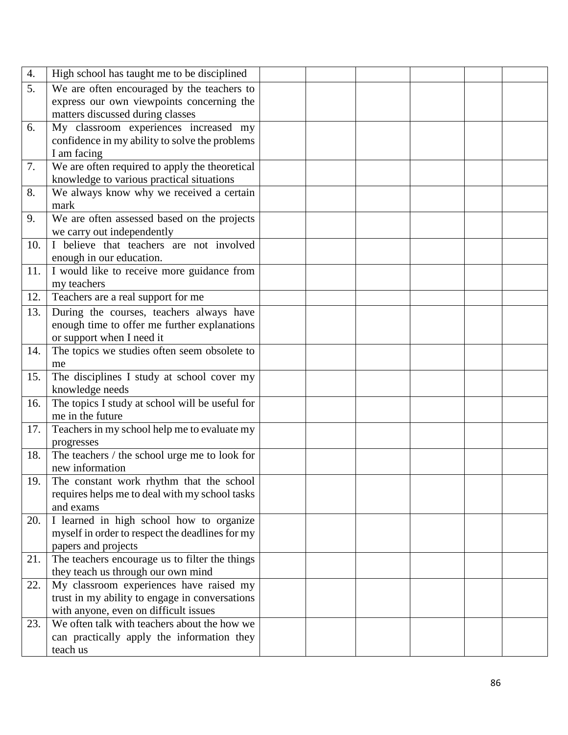| 4.  | High school has taught me to be disciplined     |  |  |  |
|-----|-------------------------------------------------|--|--|--|
| 5.  | We are often encouraged by the teachers to      |  |  |  |
|     | express our own viewpoints concerning the       |  |  |  |
|     | matters discussed during classes                |  |  |  |
| 6.  | My classroom experiences increased my           |  |  |  |
|     | confidence in my ability to solve the problems  |  |  |  |
|     | I am facing                                     |  |  |  |
| 7.  | We are often required to apply the theoretical  |  |  |  |
|     | knowledge to various practical situations       |  |  |  |
| 8.  | We always know why we received a certain        |  |  |  |
|     | mark                                            |  |  |  |
| 9.  | We are often assessed based on the projects     |  |  |  |
|     | we carry out independently                      |  |  |  |
| 10. | I believe that teachers are not involved        |  |  |  |
|     | enough in our education.                        |  |  |  |
| 11. | I would like to receive more guidance from      |  |  |  |
|     | my teachers                                     |  |  |  |
| 12. | Teachers are a real support for me              |  |  |  |
| 13. | During the courses, teachers always have        |  |  |  |
|     | enough time to offer me further explanations    |  |  |  |
|     | or support when I need it                       |  |  |  |
| 14. | The topics we studies often seem obsolete to    |  |  |  |
|     | me                                              |  |  |  |
| 15. | The disciplines I study at school cover my      |  |  |  |
|     | knowledge needs                                 |  |  |  |
| 16. | The topics I study at school will be useful for |  |  |  |
|     | me in the future                                |  |  |  |
| 17. | Teachers in my school help me to evaluate my    |  |  |  |
|     | progresses                                      |  |  |  |
| 18. | The teachers / the school urge me to look for   |  |  |  |
|     | new information                                 |  |  |  |
| 19. | The constant work rhythm that the school        |  |  |  |
|     | requires helps me to deal with my school tasks  |  |  |  |
|     | and exams                                       |  |  |  |
| 20. | I learned in high school how to organize        |  |  |  |
|     | myself in order to respect the deadlines for my |  |  |  |
|     | papers and projects                             |  |  |  |
| 21. | The teachers encourage us to filter the things  |  |  |  |
|     | they teach us through our own mind              |  |  |  |
| 22. | My classroom experiences have raised my         |  |  |  |
|     | trust in my ability to engage in conversations  |  |  |  |
|     | with anyone, even on difficult issues           |  |  |  |
| 23. | We often talk with teachers about the how we    |  |  |  |
|     | can practically apply the information they      |  |  |  |
|     | teach us                                        |  |  |  |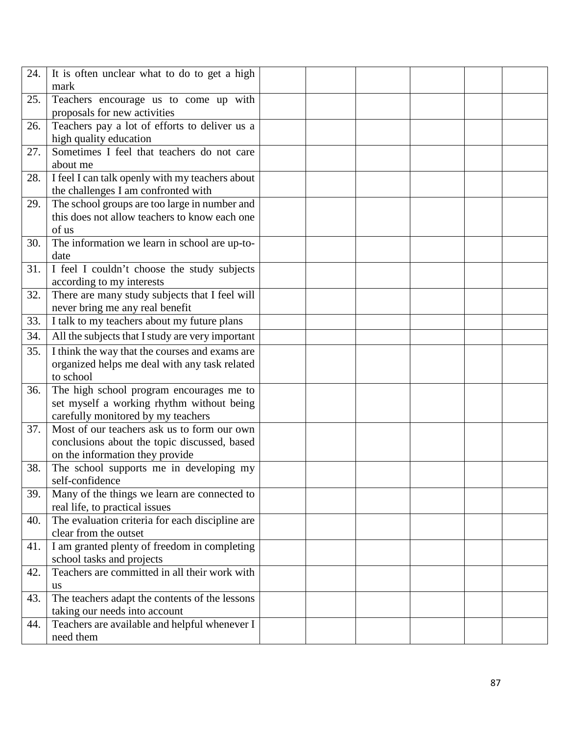| 24. | It is often unclear what to do to get a high     |  |  |  |  |
|-----|--------------------------------------------------|--|--|--|--|
|     | mark                                             |  |  |  |  |
| 25. | Teachers encourage us to come up with            |  |  |  |  |
|     | proposals for new activities                     |  |  |  |  |
| 26. | Teachers pay a lot of efforts to deliver us a    |  |  |  |  |
|     | high quality education                           |  |  |  |  |
| 27. | Sometimes I feel that teachers do not care       |  |  |  |  |
|     | about me                                         |  |  |  |  |
| 28. | I feel I can talk openly with my teachers about  |  |  |  |  |
|     | the challenges I am confronted with              |  |  |  |  |
| 29. | The school groups are too large in number and    |  |  |  |  |
|     | this does not allow teachers to know each one    |  |  |  |  |
|     | of us                                            |  |  |  |  |
| 30. | The information we learn in school are up-to-    |  |  |  |  |
|     | date                                             |  |  |  |  |
| 31. | I feel I couldn't choose the study subjects      |  |  |  |  |
|     | according to my interests                        |  |  |  |  |
| 32. | There are many study subjects that I feel will   |  |  |  |  |
|     | never bring me any real benefit                  |  |  |  |  |
| 33. | I talk to my teachers about my future plans      |  |  |  |  |
| 34. | All the subjects that I study are very important |  |  |  |  |
| 35. | I think the way that the courses and exams are   |  |  |  |  |
|     | organized helps me deal with any task related    |  |  |  |  |
|     | to school                                        |  |  |  |  |
| 36. | The high school program encourages me to         |  |  |  |  |
|     | set myself a working rhythm without being        |  |  |  |  |
|     | carefully monitored by my teachers               |  |  |  |  |
| 37. | Most of our teachers ask us to form our own      |  |  |  |  |
|     | conclusions about the topic discussed, based     |  |  |  |  |
|     | on the information they provide                  |  |  |  |  |
| 38. | The school supports me in developing my          |  |  |  |  |
|     | self-confidence                                  |  |  |  |  |
| 39. | Many of the things we learn are connected to     |  |  |  |  |
|     | real life, to practical issues                   |  |  |  |  |
| 40. | The evaluation criteria for each discipline are  |  |  |  |  |
|     | clear from the outset                            |  |  |  |  |
| 41. | I am granted plenty of freedom in completing     |  |  |  |  |
|     | school tasks and projects                        |  |  |  |  |
| 42. | Teachers are committed in all their work with    |  |  |  |  |
|     | <b>us</b>                                        |  |  |  |  |
| 43. | The teachers adapt the contents of the lessons   |  |  |  |  |
|     | taking our needs into account                    |  |  |  |  |
| 44. | Teachers are available and helpful whenever I    |  |  |  |  |
|     | need them                                        |  |  |  |  |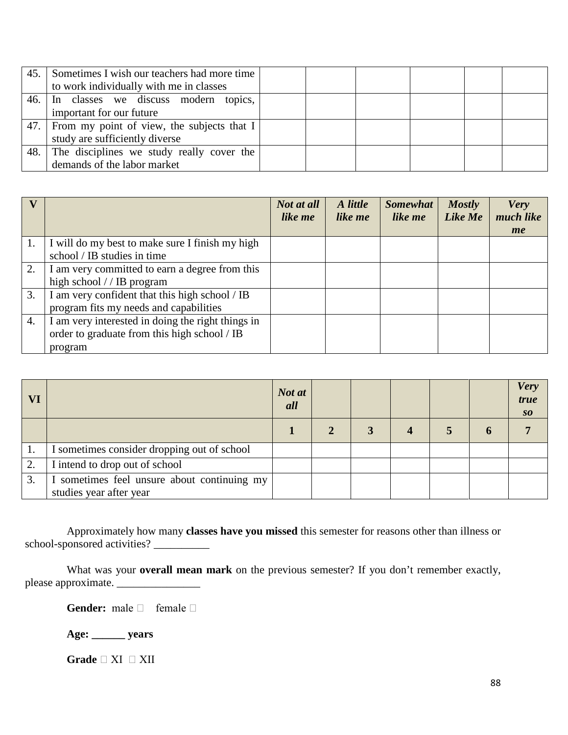| 45. | Sometimes I wish our teachers had more time<br>to work individually with me in classes |  |  |  |
|-----|----------------------------------------------------------------------------------------|--|--|--|
|     | 46. In classes we discuss modern topics,<br>important for our future                   |  |  |  |
| 47. | From my point of view, the subjects that I<br>study are sufficiently diverse           |  |  |  |
| 48. | The disciplines we study really cover the<br>demands of the labor market               |  |  |  |

|                  |                                                   | Not at all<br>like me | A little<br>like me | <b>Somewhat</b><br>like me | <b>Mostly</b><br>Like Me | <b>Very</b><br>much like |
|------------------|---------------------------------------------------|-----------------------|---------------------|----------------------------|--------------------------|--------------------------|
|                  |                                                   |                       |                     |                            |                          | me                       |
| 1.               | I will do my best to make sure I finish my high   |                       |                     |                            |                          |                          |
|                  | school / IB studies in time                       |                       |                     |                            |                          |                          |
| 2.               | I am very committed to earn a degree from this    |                       |                     |                            |                          |                          |
|                  | high school $//$ IB program                       |                       |                     |                            |                          |                          |
| 3.               | I am very confident that this high school / IB    |                       |                     |                            |                          |                          |
|                  | program fits my needs and capabilities            |                       |                     |                            |                          |                          |
| $\overline{4}$ . | I am very interested in doing the right things in |                       |                     |                            |                          |                          |
|                  | order to graduate from this high school / IB      |                       |                     |                            |                          |                          |
|                  | program                                           |                       |                     |                            |                          |                          |

| VI |                                                                        | Not at<br>all |  |  | <b>Very</b><br>true<br>SO |
|----|------------------------------------------------------------------------|---------------|--|--|---------------------------|
|    |                                                                        |               |  |  |                           |
|    | I sometimes consider dropping out of school                            |               |  |  |                           |
| 2. | I intend to drop out of school                                         |               |  |  |                           |
| 3. | I sometimes feel unsure about continuing my<br>studies year after year |               |  |  |                           |

Approximately how many **classes have you missed** this semester for reasons other than illness or school-sponsored activities?

What was your **overall mean mark** on the previous semester? If you don't remember exactly, please approximate.

Gender: male  $\Box$  female  $\Box$ 

**Age: \_\_\_\_\_\_ years**

Grade  $\Box$  XI  $\Box$  XII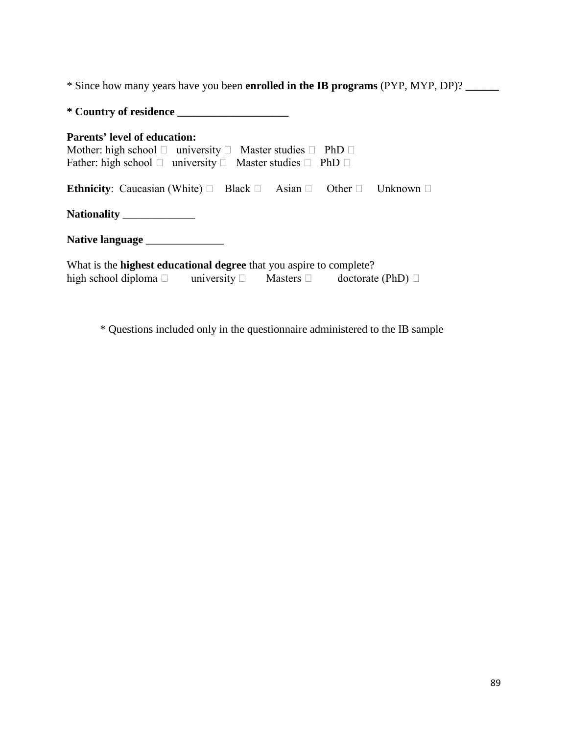\* Since how many years have you been **enrolled in the IB programs** (PYP, MYP, DP)? **\_\_\_\_\_\_**

\* Questions included only in the questionnaire administered to the IB sample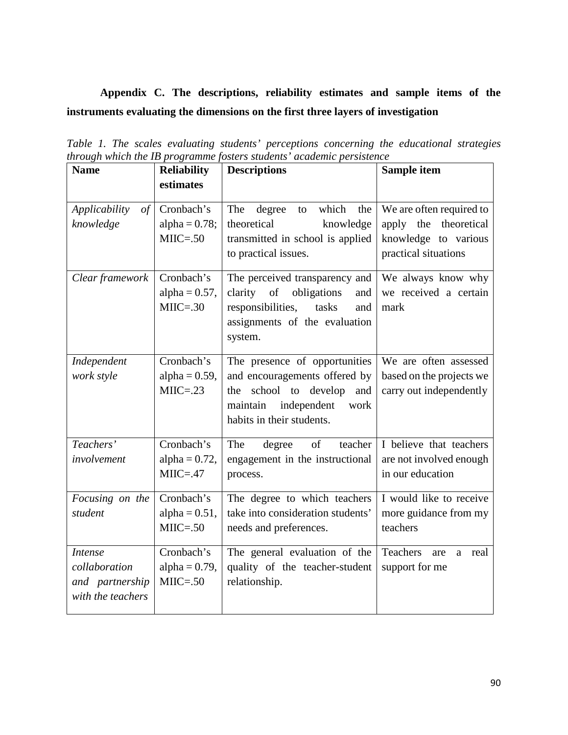# **Appendix C. The descriptions, reliability estimates and sample items of the instruments evaluating the dimensions on the first three layers of investigation**

| <b>Name</b>                                                             | <b>Reliability</b><br>estimates                | <b>Descriptions</b>                                                                                                                                               | Sample item                                                                                             |
|-------------------------------------------------------------------------|------------------------------------------------|-------------------------------------------------------------------------------------------------------------------------------------------------------------------|---------------------------------------------------------------------------------------------------------|
| Applicability<br>$\sigma f$<br>knowledge                                | Cronbach's<br>alpha = $0.78$ ;<br>$MIIC = .50$ | which<br>The<br>degree<br>the<br>to<br>theoretical<br>knowledge<br>transmitted in school is applied<br>to practical issues.                                       | We are often required to<br>theoretical<br>the<br>apply<br>knowledge to various<br>practical situations |
| Clear framework                                                         | Cronbach's<br>alpha = $0.57$ ,<br>$MIIC = .30$ | The perceived transparency and<br>clarity of<br>obligations<br>and<br>responsibilities,<br>tasks<br>and<br>assignments of the evaluation<br>system.               | We always know why<br>we received a certain<br>mark                                                     |
| Independent<br>work style                                               | Cronbach's<br>alpha = $0.59$ ,<br>$MIIC = .23$ | The presence of opportunities<br>and encouragements offered by<br>school to develop<br>and<br>the<br>maintain<br>independent<br>work<br>habits in their students. | We are often assessed<br>based on the projects we<br>carry out independently                            |
| Teachers'<br>involvement                                                | Cronbach's<br>alpha = $0.72$ ,<br>$MIIC = .47$ | teacher<br>The<br>degree<br>of<br>engagement in the instructional<br>process.                                                                                     | I believe that teachers<br>are not involved enough<br>in our education                                  |
| Focusing on the<br>student                                              | Cronbach's<br>alpha = $0.51$ ,<br>$MIIC = .50$ | The degree to which teachers<br>take into consideration students'<br>needs and preferences.                                                                       | I would like to receive<br>more guidance from my<br>teachers                                            |
| <b>Intense</b><br>collaboration<br>and partnership<br>with the teachers | Cronbach's<br>alpha = $0.79$ ,<br>$MIIC = .50$ | The general evaluation of the<br>quality of the teacher-student<br>relationship.                                                                                  | Teachers<br>real<br>are<br>a<br>support for me                                                          |

*Table 1. The scales evaluating students' perceptions concerning the educational strategies through which the IB programme fosters students' academic persistence*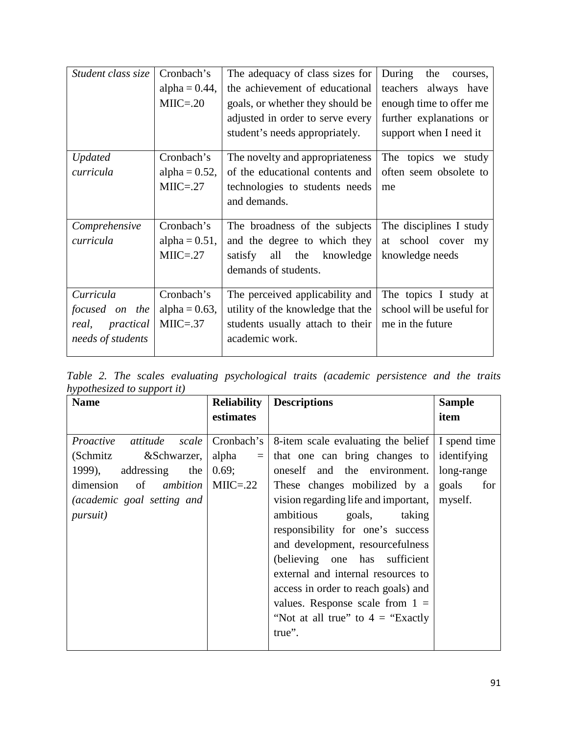| Student class size | Cronbach's       | The adequacy of class sizes for   | During<br>the<br>courses, |
|--------------------|------------------|-----------------------------------|---------------------------|
|                    | alpha = $0.44$ , | the achievement of educational    | teachers always have      |
|                    | $MIIC = .20$     | goals, or whether they should be  | enough time to offer me   |
|                    |                  | adjusted in order to serve every  | further explanations or   |
|                    |                  | student's needs appropriately.    | support when I need it    |
| <b>Updated</b>     | Cronbach's       | The novelty and appropriateness   | The topics we study       |
| curricula          | alpha = $0.52$ , | of the educational contents and   | often seem obsolete to    |
|                    | $MIIC = .27$     | technologies to students needs    | me                        |
|                    |                  | and demands.                      |                           |
|                    |                  |                                   |                           |
| Comprehensive      | Cronbach's       | The broadness of the subjects     | The disciplines I study   |
| curricula          | alpha = $0.51$ , | and the degree to which they      | at school cover<br>my     |
|                    | $MIIC = .27$     | satisfy all the knowledge         | knowledge needs           |
|                    |                  | demands of students.              |                           |
|                    |                  |                                   |                           |
| Curricula          | Cronbach's       | The perceived applicability and   | The topics I study at     |
| focused on the     | alpha = $0.63$ , | utility of the knowledge that the | school will be useful for |
| real, practical    | $MIIC = .37$     | students usually attach to their  | me in the future.         |
| needs of students  |                  | academic work.                    |                           |
|                    |                  |                                   |                           |

*Table 2. The scales evaluating psychological traits (academic persistence and the traits hypothesized to support it)* 

| <b>Name</b>                       | <b>Reliability</b> | <b>Descriptions</b>                  | <b>Sample</b> |
|-----------------------------------|--------------------|--------------------------------------|---------------|
|                                   | estimates          |                                      | item          |
|                                   |                    |                                      |               |
| Proactive<br>attitude<br>scale    | Cronbach's         | 8-item scale evaluating the belief   | I spend time  |
| (Schmitz<br>&Schwarzer,           | alpha<br>$=$       | that one can bring changes to        | identifying   |
| addressing<br>1999),<br>the       | 0.69;              | oneself and the environment.         | long-range    |
| dimension<br>of <i>ambition</i>   | $MIIC = .22$       | These changes mobilized by a         | goals<br>for  |
| <i>(academic goal setting and</i> |                    | vision regarding life and important, | myself.       |
| <i>pursuit</i> )                  |                    | ambitious<br>taking<br>goals,        |               |
|                                   |                    | responsibility for one's success     |               |
|                                   |                    | and development, resourcefulness     |               |
|                                   |                    | (believing one has sufficient        |               |
|                                   |                    | external and internal resources to   |               |
|                                   |                    | access in order to reach goals) and  |               |
|                                   |                    | values. Response scale from $1 =$    |               |
|                                   |                    | "Not at all true" to $4 =$ "Exactly" |               |
|                                   |                    | true".                               |               |
|                                   |                    |                                      |               |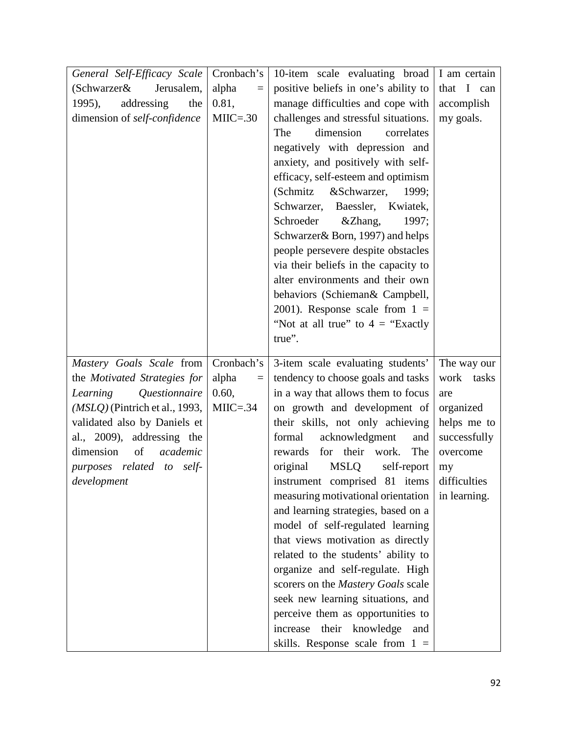| General Self-Efficacy Scale<br>(Schwarzer&<br>Jerusalem,<br>1995),<br>addressing<br>the<br>dimension of self-confidence                                                                                                                                            | Cronbach's<br>alpha<br>$=$<br>0.81,<br>$MIIC = .30$ | 10-item scale evaluating broad<br>positive beliefs in one's ability to<br>manage difficulties and cope with<br>challenges and stressful situations.<br>dimension<br>The<br>correlates<br>negatively with depression and<br>anxiety, and positively with self-<br>efficacy, self-esteem and optimism<br>&Schwarzer,<br>(Schmitz)<br>1999;<br>Schwarzer,<br>Baessler, Kwiatek,<br>Schroeder<br>&Zhang,<br>1997;<br>Schwarzer & Born, 1997) and helps<br>people persevere despite obstacles<br>via their beliefs in the capacity to<br>alter environments and their own<br>behaviors (Schieman& Campbell,<br>2001). Response scale from $1 =$<br>"Not at all true" to $4 =$ "Exactly"<br>true".                                                                  | I am certain<br>that I can<br>accomplish<br>my goals.                                                                          |
|--------------------------------------------------------------------------------------------------------------------------------------------------------------------------------------------------------------------------------------------------------------------|-----------------------------------------------------|---------------------------------------------------------------------------------------------------------------------------------------------------------------------------------------------------------------------------------------------------------------------------------------------------------------------------------------------------------------------------------------------------------------------------------------------------------------------------------------------------------------------------------------------------------------------------------------------------------------------------------------------------------------------------------------------------------------------------------------------------------------|--------------------------------------------------------------------------------------------------------------------------------|
| Mastery Goals Scale from<br>the Motivated Strategies for<br>Questionnaire<br>Learning<br>$(MSLQ)$ (Pintrich et al., 1993,<br>validated also by Daniels et<br>al., 2009), addressing the<br>dimension<br>academic<br>of<br>purposes related to self-<br>development | Cronbach's<br>alpha<br>$=$<br>0.60,<br>$MIIC = .34$ | 3-item scale evaluating students'<br>tendency to choose goals and tasks<br>in a way that allows them to focus<br>on growth and development of<br>their skills, not only achieving<br>formal<br>acknowledgment<br>and<br>for their work.<br>The<br>rewards<br>original<br><b>MSLQ</b><br>self-report<br>instrument comprised 81 items<br>measuring motivational orientation<br>and learning strategies, based on a<br>model of self-regulated learning<br>that views motivation as directly<br>related to the students' ability to<br>organize and self-regulate. High<br>scorers on the Mastery Goals scale<br>seek new learning situations, and<br>perceive them as opportunities to<br>increase their knowledge<br>and<br>skills. Response scale from $1 =$ | The way our<br>work tasks<br>are<br>organized<br>helps me to<br>successfully<br>overcome<br>my<br>difficulties<br>in learning. |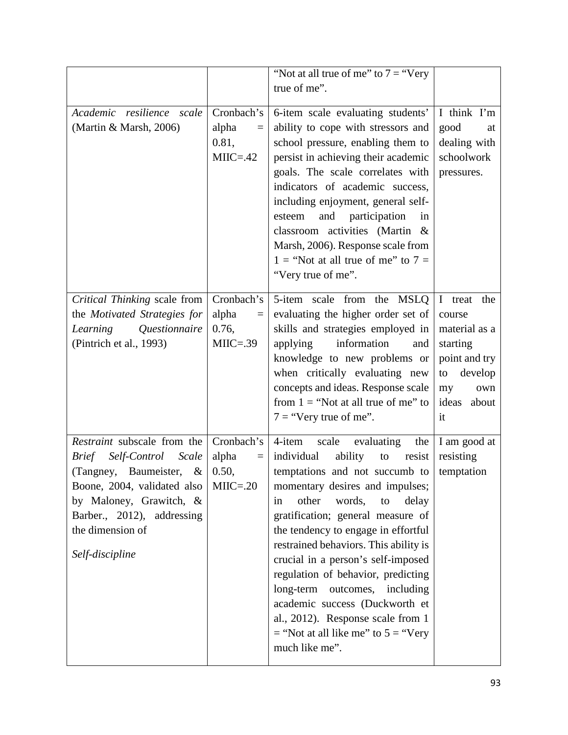|                                                |              | "Not at all true of me" to $7 =$ "Very"                                      |               |
|------------------------------------------------|--------------|------------------------------------------------------------------------------|---------------|
|                                                |              | true of me".                                                                 |               |
|                                                |              |                                                                              |               |
| Academic resilience scale                      | Cronbach's   | 6-item scale evaluating students'                                            | I think I'm   |
| (Martin & Marsh, 2006)                         | alpha<br>$=$ | ability to cope with stressors and                                           | good<br>at    |
|                                                | 0.81,        | school pressure, enabling them to                                            | dealing with  |
|                                                | $MIIC = .42$ | persist in achieving their academic                                          | schoolwork    |
|                                                |              | goals. The scale correlates with                                             | pressures.    |
|                                                |              | indicators of academic success,                                              |               |
|                                                |              | including enjoyment, general self-                                           |               |
|                                                |              | esteem<br>and participation<br>in                                            |               |
|                                                |              | classroom activities (Martin &                                               |               |
|                                                |              | Marsh, 2006). Response scale from                                            |               |
|                                                |              | 1 = "Not at all true of me" to $7 =$                                         |               |
|                                                |              | "Very true of me".                                                           |               |
| Critical Thinking scale from                   | Cronbach's   | 5-item scale from the MSLQ                                                   | I treat the   |
| the Motivated Strategies for                   | alpha        | evaluating the higher order set of                                           | course        |
| Questionnaire<br>Learning                      | 0.76,        | skills and strategies employed in                                            | material as a |
| (Pintrich et al., 1993)                        | $MIIC = .39$ | information<br>applying<br>and                                               | starting      |
|                                                |              | knowledge to new problems or                                                 | point and try |
|                                                |              | when critically evaluating new                                               | develop<br>to |
|                                                |              | concepts and ideas. Response scale                                           | my<br>own     |
|                                                |              | from $1 =$ "Not at all true of me" to                                        | ideas about   |
|                                                |              | $7 =$ "Very true of me".                                                     | it            |
|                                                |              |                                                                              |               |
| Restraint subscale from the                    | Cronbach's   | 4-item<br>scale<br>evaluating<br>the                                         | I am good at  |
| Self-Control<br>Scale<br><i>Brief</i>          | alpha<br>$=$ | individual<br>ability<br>resist<br>to                                        | resisting     |
| (Tangney, Baumeister,<br>$\&$                  | 0.50,        | temptations and not succumb to                                               | temptation    |
| Boone, 2004, validated also                    | $MIIC = .20$ | momentary desires and impulses;                                              |               |
| by Maloney, Grawitch, &                        |              | other<br>words,<br>to<br>delay<br>in                                         |               |
| Barber., 2012), addressing<br>the dimension of |              | gratification; general measure of                                            |               |
|                                                |              | the tendency to engage in effortful<br>restrained behaviors. This ability is |               |
| Self-discipline                                |              | crucial in a person's self-imposed                                           |               |
|                                                |              | regulation of behavior, predicting                                           |               |
|                                                |              | long-term outcomes, including                                                |               |
|                                                |              | academic success (Duckworth et                                               |               |
|                                                |              | al., 2012). Response scale from 1                                            |               |
|                                                |              | $=$ "Not at all like me" to $5 =$ "Very"                                     |               |
|                                                |              | much like me".                                                               |               |
|                                                |              |                                                                              |               |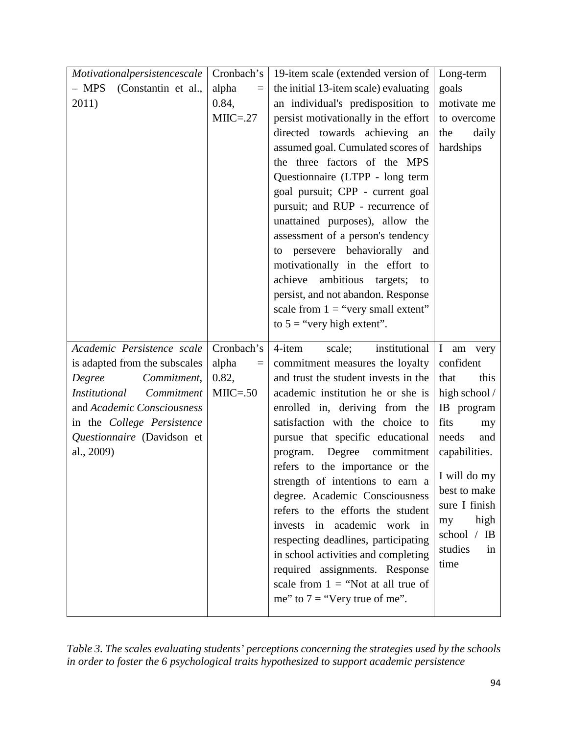| Motivationalpersistencescale       | Cronbach's        | 19-item scale (extended version of    | Long-term           |
|------------------------------------|-------------------|---------------------------------------|---------------------|
| $-$ MPS<br>(Constantin et al.,     | alpha<br>$=$      | the initial 13-item scale) evaluating | goals               |
| 2011)                              | 0.84,             | an individual's predisposition to     | motivate me         |
|                                    | $MIIC = .27$      | persist motivationally in the effort  | to overcome         |
|                                    |                   | directed towards achieving<br>an      | daily<br>the        |
|                                    |                   | assumed goal. Cumulated scores of     | hardships           |
|                                    |                   | the three factors of the MPS          |                     |
|                                    |                   | Questionnaire (LTPP - long term       |                     |
|                                    |                   | goal pursuit; CPP - current goal      |                     |
|                                    |                   | pursuit; and RUP - recurrence of      |                     |
|                                    |                   | unattained purposes), allow the       |                     |
|                                    |                   | assessment of a person's tendency     |                     |
|                                    |                   | to persevere behaviorally<br>and      |                     |
|                                    |                   | motivationally in the effort to       |                     |
|                                    |                   | ambitious targets;<br>achieve<br>to   |                     |
|                                    |                   | persist, and not abandon. Response    |                     |
|                                    |                   | scale from $1 =$ "very small extent"  |                     |
|                                    |                   | to $5 =$ "very high extent".          |                     |
|                                    |                   |                                       |                     |
|                                    |                   |                                       |                     |
| Academic Persistence scale         | Cronbach's        | institutional<br>4-item<br>scale;     | $\bf{I}$<br>am very |
| is adapted from the subscales      | alpha<br>$\equiv$ | commitment measures the loyalty       | confident           |
| Degree<br>Commitment,              | 0.82,             | and trust the student invests in the  | that<br>this        |
| Commitment<br><i>Institutional</i> | $MIIC = .50$      | academic institution he or she is     | high school /       |
| and Academic Consciousness         |                   | enrolled in, deriving from the        | IB program          |
| in the College Persistence         |                   | satisfaction with the choice to       | fits<br>my          |
| Questionnaire (Davidson et         |                   | pursue that specific educational      | needs<br>and        |
| al., 2009)                         |                   | Degree<br>commitment<br>program.      | capabilities.       |
|                                    |                   | refers to the importance or the       |                     |
|                                    |                   | strength of intentions to earn a      | I will do my        |
|                                    |                   | degree. Academic Consciousness        | best to make        |
|                                    |                   | refers to the efforts the student     | sure I finish       |
|                                    |                   | invests in academic work in           | high<br>my          |
|                                    |                   | respecting deadlines, participating   | school / IB         |
|                                    |                   | in school activities and completing   | studies<br>in       |
|                                    |                   | required assignments. Response        | time                |
|                                    |                   | scale from $1 =$ "Not at all true of  |                     |
|                                    |                   | me" to $7 =$ "Very true of me".       |                     |

*Table 3. The scales evaluating students' perceptions concerning the strategies used by the schools in order to foster the 6 psychological traits hypothesized to support academic persistence*